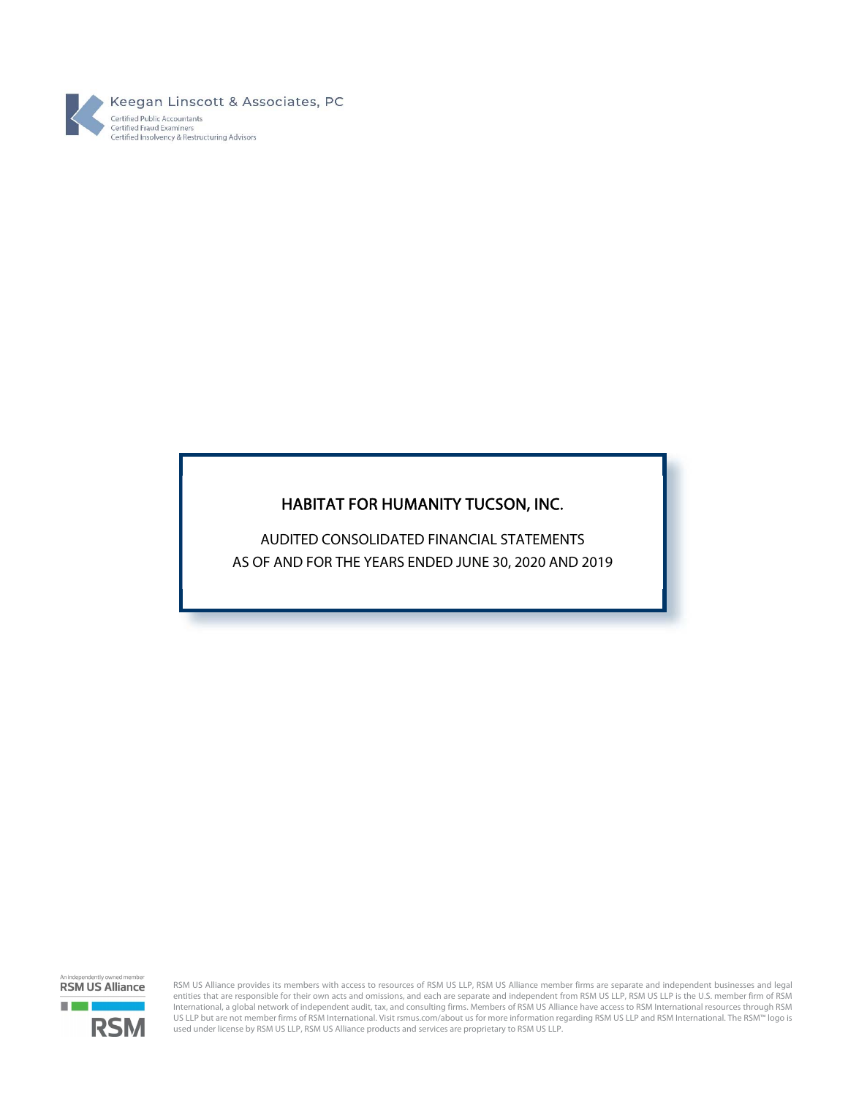

# HABITAT FOR HUMANITY TUCSON, INC.

 AS OF AND FOR THE YEARS ENDED JUNE 30, 2020 AND 2019 AUDITED CONSOLIDATED FINANCIAL STATEMENTS

d member **RSM US Alliance** a barat **RSM** 

RSM US Alliance provides its members with access to resources of RSM US LLP, RSM US Alliance member firms are separate and independent businesses and legal entities that are responsible for their own acts and omissions, and each are separate and independent from RSM US LLP, RSM US LLP is the U.S. member firm of RSM International, a global network of independent audit, tax, and consulting firms. Members of RSM US Alliance have access to RSM International resources through RSM US LLP but are not member firms of RSM International. Visit rsmus.com/about us for more information regarding RSM US LLP and RSM International. The RSM™ logo is used under license by RSM US LLP, RSM US Alliance products and services are proprietary to RSM US LLP.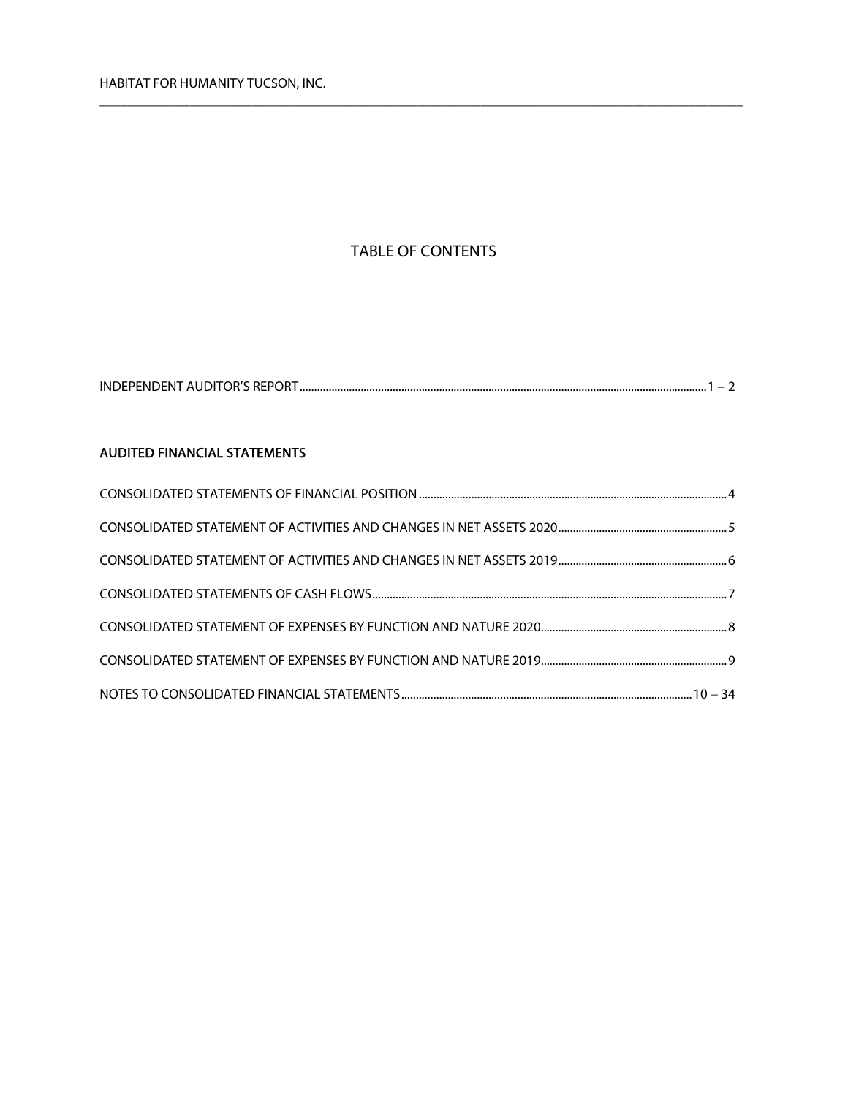# TABLE OF CONTENTS

 $\overline{\phantom{a}}$  , and the contribution of the contribution of the contribution of the contribution of the contribution of the contribution of the contribution of the contribution of the contribution of the contribution of the

## AUDITED FINANCIAL STATEMENTS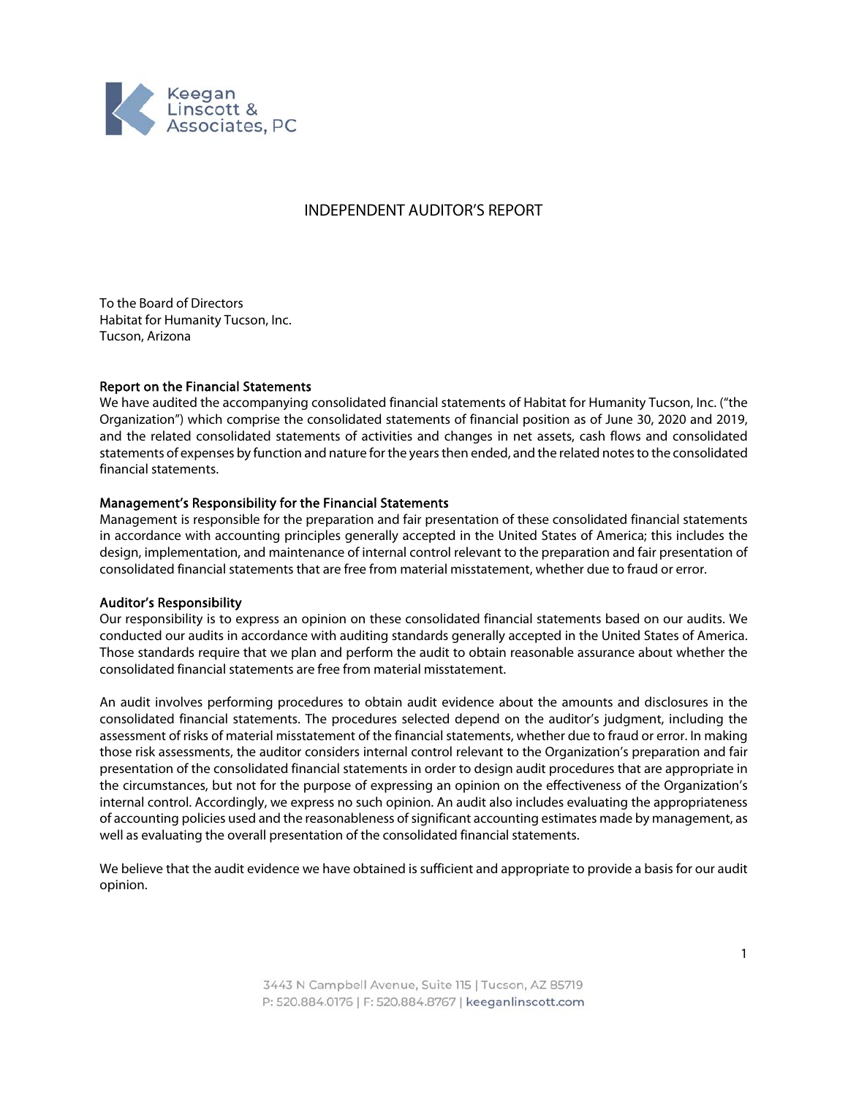

## INDEPENDENT AUDITOR'S REPORT

To the Board of Directors Habitat for Humanity Tucson, Inc. Tucson, Arizona

### Report on the Financial Statements

We have audited the accompanying consolidated financial statements of Habitat for Humanity Tucson, Inc. ("the Organization") which comprise the consolidated statements of financial position as of June 30, 2020 and 2019, and the related consolidated statements of activities and changes in net assets, cash flows and consolidated statements of expenses by function and nature for the years then ended, and the related notes to the consolidated financial statements.

#### Management's Responsibility for the Financial Statements

Management is responsible for the preparation and fair presentation of these consolidated financial statements in accordance with accounting principles generally accepted in the United States of America; this includes the design, implementation, and maintenance of internal control relevant to the preparation and fair presentation of consolidated financial statements that are free from material misstatement, whether due to fraud or error.

#### Auditor's Responsibility

Our responsibility is to express an opinion on these consolidated financial statements based on our audits. We conducted our audits in accordance with auditing standards generally accepted in the United States of America. Those standards require that we plan and perform the audit to obtain reasonable assurance about whether the consolidated financial statements are free from material misstatement.

An audit involves performing procedures to obtain audit evidence about the amounts and disclosures in the consolidated financial statements. The procedures selected depend on the auditor's judgment, including the assessment of risks of material misstatement of the financial statements, whether due to fraud or error. In making those risk assessments, the auditor considers internal control relevant to the Organization's preparation and fair presentation of the consolidated financial statements in order to design audit procedures that are appropriate in the circumstances, but not for the purpose of expressing an opinion on the effectiveness of the Organization's internal control. Accordingly, we express no such opinion. An audit also includes evaluating the appropriateness of accounting policies used and the reasonableness of significant accounting estimates made by management, as well as evaluating the overall presentation of the consolidated financial statements.

We believe that the audit evidence we have obtained is sufficient and appropriate to provide a basis for our audit opinion.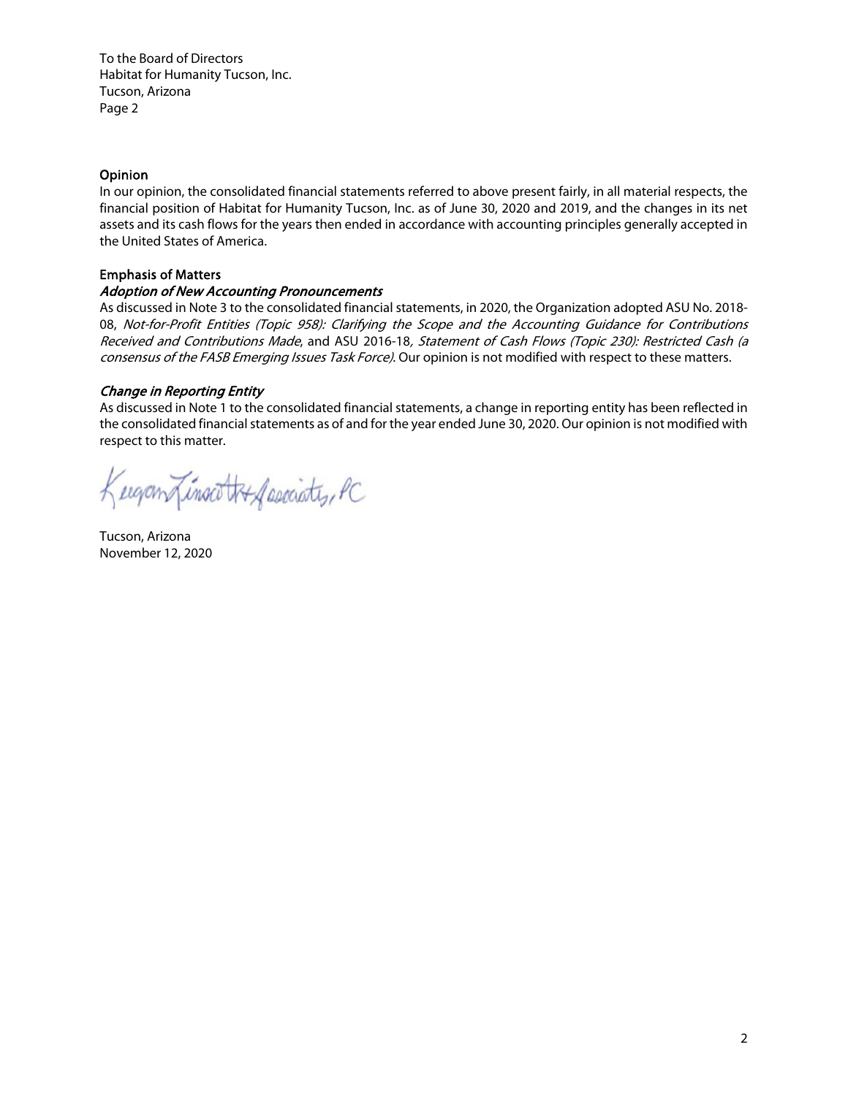To the Board of Directors Habitat for Humanity Tucson, Inc. Tucson, Arizona Page 2

## Opinion

In our opinion, the consolidated financial statements referred to above present fairly, in all material respects, the financial position of Habitat for Humanity Tucson, Inc. as of June 30, 2020 and 2019, and the changes in its net assets and its cash flows for the years then ended in accordance with accounting principles generally accepted in the United States of America.

## Emphasis of Matters

## Adoption of New Accounting Pronouncements

As discussed in Note 3 to the consolidated financial statements, in 2020, the Organization adopted ASU No. 2018- 08, Not-for-Profit Entities (Topic 958): Clarifying the Scope and the Accounting Guidance for Contributions Received and Contributions Made, and ASU 2016-18, Statement of Cash Flows (Topic 230): Restricted Cash (a consensus of the FASB Emerging Issues Task Force). Our opinion is not modified with respect to these matters.

## Change in Reporting Entity

As discussed in Note 1 to the consolidated financial statements, a change in reporting entity has been reflected in the consolidated financial statements as of and for the year ended June 30, 2020. Our opinion is not modified with respect to this matter.

Kugan Linsoot Af secciates, PC

Tucson, Arizona November 12, 2020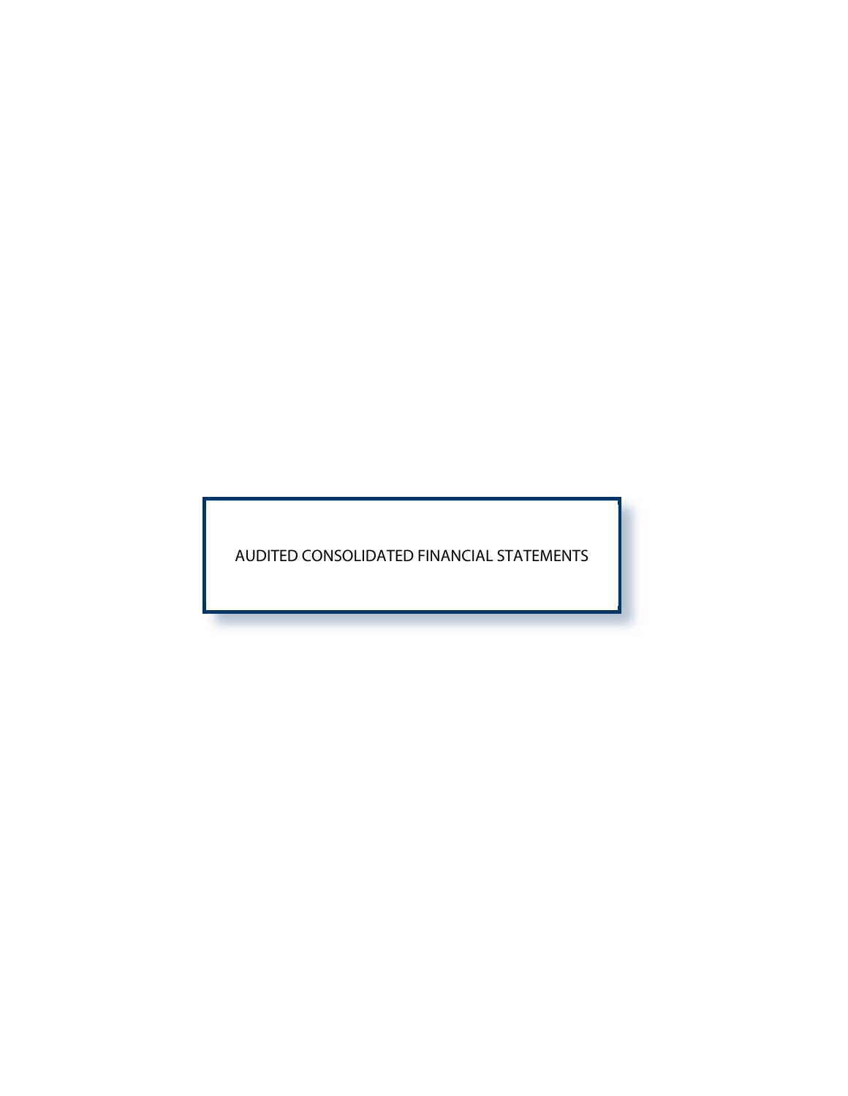AUDITED CONSOLIDATED FINANCIAL STATEMENTS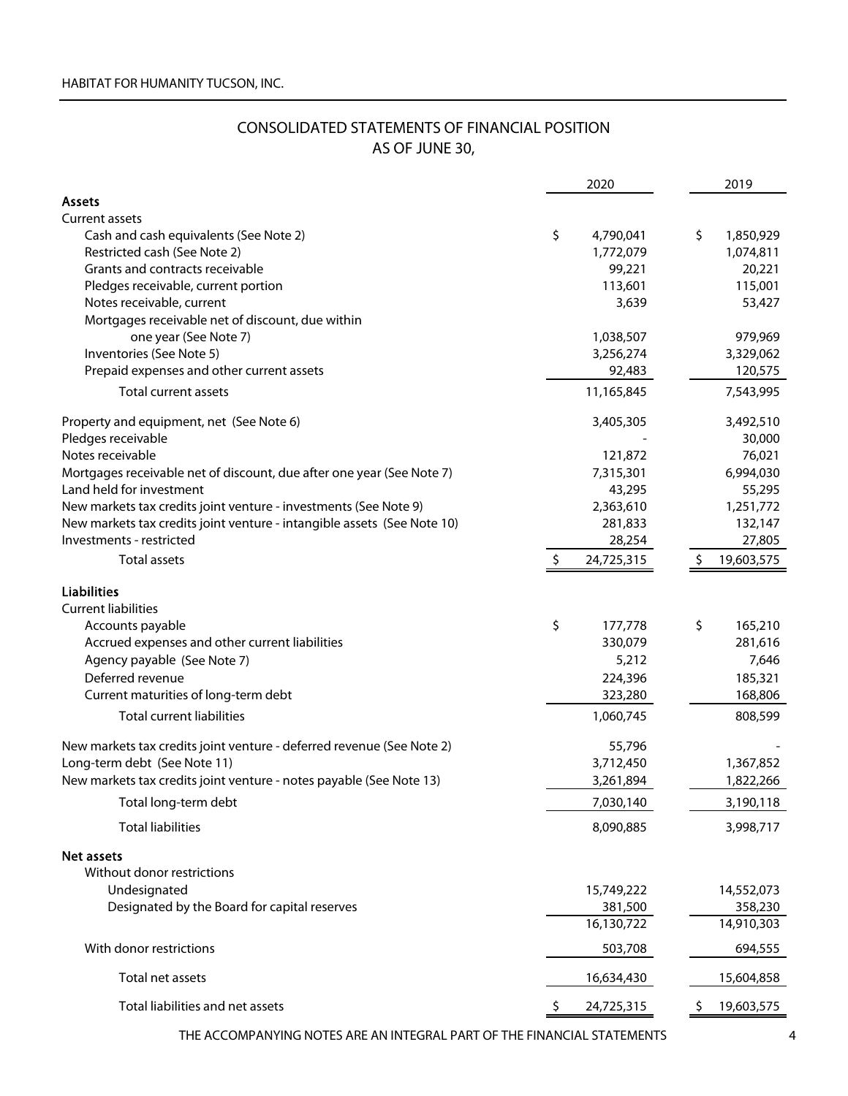## CONSOLIDATED STATEMENTS OF FINANCIAL POSITION AS OF JUNE 30,

|                                                                         |     | 2020       |    | 2019       |
|-------------------------------------------------------------------------|-----|------------|----|------------|
| <b>Assets</b>                                                           |     |            |    |            |
| <b>Current assets</b>                                                   |     |            |    |            |
| Cash and cash equivalents (See Note 2)                                  | \$  | 4,790,041  | \$ | 1,850,929  |
| Restricted cash (See Note 2)                                            |     | 1,772,079  |    | 1,074,811  |
| Grants and contracts receivable                                         |     | 99,221     |    | 20,221     |
| Pledges receivable, current portion                                     |     | 113,601    |    | 115,001    |
| Notes receivable, current                                               |     | 3,639      |    | 53,427     |
| Mortgages receivable net of discount, due within                        |     |            |    |            |
| one year (See Note 7)                                                   |     | 1,038,507  |    | 979,969    |
| Inventories (See Note 5)                                                |     | 3,256,274  |    | 3,329,062  |
| Prepaid expenses and other current assets                               |     | 92,483     |    | 120,575    |
| Total current assets                                                    |     | 11,165,845 |    | 7,543,995  |
| Property and equipment, net (See Note 6)                                |     | 3,405,305  |    | 3,492,510  |
| Pledges receivable                                                      |     |            |    | 30,000     |
| Notes receivable                                                        |     | 121,872    |    | 76,021     |
| Mortgages receivable net of discount, due after one year (See Note 7)   |     | 7,315,301  |    | 6,994,030  |
| Land held for investment                                                |     | 43,295     |    | 55,295     |
| New markets tax credits joint venture - investments (See Note 9)        |     | 2,363,610  |    | 1,251,772  |
| New markets tax credits joint venture - intangible assets (See Note 10) |     | 281,833    |    | 132,147    |
| Investments - restricted                                                |     | 28,254     |    | 27,805     |
| <b>Total assets</b>                                                     | -\$ | 24,725,315 |    | 19,603,575 |
| <b>Liabilities</b>                                                      |     |            |    |            |
| <b>Current liabilities</b>                                              |     |            |    |            |
| Accounts payable                                                        | \$  | 177,778    | \$ | 165,210    |
| Accrued expenses and other current liabilities                          |     | 330,079    |    | 281,616    |
| Agency payable (See Note 7)                                             |     | 5,212      |    | 7,646      |
| Deferred revenue                                                        |     | 224,396    |    | 185,321    |
| Current maturities of long-term debt                                    |     | 323,280    |    | 168,806    |
| <b>Total current liabilities</b>                                        |     | 1,060,745  |    | 808,599    |
|                                                                         |     |            |    |            |
| New markets tax credits joint venture - deferred revenue (See Note 2)   |     | 55,796     |    |            |
| Long-term debt (See Note 11)                                            |     | 3,712,450  |    | 1,367,852  |
| New markets tax credits joint venture - notes payable (See Note 13)     |     | 3,261,894  |    | 1,822,266  |
| Total long-term debt                                                    |     | 7,030,140  |    | 3,190,118  |
| <b>Total liabilities</b>                                                |     | 8,090,885  |    | 3,998,717  |
| <b>Net assets</b>                                                       |     |            |    |            |
| Without donor restrictions                                              |     |            |    |            |
| Undesignated                                                            |     | 15,749,222 |    | 14,552,073 |
| Designated by the Board for capital reserves                            |     | 381,500    |    | 358,230    |
|                                                                         |     | 16,130,722 |    | 14,910,303 |
| With donor restrictions                                                 |     | 503,708    |    | 694,555    |
| Total net assets                                                        |     | 16,634,430 |    | 15,604,858 |
| Total liabilities and net assets                                        |     | 24,725,315 |    | 19,603,575 |
|                                                                         |     |            |    |            |

THE ACCOMPANYING NOTES ARE AN INTEGRAL PART OF THE FINANCIAL STATEMENTS 4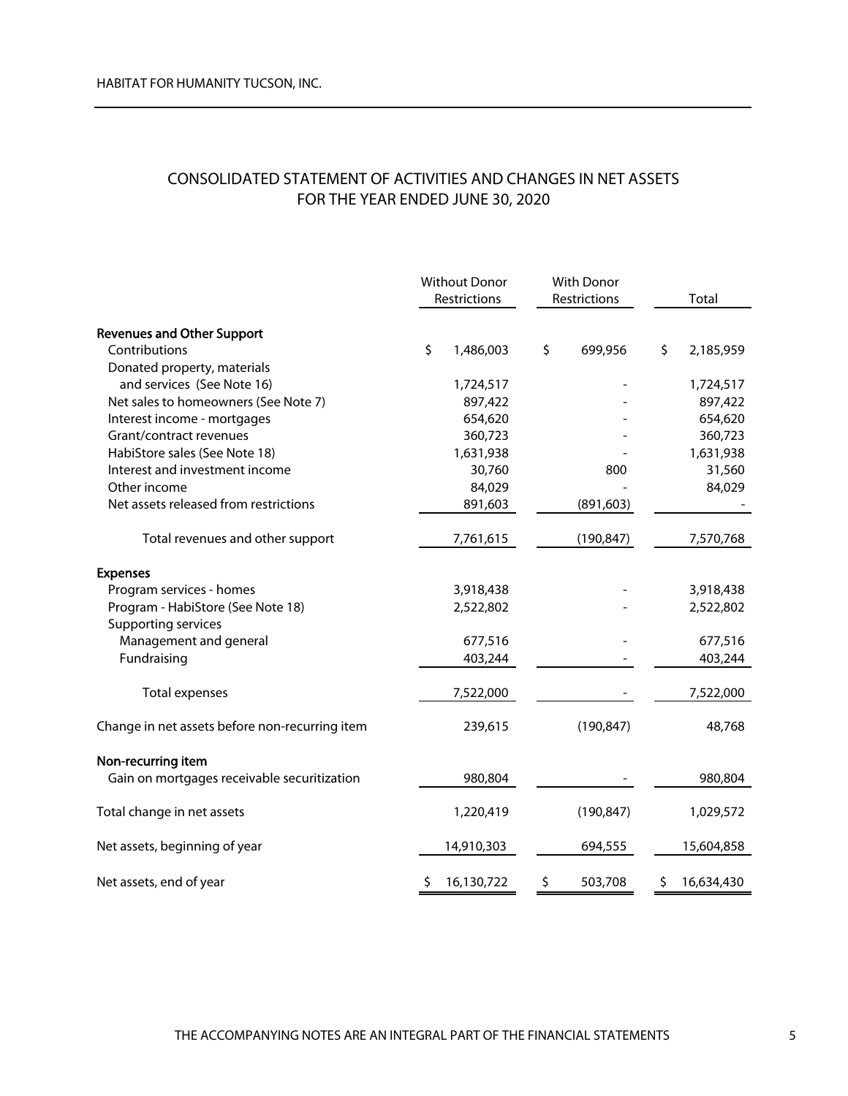# CONSOLIDATED STATEMENT OF ACTIVITIES AND CHANGES IN NET ASSETS FOR THE YEAR ENDED JUNE 30, 2020

|                                                |     | <b>Without Donor</b> |    | <b>With Donor</b> |    |            |
|------------------------------------------------|-----|----------------------|----|-------------------|----|------------|
|                                                |     | Restrictions         |    | Restrictions      |    | Total      |
| <b>Revenues and Other Support</b>              |     |                      |    |                   |    |            |
| Contributions                                  | \$  | 1,486,003            | \$ | 699,956           | \$ | 2,185,959  |
| Donated property, materials                    |     |                      |    |                   |    |            |
| and services (See Note 16)                     |     | 1,724,517            |    |                   |    | 1,724,517  |
| Net sales to homeowners (See Note 7)           |     | 897,422              |    |                   |    | 897,422    |
| Interest income - mortgages                    |     | 654,620              |    |                   |    | 654,620    |
| Grant/contract revenues                        |     | 360,723              |    |                   |    | 360,723    |
| HabiStore sales (See Note 18)                  |     | 1,631,938            |    |                   |    | 1,631,938  |
| Interest and investment income                 |     | 30,760               |    | 800               |    | 31,560     |
| Other income                                   |     | 84,029               |    |                   |    | 84,029     |
| Net assets released from restrictions          |     | 891,603              |    | (891, 603)        |    |            |
| Total revenues and other support               |     | 7,761,615            |    | (190, 847)        |    | 7,570,768  |
| <b>Expenses</b>                                |     |                      |    |                   |    |            |
| Program services - homes                       |     | 3,918,438            |    |                   |    | 3,918,438  |
| Program - HabiStore (See Note 18)              |     | 2,522,802            |    |                   |    | 2,522,802  |
| Supporting services                            |     |                      |    |                   |    |            |
| Management and general                         |     | 677,516              |    |                   |    | 677,516    |
| Fundraising                                    |     | 403,244              |    |                   |    | 403,244    |
| <b>Total expenses</b>                          |     | 7,522,000            |    |                   |    | 7,522,000  |
| Change in net assets before non-recurring item |     | 239,615              |    | (190, 847)        |    | 48,768     |
| Non-recurring item                             |     |                      |    |                   |    |            |
| Gain on mortgages receivable securitization    |     | 980,804              |    |                   |    | 980,804    |
| Total change in net assets                     |     | 1,220,419            |    | (190, 847)        |    | 1,029,572  |
| Net assets, beginning of year                  |     | 14,910,303           |    | 694,555           |    | 15,604,858 |
| Net assets, end of year                        | \$. | 16,130,722           | \$ | 503,708           | \$ | 16,634,430 |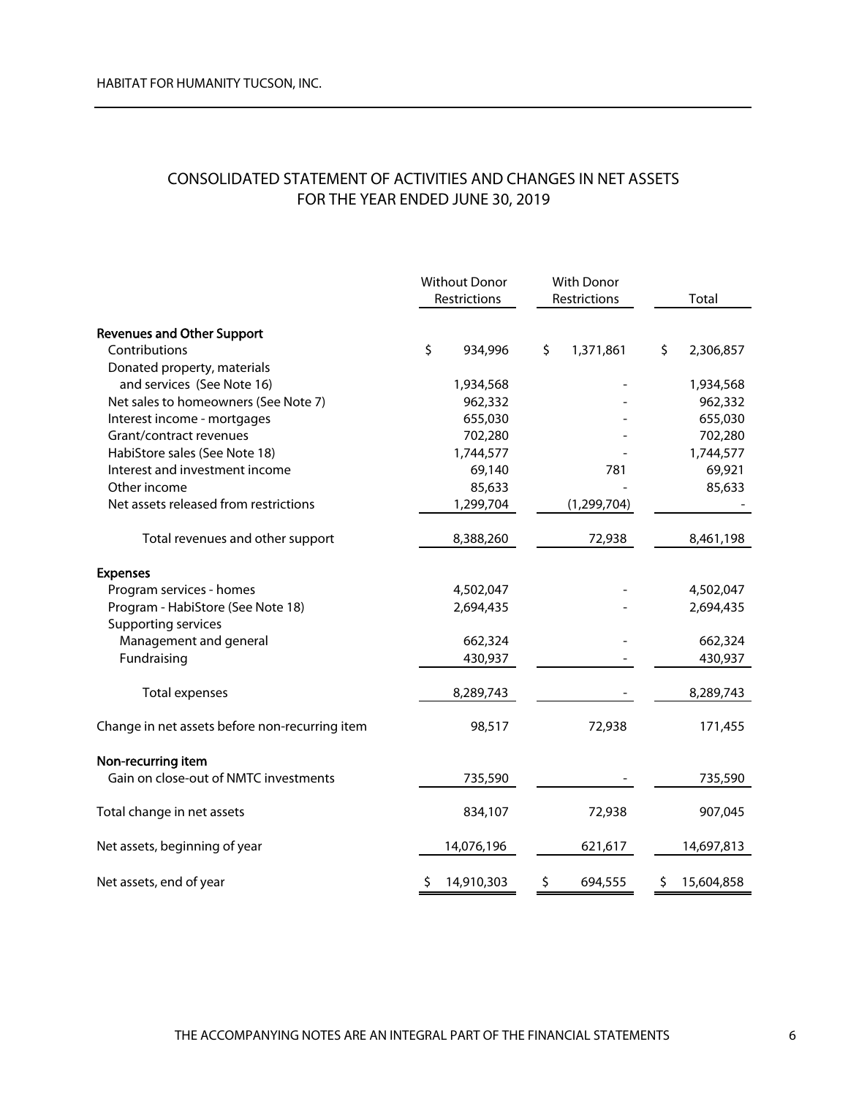# CONSOLIDATED STATEMENT OF ACTIVITIES AND CHANGES IN NET ASSETS FOR THE YEAR ENDED JUNE 30, 2019

|                                                | <b>Without Donor</b> | With Donor      |                  |
|------------------------------------------------|----------------------|-----------------|------------------|
|                                                | Restrictions         | Restrictions    | Total            |
| <b>Revenues and Other Support</b>              |                      |                 |                  |
| Contributions                                  | \$<br>934,996        | \$<br>1,371,861 | \$<br>2,306,857  |
| Donated property, materials                    |                      |                 |                  |
| and services (See Note 16)                     | 1,934,568            |                 | 1,934,568        |
| Net sales to homeowners (See Note 7)           | 962,332              |                 | 962,332          |
| Interest income - mortgages                    | 655,030              |                 | 655,030          |
| Grant/contract revenues                        | 702,280              |                 | 702,280          |
| HabiStore sales (See Note 18)                  | 1,744,577            |                 | 1,744,577        |
| Interest and investment income                 | 69,140               | 781             | 69,921           |
| Other income                                   | 85,633               |                 | 85,633           |
| Net assets released from restrictions          | 1,299,704            | (1, 299, 704)   |                  |
| Total revenues and other support               | 8,388,260            | 72,938          | 8,461,198        |
| <b>Expenses</b>                                |                      |                 |                  |
| Program services - homes                       | 4,502,047            |                 | 4,502,047        |
| Program - HabiStore (See Note 18)              | 2,694,435            |                 | 2,694,435        |
| Supporting services                            |                      |                 |                  |
| Management and general                         | 662,324              |                 | 662,324          |
| Fundraising                                    | 430,937              |                 | 430,937          |
| Total expenses                                 | 8,289,743            |                 | 8,289,743        |
| Change in net assets before non-recurring item | 98,517               | 72,938          | 171,455          |
| Non-recurring item                             |                      |                 |                  |
| Gain on close-out of NMTC investments          | 735,590              |                 | 735,590          |
| Total change in net assets                     | 834,107              | 72,938          | 907,045          |
| Net assets, beginning of year                  | 14,076,196           | 621,617         | 14,697,813       |
| Net assets, end of year                        | 14,910,303<br>\$     | \$<br>694,555   | \$<br>15,604,858 |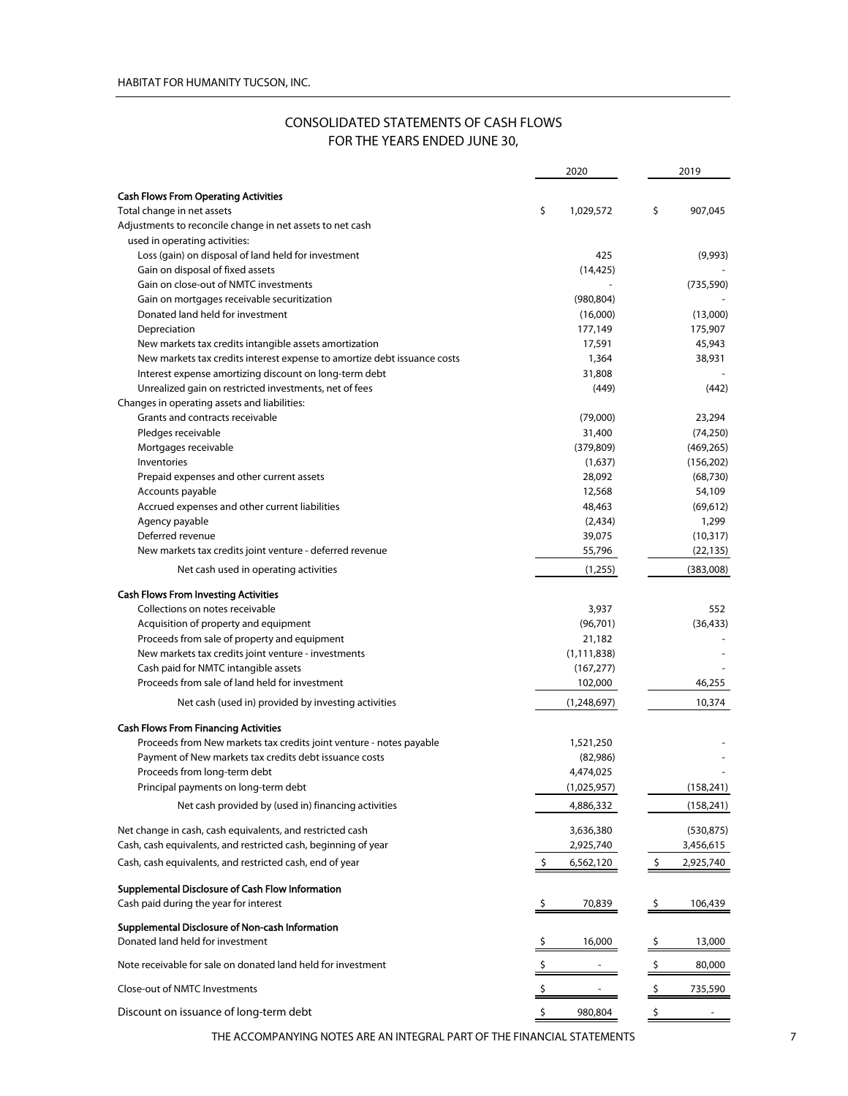## CONSOLIDATED STATEMENTS OF CASH FLOWS FOR THE YEARS ENDED JUNE 30,

| <b>Cash Flows From Operating Activities</b><br>\$<br>\$<br>907,045<br>Total change in net assets<br>1,029,572<br>Adjustments to reconcile change in net assets to net cash<br>used in operating activities:<br>Loss (gain) on disposal of land held for investment<br>425<br>(9,993)<br>Gain on disposal of fixed assets<br>(14, 425)<br>Gain on close-out of NMTC investments<br>(735, 590)<br>Gain on mortgages receivable securitization<br>(980, 804)<br>Donated land held for investment<br>(16,000)<br>(13,000)<br>Depreciation<br>177,149<br>175,907<br>New markets tax credits intangible assets amortization<br>17,591<br>45,943<br>New markets tax credits interest expense to amortize debt issuance costs<br>1,364<br>38,931<br>Interest expense amortizing discount on long-term debt<br>31,808<br>Unrealized gain on restricted investments, net of fees<br>(449)<br>(442)<br>Changes in operating assets and liabilities:<br>Grants and contracts receivable<br>(79,000)<br>23,294<br>Pledges receivable<br>31,400<br>(74, 250)<br>Mortgages receivable<br>(379, 809)<br>(469, 265)<br>Inventories<br>(1,637)<br>(156, 202)<br>Prepaid expenses and other current assets<br>28,092<br>(68, 730)<br>Accounts payable<br>12,568<br>54,109<br>Accrued expenses and other current liabilities<br>48,463<br>(69, 612)<br>Agency payable<br>(2,434)<br>1,299<br>Deferred revenue<br>39,075<br>(10, 317)<br>New markets tax credits joint venture - deferred revenue<br>55,796<br>(22, 135)<br>(383,008)<br>Net cash used in operating activities<br>(1,255)<br><b>Cash Flows From Investing Activities</b><br>Collections on notes receivable<br>3,937<br>552<br>Acquisition of property and equipment<br>(96, 701)<br>(36, 433)<br>Proceeds from sale of property and equipment<br>21,182<br>New markets tax credits joint venture - investments<br>(1, 111, 838)<br>Cash paid for NMTC intangible assets<br>(167, 277)<br>Proceeds from sale of land held for investment<br>102,000<br>46,255<br>Net cash (used in) provided by investing activities<br>(1,248,697)<br>10,374<br><b>Cash Flows From Financing Activities</b><br>Proceeds from New markets tax credits joint venture - notes payable<br>1,521,250<br>Payment of New markets tax credits debt issuance costs<br>(82,986)<br>Proceeds from long-term debt<br>4,474,025<br>(1,025,957)<br>(158, 241)<br>Principal payments on long-term debt<br>Net cash provided by (used in) financing activities<br>4,886,332<br>(158, 241)<br>Net change in cash, cash equivalents, and restricted cash<br>3,636,380<br>(530, 875)<br>Cash, cash equivalents, and restricted cash, beginning of year<br>2,925,740<br>3,456,615<br>Cash, cash equivalents, and restricted cash, end of year<br>\$<br>6,562,120<br>\$<br>2,925,740<br>Supplemental Disclosure of Cash Flow Information<br>Cash paid during the year for interest<br>70,839<br>106,439<br>Ş<br>Supplemental Disclosure of Non-cash Information<br>Donated land held for investment<br>16,000<br>13,000<br>-Ş<br>Ş<br>Note receivable for sale on donated land held for investment<br>80,000<br>\$<br>\$<br>Close-out of NMTC Investments<br>\$<br>735,590<br>Discount on issuance of long-term debt<br>980,804<br>\$<br>\$ |  | 2020 | 2019 |
|----------------------------------------------------------------------------------------------------------------------------------------------------------------------------------------------------------------------------------------------------------------------------------------------------------------------------------------------------------------------------------------------------------------------------------------------------------------------------------------------------------------------------------------------------------------------------------------------------------------------------------------------------------------------------------------------------------------------------------------------------------------------------------------------------------------------------------------------------------------------------------------------------------------------------------------------------------------------------------------------------------------------------------------------------------------------------------------------------------------------------------------------------------------------------------------------------------------------------------------------------------------------------------------------------------------------------------------------------------------------------------------------------------------------------------------------------------------------------------------------------------------------------------------------------------------------------------------------------------------------------------------------------------------------------------------------------------------------------------------------------------------------------------------------------------------------------------------------------------------------------------------------------------------------------------------------------------------------------------------------------------------------------------------------------------------------------------------------------------------------------------------------------------------------------------------------------------------------------------------------------------------------------------------------------------------------------------------------------------------------------------------------------------------------------------------------------------------------------------------------------------------------------------------------------------------------------------------------------------------------------------------------------------------------------------------------------------------------------------------------------------------------------------------------------------------------------------------------------------------------------------------------------------------------------------------------------------------------------------------------------------------------------------------------------------------------------------------------------------------------------------------------------------------------------------------------------------------------------------------------------|--|------|------|
|                                                                                                                                                                                                                                                                                                                                                                                                                                                                                                                                                                                                                                                                                                                                                                                                                                                                                                                                                                                                                                                                                                                                                                                                                                                                                                                                                                                                                                                                                                                                                                                                                                                                                                                                                                                                                                                                                                                                                                                                                                                                                                                                                                                                                                                                                                                                                                                                                                                                                                                                                                                                                                                                                                                                                                                                                                                                                                                                                                                                                                                                                                                                                                                                                                                    |  |      |      |
|                                                                                                                                                                                                                                                                                                                                                                                                                                                                                                                                                                                                                                                                                                                                                                                                                                                                                                                                                                                                                                                                                                                                                                                                                                                                                                                                                                                                                                                                                                                                                                                                                                                                                                                                                                                                                                                                                                                                                                                                                                                                                                                                                                                                                                                                                                                                                                                                                                                                                                                                                                                                                                                                                                                                                                                                                                                                                                                                                                                                                                                                                                                                                                                                                                                    |  |      |      |
|                                                                                                                                                                                                                                                                                                                                                                                                                                                                                                                                                                                                                                                                                                                                                                                                                                                                                                                                                                                                                                                                                                                                                                                                                                                                                                                                                                                                                                                                                                                                                                                                                                                                                                                                                                                                                                                                                                                                                                                                                                                                                                                                                                                                                                                                                                                                                                                                                                                                                                                                                                                                                                                                                                                                                                                                                                                                                                                                                                                                                                                                                                                                                                                                                                                    |  |      |      |
|                                                                                                                                                                                                                                                                                                                                                                                                                                                                                                                                                                                                                                                                                                                                                                                                                                                                                                                                                                                                                                                                                                                                                                                                                                                                                                                                                                                                                                                                                                                                                                                                                                                                                                                                                                                                                                                                                                                                                                                                                                                                                                                                                                                                                                                                                                                                                                                                                                                                                                                                                                                                                                                                                                                                                                                                                                                                                                                                                                                                                                                                                                                                                                                                                                                    |  |      |      |
|                                                                                                                                                                                                                                                                                                                                                                                                                                                                                                                                                                                                                                                                                                                                                                                                                                                                                                                                                                                                                                                                                                                                                                                                                                                                                                                                                                                                                                                                                                                                                                                                                                                                                                                                                                                                                                                                                                                                                                                                                                                                                                                                                                                                                                                                                                                                                                                                                                                                                                                                                                                                                                                                                                                                                                                                                                                                                                                                                                                                                                                                                                                                                                                                                                                    |  |      |      |
|                                                                                                                                                                                                                                                                                                                                                                                                                                                                                                                                                                                                                                                                                                                                                                                                                                                                                                                                                                                                                                                                                                                                                                                                                                                                                                                                                                                                                                                                                                                                                                                                                                                                                                                                                                                                                                                                                                                                                                                                                                                                                                                                                                                                                                                                                                                                                                                                                                                                                                                                                                                                                                                                                                                                                                                                                                                                                                                                                                                                                                                                                                                                                                                                                                                    |  |      |      |
|                                                                                                                                                                                                                                                                                                                                                                                                                                                                                                                                                                                                                                                                                                                                                                                                                                                                                                                                                                                                                                                                                                                                                                                                                                                                                                                                                                                                                                                                                                                                                                                                                                                                                                                                                                                                                                                                                                                                                                                                                                                                                                                                                                                                                                                                                                                                                                                                                                                                                                                                                                                                                                                                                                                                                                                                                                                                                                                                                                                                                                                                                                                                                                                                                                                    |  |      |      |
|                                                                                                                                                                                                                                                                                                                                                                                                                                                                                                                                                                                                                                                                                                                                                                                                                                                                                                                                                                                                                                                                                                                                                                                                                                                                                                                                                                                                                                                                                                                                                                                                                                                                                                                                                                                                                                                                                                                                                                                                                                                                                                                                                                                                                                                                                                                                                                                                                                                                                                                                                                                                                                                                                                                                                                                                                                                                                                                                                                                                                                                                                                                                                                                                                                                    |  |      |      |
|                                                                                                                                                                                                                                                                                                                                                                                                                                                                                                                                                                                                                                                                                                                                                                                                                                                                                                                                                                                                                                                                                                                                                                                                                                                                                                                                                                                                                                                                                                                                                                                                                                                                                                                                                                                                                                                                                                                                                                                                                                                                                                                                                                                                                                                                                                                                                                                                                                                                                                                                                                                                                                                                                                                                                                                                                                                                                                                                                                                                                                                                                                                                                                                                                                                    |  |      |      |
|                                                                                                                                                                                                                                                                                                                                                                                                                                                                                                                                                                                                                                                                                                                                                                                                                                                                                                                                                                                                                                                                                                                                                                                                                                                                                                                                                                                                                                                                                                                                                                                                                                                                                                                                                                                                                                                                                                                                                                                                                                                                                                                                                                                                                                                                                                                                                                                                                                                                                                                                                                                                                                                                                                                                                                                                                                                                                                                                                                                                                                                                                                                                                                                                                                                    |  |      |      |
|                                                                                                                                                                                                                                                                                                                                                                                                                                                                                                                                                                                                                                                                                                                                                                                                                                                                                                                                                                                                                                                                                                                                                                                                                                                                                                                                                                                                                                                                                                                                                                                                                                                                                                                                                                                                                                                                                                                                                                                                                                                                                                                                                                                                                                                                                                                                                                                                                                                                                                                                                                                                                                                                                                                                                                                                                                                                                                                                                                                                                                                                                                                                                                                                                                                    |  |      |      |
|                                                                                                                                                                                                                                                                                                                                                                                                                                                                                                                                                                                                                                                                                                                                                                                                                                                                                                                                                                                                                                                                                                                                                                                                                                                                                                                                                                                                                                                                                                                                                                                                                                                                                                                                                                                                                                                                                                                                                                                                                                                                                                                                                                                                                                                                                                                                                                                                                                                                                                                                                                                                                                                                                                                                                                                                                                                                                                                                                                                                                                                                                                                                                                                                                                                    |  |      |      |
|                                                                                                                                                                                                                                                                                                                                                                                                                                                                                                                                                                                                                                                                                                                                                                                                                                                                                                                                                                                                                                                                                                                                                                                                                                                                                                                                                                                                                                                                                                                                                                                                                                                                                                                                                                                                                                                                                                                                                                                                                                                                                                                                                                                                                                                                                                                                                                                                                                                                                                                                                                                                                                                                                                                                                                                                                                                                                                                                                                                                                                                                                                                                                                                                                                                    |  |      |      |
|                                                                                                                                                                                                                                                                                                                                                                                                                                                                                                                                                                                                                                                                                                                                                                                                                                                                                                                                                                                                                                                                                                                                                                                                                                                                                                                                                                                                                                                                                                                                                                                                                                                                                                                                                                                                                                                                                                                                                                                                                                                                                                                                                                                                                                                                                                                                                                                                                                                                                                                                                                                                                                                                                                                                                                                                                                                                                                                                                                                                                                                                                                                                                                                                                                                    |  |      |      |
|                                                                                                                                                                                                                                                                                                                                                                                                                                                                                                                                                                                                                                                                                                                                                                                                                                                                                                                                                                                                                                                                                                                                                                                                                                                                                                                                                                                                                                                                                                                                                                                                                                                                                                                                                                                                                                                                                                                                                                                                                                                                                                                                                                                                                                                                                                                                                                                                                                                                                                                                                                                                                                                                                                                                                                                                                                                                                                                                                                                                                                                                                                                                                                                                                                                    |  |      |      |
|                                                                                                                                                                                                                                                                                                                                                                                                                                                                                                                                                                                                                                                                                                                                                                                                                                                                                                                                                                                                                                                                                                                                                                                                                                                                                                                                                                                                                                                                                                                                                                                                                                                                                                                                                                                                                                                                                                                                                                                                                                                                                                                                                                                                                                                                                                                                                                                                                                                                                                                                                                                                                                                                                                                                                                                                                                                                                                                                                                                                                                                                                                                                                                                                                                                    |  |      |      |
|                                                                                                                                                                                                                                                                                                                                                                                                                                                                                                                                                                                                                                                                                                                                                                                                                                                                                                                                                                                                                                                                                                                                                                                                                                                                                                                                                                                                                                                                                                                                                                                                                                                                                                                                                                                                                                                                                                                                                                                                                                                                                                                                                                                                                                                                                                                                                                                                                                                                                                                                                                                                                                                                                                                                                                                                                                                                                                                                                                                                                                                                                                                                                                                                                                                    |  |      |      |
|                                                                                                                                                                                                                                                                                                                                                                                                                                                                                                                                                                                                                                                                                                                                                                                                                                                                                                                                                                                                                                                                                                                                                                                                                                                                                                                                                                                                                                                                                                                                                                                                                                                                                                                                                                                                                                                                                                                                                                                                                                                                                                                                                                                                                                                                                                                                                                                                                                                                                                                                                                                                                                                                                                                                                                                                                                                                                                                                                                                                                                                                                                                                                                                                                                                    |  |      |      |
|                                                                                                                                                                                                                                                                                                                                                                                                                                                                                                                                                                                                                                                                                                                                                                                                                                                                                                                                                                                                                                                                                                                                                                                                                                                                                                                                                                                                                                                                                                                                                                                                                                                                                                                                                                                                                                                                                                                                                                                                                                                                                                                                                                                                                                                                                                                                                                                                                                                                                                                                                                                                                                                                                                                                                                                                                                                                                                                                                                                                                                                                                                                                                                                                                                                    |  |      |      |
|                                                                                                                                                                                                                                                                                                                                                                                                                                                                                                                                                                                                                                                                                                                                                                                                                                                                                                                                                                                                                                                                                                                                                                                                                                                                                                                                                                                                                                                                                                                                                                                                                                                                                                                                                                                                                                                                                                                                                                                                                                                                                                                                                                                                                                                                                                                                                                                                                                                                                                                                                                                                                                                                                                                                                                                                                                                                                                                                                                                                                                                                                                                                                                                                                                                    |  |      |      |
|                                                                                                                                                                                                                                                                                                                                                                                                                                                                                                                                                                                                                                                                                                                                                                                                                                                                                                                                                                                                                                                                                                                                                                                                                                                                                                                                                                                                                                                                                                                                                                                                                                                                                                                                                                                                                                                                                                                                                                                                                                                                                                                                                                                                                                                                                                                                                                                                                                                                                                                                                                                                                                                                                                                                                                                                                                                                                                                                                                                                                                                                                                                                                                                                                                                    |  |      |      |
|                                                                                                                                                                                                                                                                                                                                                                                                                                                                                                                                                                                                                                                                                                                                                                                                                                                                                                                                                                                                                                                                                                                                                                                                                                                                                                                                                                                                                                                                                                                                                                                                                                                                                                                                                                                                                                                                                                                                                                                                                                                                                                                                                                                                                                                                                                                                                                                                                                                                                                                                                                                                                                                                                                                                                                                                                                                                                                                                                                                                                                                                                                                                                                                                                                                    |  |      |      |
|                                                                                                                                                                                                                                                                                                                                                                                                                                                                                                                                                                                                                                                                                                                                                                                                                                                                                                                                                                                                                                                                                                                                                                                                                                                                                                                                                                                                                                                                                                                                                                                                                                                                                                                                                                                                                                                                                                                                                                                                                                                                                                                                                                                                                                                                                                                                                                                                                                                                                                                                                                                                                                                                                                                                                                                                                                                                                                                                                                                                                                                                                                                                                                                                                                                    |  |      |      |
|                                                                                                                                                                                                                                                                                                                                                                                                                                                                                                                                                                                                                                                                                                                                                                                                                                                                                                                                                                                                                                                                                                                                                                                                                                                                                                                                                                                                                                                                                                                                                                                                                                                                                                                                                                                                                                                                                                                                                                                                                                                                                                                                                                                                                                                                                                                                                                                                                                                                                                                                                                                                                                                                                                                                                                                                                                                                                                                                                                                                                                                                                                                                                                                                                                                    |  |      |      |
|                                                                                                                                                                                                                                                                                                                                                                                                                                                                                                                                                                                                                                                                                                                                                                                                                                                                                                                                                                                                                                                                                                                                                                                                                                                                                                                                                                                                                                                                                                                                                                                                                                                                                                                                                                                                                                                                                                                                                                                                                                                                                                                                                                                                                                                                                                                                                                                                                                                                                                                                                                                                                                                                                                                                                                                                                                                                                                                                                                                                                                                                                                                                                                                                                                                    |  |      |      |
|                                                                                                                                                                                                                                                                                                                                                                                                                                                                                                                                                                                                                                                                                                                                                                                                                                                                                                                                                                                                                                                                                                                                                                                                                                                                                                                                                                                                                                                                                                                                                                                                                                                                                                                                                                                                                                                                                                                                                                                                                                                                                                                                                                                                                                                                                                                                                                                                                                                                                                                                                                                                                                                                                                                                                                                                                                                                                                                                                                                                                                                                                                                                                                                                                                                    |  |      |      |
|                                                                                                                                                                                                                                                                                                                                                                                                                                                                                                                                                                                                                                                                                                                                                                                                                                                                                                                                                                                                                                                                                                                                                                                                                                                                                                                                                                                                                                                                                                                                                                                                                                                                                                                                                                                                                                                                                                                                                                                                                                                                                                                                                                                                                                                                                                                                                                                                                                                                                                                                                                                                                                                                                                                                                                                                                                                                                                                                                                                                                                                                                                                                                                                                                                                    |  |      |      |
|                                                                                                                                                                                                                                                                                                                                                                                                                                                                                                                                                                                                                                                                                                                                                                                                                                                                                                                                                                                                                                                                                                                                                                                                                                                                                                                                                                                                                                                                                                                                                                                                                                                                                                                                                                                                                                                                                                                                                                                                                                                                                                                                                                                                                                                                                                                                                                                                                                                                                                                                                                                                                                                                                                                                                                                                                                                                                                                                                                                                                                                                                                                                                                                                                                                    |  |      |      |
|                                                                                                                                                                                                                                                                                                                                                                                                                                                                                                                                                                                                                                                                                                                                                                                                                                                                                                                                                                                                                                                                                                                                                                                                                                                                                                                                                                                                                                                                                                                                                                                                                                                                                                                                                                                                                                                                                                                                                                                                                                                                                                                                                                                                                                                                                                                                                                                                                                                                                                                                                                                                                                                                                                                                                                                                                                                                                                                                                                                                                                                                                                                                                                                                                                                    |  |      |      |
|                                                                                                                                                                                                                                                                                                                                                                                                                                                                                                                                                                                                                                                                                                                                                                                                                                                                                                                                                                                                                                                                                                                                                                                                                                                                                                                                                                                                                                                                                                                                                                                                                                                                                                                                                                                                                                                                                                                                                                                                                                                                                                                                                                                                                                                                                                                                                                                                                                                                                                                                                                                                                                                                                                                                                                                                                                                                                                                                                                                                                                                                                                                                                                                                                                                    |  |      |      |
|                                                                                                                                                                                                                                                                                                                                                                                                                                                                                                                                                                                                                                                                                                                                                                                                                                                                                                                                                                                                                                                                                                                                                                                                                                                                                                                                                                                                                                                                                                                                                                                                                                                                                                                                                                                                                                                                                                                                                                                                                                                                                                                                                                                                                                                                                                                                                                                                                                                                                                                                                                                                                                                                                                                                                                                                                                                                                                                                                                                                                                                                                                                                                                                                                                                    |  |      |      |
|                                                                                                                                                                                                                                                                                                                                                                                                                                                                                                                                                                                                                                                                                                                                                                                                                                                                                                                                                                                                                                                                                                                                                                                                                                                                                                                                                                                                                                                                                                                                                                                                                                                                                                                                                                                                                                                                                                                                                                                                                                                                                                                                                                                                                                                                                                                                                                                                                                                                                                                                                                                                                                                                                                                                                                                                                                                                                                                                                                                                                                                                                                                                                                                                                                                    |  |      |      |
|                                                                                                                                                                                                                                                                                                                                                                                                                                                                                                                                                                                                                                                                                                                                                                                                                                                                                                                                                                                                                                                                                                                                                                                                                                                                                                                                                                                                                                                                                                                                                                                                                                                                                                                                                                                                                                                                                                                                                                                                                                                                                                                                                                                                                                                                                                                                                                                                                                                                                                                                                                                                                                                                                                                                                                                                                                                                                                                                                                                                                                                                                                                                                                                                                                                    |  |      |      |
|                                                                                                                                                                                                                                                                                                                                                                                                                                                                                                                                                                                                                                                                                                                                                                                                                                                                                                                                                                                                                                                                                                                                                                                                                                                                                                                                                                                                                                                                                                                                                                                                                                                                                                                                                                                                                                                                                                                                                                                                                                                                                                                                                                                                                                                                                                                                                                                                                                                                                                                                                                                                                                                                                                                                                                                                                                                                                                                                                                                                                                                                                                                                                                                                                                                    |  |      |      |
|                                                                                                                                                                                                                                                                                                                                                                                                                                                                                                                                                                                                                                                                                                                                                                                                                                                                                                                                                                                                                                                                                                                                                                                                                                                                                                                                                                                                                                                                                                                                                                                                                                                                                                                                                                                                                                                                                                                                                                                                                                                                                                                                                                                                                                                                                                                                                                                                                                                                                                                                                                                                                                                                                                                                                                                                                                                                                                                                                                                                                                                                                                                                                                                                                                                    |  |      |      |
|                                                                                                                                                                                                                                                                                                                                                                                                                                                                                                                                                                                                                                                                                                                                                                                                                                                                                                                                                                                                                                                                                                                                                                                                                                                                                                                                                                                                                                                                                                                                                                                                                                                                                                                                                                                                                                                                                                                                                                                                                                                                                                                                                                                                                                                                                                                                                                                                                                                                                                                                                                                                                                                                                                                                                                                                                                                                                                                                                                                                                                                                                                                                                                                                                                                    |  |      |      |
|                                                                                                                                                                                                                                                                                                                                                                                                                                                                                                                                                                                                                                                                                                                                                                                                                                                                                                                                                                                                                                                                                                                                                                                                                                                                                                                                                                                                                                                                                                                                                                                                                                                                                                                                                                                                                                                                                                                                                                                                                                                                                                                                                                                                                                                                                                                                                                                                                                                                                                                                                                                                                                                                                                                                                                                                                                                                                                                                                                                                                                                                                                                                                                                                                                                    |  |      |      |
|                                                                                                                                                                                                                                                                                                                                                                                                                                                                                                                                                                                                                                                                                                                                                                                                                                                                                                                                                                                                                                                                                                                                                                                                                                                                                                                                                                                                                                                                                                                                                                                                                                                                                                                                                                                                                                                                                                                                                                                                                                                                                                                                                                                                                                                                                                                                                                                                                                                                                                                                                                                                                                                                                                                                                                                                                                                                                                                                                                                                                                                                                                                                                                                                                                                    |  |      |      |
|                                                                                                                                                                                                                                                                                                                                                                                                                                                                                                                                                                                                                                                                                                                                                                                                                                                                                                                                                                                                                                                                                                                                                                                                                                                                                                                                                                                                                                                                                                                                                                                                                                                                                                                                                                                                                                                                                                                                                                                                                                                                                                                                                                                                                                                                                                                                                                                                                                                                                                                                                                                                                                                                                                                                                                                                                                                                                                                                                                                                                                                                                                                                                                                                                                                    |  |      |      |
|                                                                                                                                                                                                                                                                                                                                                                                                                                                                                                                                                                                                                                                                                                                                                                                                                                                                                                                                                                                                                                                                                                                                                                                                                                                                                                                                                                                                                                                                                                                                                                                                                                                                                                                                                                                                                                                                                                                                                                                                                                                                                                                                                                                                                                                                                                                                                                                                                                                                                                                                                                                                                                                                                                                                                                                                                                                                                                                                                                                                                                                                                                                                                                                                                                                    |  |      |      |
|                                                                                                                                                                                                                                                                                                                                                                                                                                                                                                                                                                                                                                                                                                                                                                                                                                                                                                                                                                                                                                                                                                                                                                                                                                                                                                                                                                                                                                                                                                                                                                                                                                                                                                                                                                                                                                                                                                                                                                                                                                                                                                                                                                                                                                                                                                                                                                                                                                                                                                                                                                                                                                                                                                                                                                                                                                                                                                                                                                                                                                                                                                                                                                                                                                                    |  |      |      |
|                                                                                                                                                                                                                                                                                                                                                                                                                                                                                                                                                                                                                                                                                                                                                                                                                                                                                                                                                                                                                                                                                                                                                                                                                                                                                                                                                                                                                                                                                                                                                                                                                                                                                                                                                                                                                                                                                                                                                                                                                                                                                                                                                                                                                                                                                                                                                                                                                                                                                                                                                                                                                                                                                                                                                                                                                                                                                                                                                                                                                                                                                                                                                                                                                                                    |  |      |      |
|                                                                                                                                                                                                                                                                                                                                                                                                                                                                                                                                                                                                                                                                                                                                                                                                                                                                                                                                                                                                                                                                                                                                                                                                                                                                                                                                                                                                                                                                                                                                                                                                                                                                                                                                                                                                                                                                                                                                                                                                                                                                                                                                                                                                                                                                                                                                                                                                                                                                                                                                                                                                                                                                                                                                                                                                                                                                                                                                                                                                                                                                                                                                                                                                                                                    |  |      |      |
|                                                                                                                                                                                                                                                                                                                                                                                                                                                                                                                                                                                                                                                                                                                                                                                                                                                                                                                                                                                                                                                                                                                                                                                                                                                                                                                                                                                                                                                                                                                                                                                                                                                                                                                                                                                                                                                                                                                                                                                                                                                                                                                                                                                                                                                                                                                                                                                                                                                                                                                                                                                                                                                                                                                                                                                                                                                                                                                                                                                                                                                                                                                                                                                                                                                    |  |      |      |
|                                                                                                                                                                                                                                                                                                                                                                                                                                                                                                                                                                                                                                                                                                                                                                                                                                                                                                                                                                                                                                                                                                                                                                                                                                                                                                                                                                                                                                                                                                                                                                                                                                                                                                                                                                                                                                                                                                                                                                                                                                                                                                                                                                                                                                                                                                                                                                                                                                                                                                                                                                                                                                                                                                                                                                                                                                                                                                                                                                                                                                                                                                                                                                                                                                                    |  |      |      |
|                                                                                                                                                                                                                                                                                                                                                                                                                                                                                                                                                                                                                                                                                                                                                                                                                                                                                                                                                                                                                                                                                                                                                                                                                                                                                                                                                                                                                                                                                                                                                                                                                                                                                                                                                                                                                                                                                                                                                                                                                                                                                                                                                                                                                                                                                                                                                                                                                                                                                                                                                                                                                                                                                                                                                                                                                                                                                                                                                                                                                                                                                                                                                                                                                                                    |  |      |      |
|                                                                                                                                                                                                                                                                                                                                                                                                                                                                                                                                                                                                                                                                                                                                                                                                                                                                                                                                                                                                                                                                                                                                                                                                                                                                                                                                                                                                                                                                                                                                                                                                                                                                                                                                                                                                                                                                                                                                                                                                                                                                                                                                                                                                                                                                                                                                                                                                                                                                                                                                                                                                                                                                                                                                                                                                                                                                                                                                                                                                                                                                                                                                                                                                                                                    |  |      |      |
|                                                                                                                                                                                                                                                                                                                                                                                                                                                                                                                                                                                                                                                                                                                                                                                                                                                                                                                                                                                                                                                                                                                                                                                                                                                                                                                                                                                                                                                                                                                                                                                                                                                                                                                                                                                                                                                                                                                                                                                                                                                                                                                                                                                                                                                                                                                                                                                                                                                                                                                                                                                                                                                                                                                                                                                                                                                                                                                                                                                                                                                                                                                                                                                                                                                    |  |      |      |
|                                                                                                                                                                                                                                                                                                                                                                                                                                                                                                                                                                                                                                                                                                                                                                                                                                                                                                                                                                                                                                                                                                                                                                                                                                                                                                                                                                                                                                                                                                                                                                                                                                                                                                                                                                                                                                                                                                                                                                                                                                                                                                                                                                                                                                                                                                                                                                                                                                                                                                                                                                                                                                                                                                                                                                                                                                                                                                                                                                                                                                                                                                                                                                                                                                                    |  |      |      |
|                                                                                                                                                                                                                                                                                                                                                                                                                                                                                                                                                                                                                                                                                                                                                                                                                                                                                                                                                                                                                                                                                                                                                                                                                                                                                                                                                                                                                                                                                                                                                                                                                                                                                                                                                                                                                                                                                                                                                                                                                                                                                                                                                                                                                                                                                                                                                                                                                                                                                                                                                                                                                                                                                                                                                                                                                                                                                                                                                                                                                                                                                                                                                                                                                                                    |  |      |      |
|                                                                                                                                                                                                                                                                                                                                                                                                                                                                                                                                                                                                                                                                                                                                                                                                                                                                                                                                                                                                                                                                                                                                                                                                                                                                                                                                                                                                                                                                                                                                                                                                                                                                                                                                                                                                                                                                                                                                                                                                                                                                                                                                                                                                                                                                                                                                                                                                                                                                                                                                                                                                                                                                                                                                                                                                                                                                                                                                                                                                                                                                                                                                                                                                                                                    |  |      |      |
|                                                                                                                                                                                                                                                                                                                                                                                                                                                                                                                                                                                                                                                                                                                                                                                                                                                                                                                                                                                                                                                                                                                                                                                                                                                                                                                                                                                                                                                                                                                                                                                                                                                                                                                                                                                                                                                                                                                                                                                                                                                                                                                                                                                                                                                                                                                                                                                                                                                                                                                                                                                                                                                                                                                                                                                                                                                                                                                                                                                                                                                                                                                                                                                                                                                    |  |      |      |

THE ACCOMPANYING NOTES ARE AN INTEGRAL PART OF THE FINANCIAL STATEMENTS 7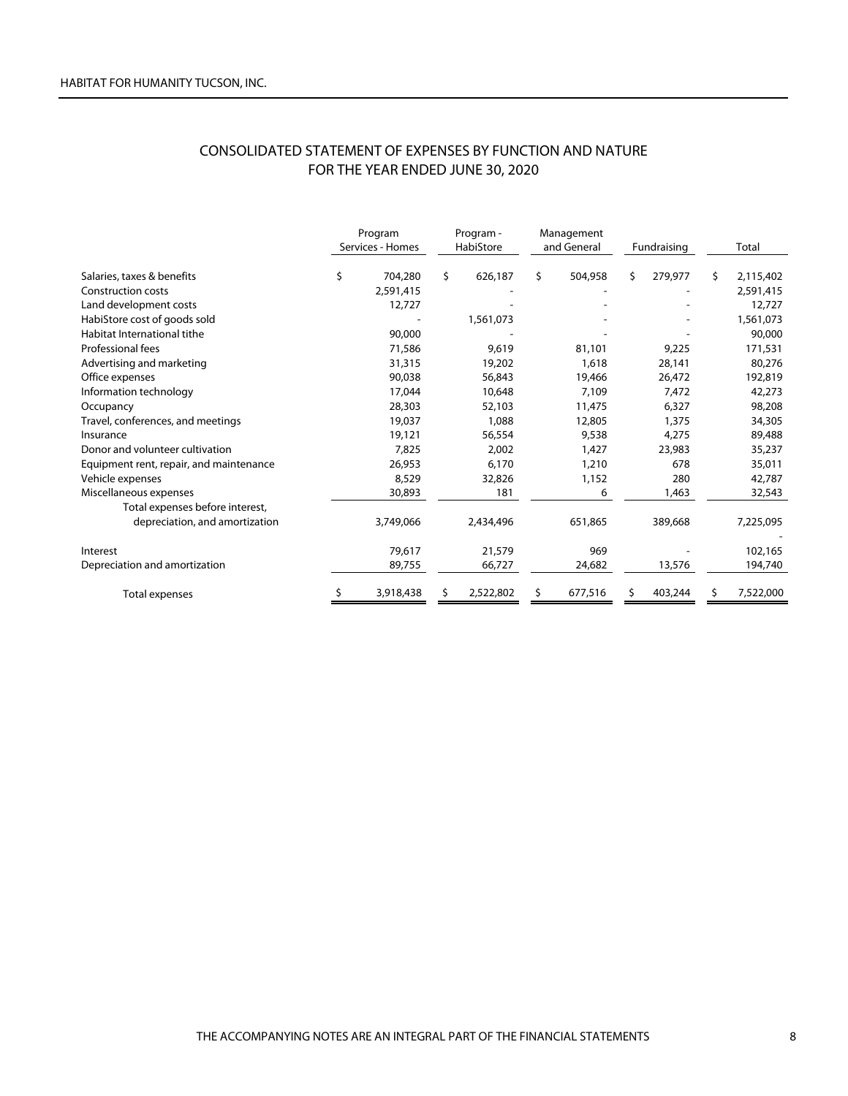## CONSOLIDATED STATEMENT OF EXPENSES BY FUNCTION AND NATURE FOR THE YEAR ENDED JUNE 30, 2020

|                                         | Program<br>Services - Homes |    | Program -<br>HabiStore | Management<br>and General |         | Fundraising   |    | Total     |
|-----------------------------------------|-----------------------------|----|------------------------|---------------------------|---------|---------------|----|-----------|
| Salaries, taxes & benefits              | \$<br>704,280               | \$ | 626,187                | \$                        | 504,958 | \$<br>279,977 | S. | 2,115,402 |
| <b>Construction costs</b>               | 2,591,415                   |    |                        |                           |         |               |    | 2,591,415 |
| Land development costs                  | 12,727                      |    |                        |                           |         |               |    | 12,727    |
| HabiStore cost of goods sold            |                             |    | 1,561,073              |                           |         |               |    | 1,561,073 |
| Habitat International tithe             | 90,000                      |    |                        |                           |         |               |    | 90,000    |
| <b>Professional fees</b>                | 71,586                      |    | 9,619                  |                           | 81,101  | 9,225         |    | 171,531   |
| Advertising and marketing               | 31,315                      |    | 19,202                 |                           | 1,618   | 28,141        |    | 80,276    |
| Office expenses                         | 90,038                      |    | 56,843                 |                           | 19,466  | 26,472        |    | 192,819   |
| Information technology                  | 17,044                      |    | 10,648                 |                           | 7,109   | 7,472         |    | 42,273    |
| Occupancy                               | 28,303                      |    | 52,103                 |                           | 11,475  | 6,327         |    | 98,208    |
| Travel, conferences, and meetings       | 19,037                      |    | 1,088                  |                           | 12,805  | 1,375         |    | 34,305    |
| Insurance                               | 19,121                      |    | 56,554                 |                           | 9,538   | 4,275         |    | 89,488    |
| Donor and volunteer cultivation         | 7,825                       |    | 2,002                  |                           | 1,427   | 23,983        |    | 35,237    |
| Equipment rent, repair, and maintenance | 26,953                      |    | 6,170                  |                           | 1,210   | 678           |    | 35,011    |
| Vehicle expenses                        | 8.529                       |    | 32,826                 |                           | 1,152   | 280           |    | 42,787    |
| Miscellaneous expenses                  | 30,893                      |    | 181                    |                           | 6       | 1,463         |    | 32,543    |
| Total expenses before interest,         |                             |    |                        |                           |         |               |    |           |
| depreciation, and amortization          | 3,749,066                   |    | 2,434,496              |                           | 651,865 | 389,668       |    | 7,225,095 |
| Interest                                | 79.617                      |    | 21,579                 |                           | 969     |               |    | 102,165   |
| Depreciation and amortization           | 89,755                      |    | 66,727                 |                           | 24,682  | 13,576        |    | 194,740   |
| Total expenses                          | 3,918,438                   |    | 2,522,802              | \$                        | 677,516 | 403,244       | S  | 7,522,000 |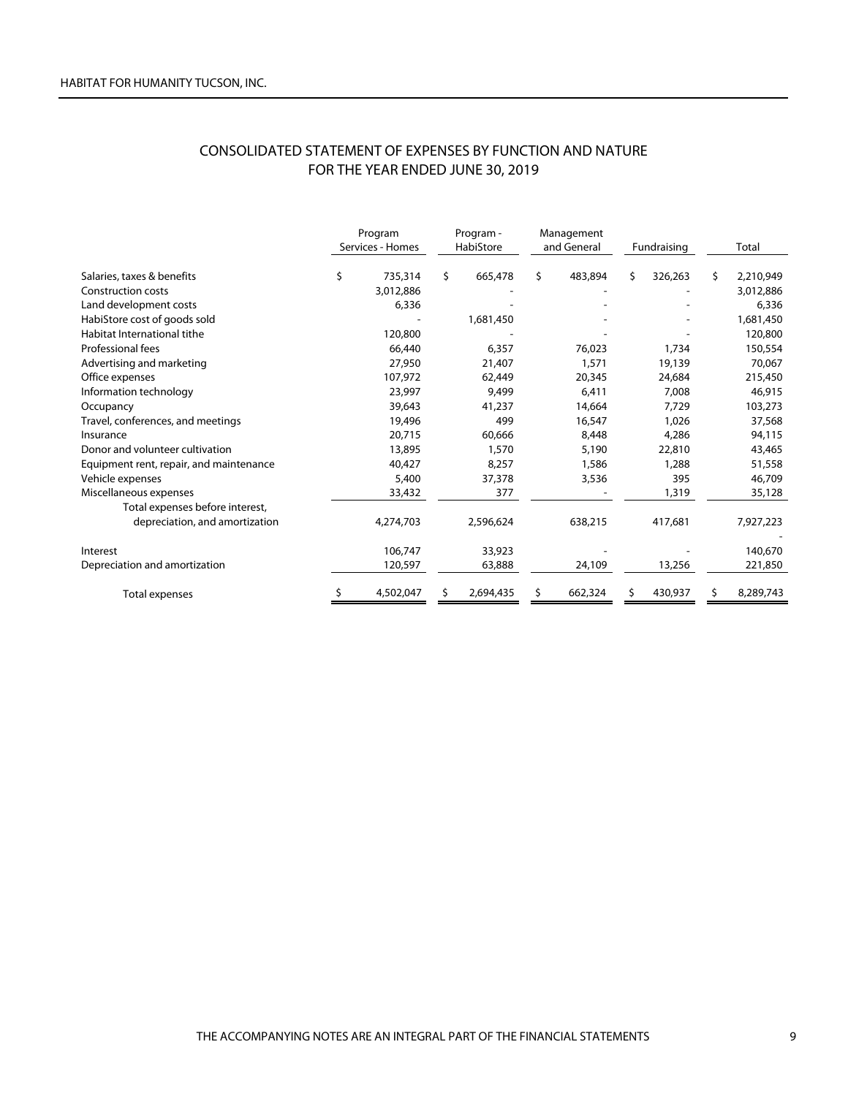## CONSOLIDATED STATEMENT OF EXPENSES BY FUNCTION AND NATURE FOR THE YEAR ENDED JUNE 30, 2019

|                                         | Program<br>Services - Homes | Program -<br>HabiStore |           | Management<br>and General |         |    | Fundraising |    | Total     |
|-----------------------------------------|-----------------------------|------------------------|-----------|---------------------------|---------|----|-------------|----|-----------|
| Salaries, taxes & benefits              | \$<br>735,314               | Ŝ.                     | 665,478   | \$                        | 483,894 | Ś. | 326,263     | S. | 2,210,949 |
| <b>Construction costs</b>               | 3,012,886                   |                        |           |                           |         |    |             |    | 3,012,886 |
| Land development costs                  | 6,336                       |                        |           |                           |         |    |             |    | 6,336     |
| HabiStore cost of goods sold            |                             |                        | 1,681,450 |                           |         |    |             |    | 1,681,450 |
| Habitat International tithe             | 120,800                     |                        |           |                           |         |    |             |    | 120,800   |
| <b>Professional fees</b>                | 66,440                      |                        | 6,357     |                           | 76,023  |    | 1,734       |    | 150,554   |
| Advertising and marketing               | 27,950                      |                        | 21,407    |                           | 1,571   |    | 19,139      |    | 70.067    |
| Office expenses                         | 107,972                     |                        | 62,449    |                           | 20,345  |    | 24,684      |    | 215,450   |
| Information technology                  | 23,997                      |                        | 9,499     |                           | 6.411   |    | 7,008       |    | 46,915    |
| Occupancy                               | 39,643                      |                        | 41,237    |                           | 14,664  |    | 7,729       |    | 103,273   |
| Travel, conferences, and meetings       | 19,496                      |                        | 499       |                           | 16,547  |    | 1,026       |    | 37,568    |
| Insurance                               | 20,715                      |                        | 60,666    |                           | 8,448   |    | 4,286       |    | 94,115    |
| Donor and volunteer cultivation         | 13,895                      |                        | 1,570     |                           | 5,190   |    | 22,810      |    | 43,465    |
| Equipment rent, repair, and maintenance | 40,427                      |                        | 8,257     |                           | 1,586   |    | 1,288       |    | 51,558    |
| Vehicle expenses                        | 5,400                       |                        | 37,378    |                           | 3,536   |    | 395         |    | 46,709    |
| Miscellaneous expenses                  | 33,432                      |                        | 377       |                           |         |    | 1,319       |    | 35,128    |
| Total expenses before interest,         |                             |                        |           |                           |         |    |             |    |           |
| depreciation, and amortization          | 4,274,703                   |                        | 2,596,624 |                           | 638,215 |    | 417,681     |    | 7,927,223 |
| Interest                                | 106,747                     |                        | 33,923    |                           |         |    |             |    | 140,670   |
| Depreciation and amortization           | 120,597                     |                        | 63,888    |                           | 24,109  |    | 13,256      |    | 221,850   |
| Total expenses                          | 4,502,047                   |                        | 2,694,435 | \$                        | 662,324 |    | 430,937     |    | 8,289,743 |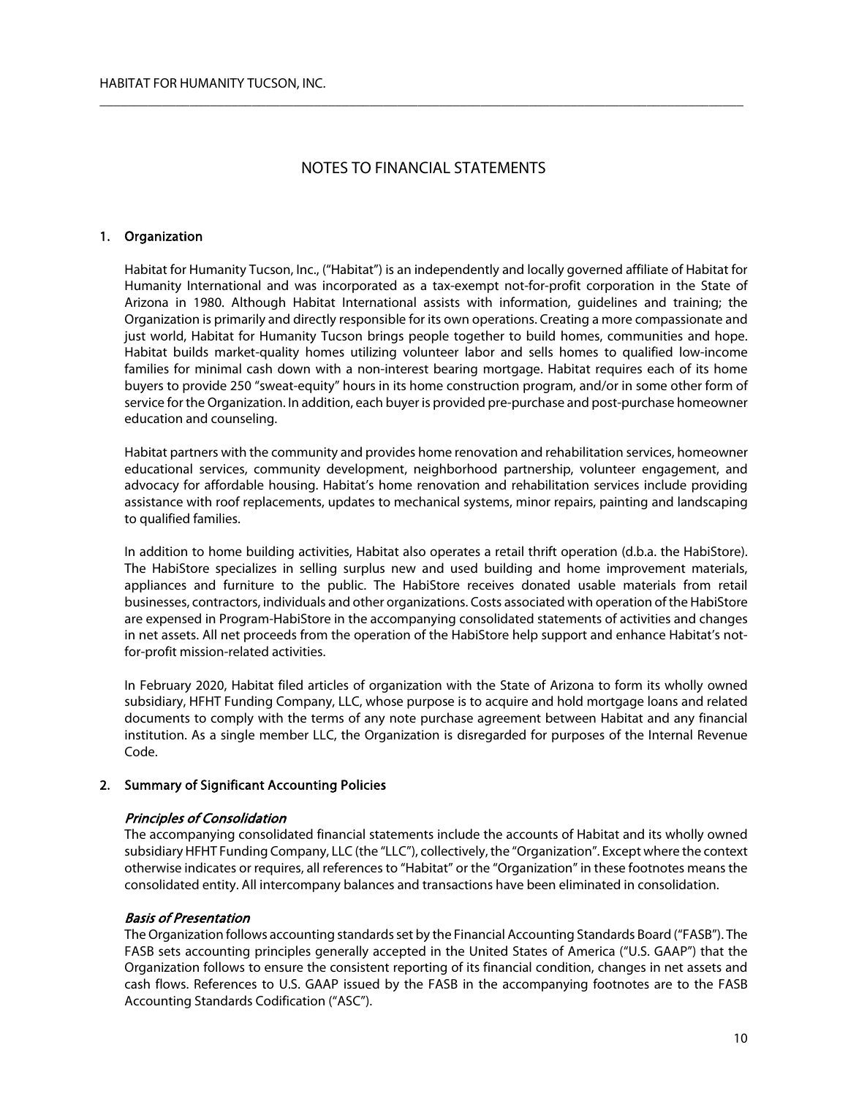$\overline{\phantom{a}}$  , and the contribution of the contribution of the contribution of the contribution of the contribution of the contribution of the contribution of the contribution of the contribution of the contribution of the

## 1. Organization

Habitat for Humanity Tucson, Inc., ("Habitat") is an independently and locally governed affiliate of Habitat for Humanity International and was incorporated as a tax-exempt not-for-profit corporation in the State of Arizona in 1980. Although Habitat International assists with information, guidelines and training; the Organization is primarily and directly responsible for its own operations. Creating a more compassionate and just world, Habitat for Humanity Tucson brings people together to build homes, communities and hope. Habitat builds market-quality homes utilizing volunteer labor and sells homes to qualified low-income families for minimal cash down with a non-interest bearing mortgage. Habitat requires each of its home buyers to provide 250 "sweat-equity" hours in its home construction program, and/or in some other form of service for the Organization. In addition, each buyer is provided pre-purchase and post-purchase homeowner education and counseling.

Habitat partners with the community and provides home renovation and rehabilitation services, homeowner educational services, community development, neighborhood partnership, volunteer engagement, and advocacy for affordable housing. Habitat's home renovation and rehabilitation services include providing assistance with roof replacements, updates to mechanical systems, minor repairs, painting and landscaping to qualified families.

In addition to home building activities, Habitat also operates a retail thrift operation (d.b.a. the HabiStore). The HabiStore specializes in selling surplus new and used building and home improvement materials, appliances and furniture to the public. The HabiStore receives donated usable materials from retail businesses, contractors, individuals and other organizations. Costs associated with operation of the HabiStore are expensed in Program-HabiStore in the accompanying consolidated statements of activities and changes in net assets. All net proceeds from the operation of the HabiStore help support and enhance Habitat's notfor-profit mission-related activities.

In February 2020, Habitat filed articles of organization with the State of Arizona to form its wholly owned subsidiary, HFHT Funding Company, LLC, whose purpose is to acquire and hold mortgage loans and related documents to comply with the terms of any note purchase agreement between Habitat and any financial institution. As a single member LLC, the Organization is disregarded for purposes of the Internal Revenue Code.

### 2. Summary of Significant Accounting Policies

### Principles of Consolidation

The accompanying consolidated financial statements include the accounts of Habitat and its wholly owned subsidiary HFHT Funding Company, LLC (the "LLC"), collectively, the "Organization". Except where the context otherwise indicates or requires, all references to "Habitat" or the "Organization" in these footnotes means the consolidated entity. All intercompany balances and transactions have been eliminated in consolidation.

## Basis of Presentation

The Organization follows accounting standards set by the Financial Accounting Standards Board ("FASB"). The FASB sets accounting principles generally accepted in the United States of America ("U.S. GAAP") that the Organization follows to ensure the consistent reporting of its financial condition, changes in net assets and cash flows. References to U.S. GAAP issued by the FASB in the accompanying footnotes are to the FASB Accounting Standards Codification ("ASC").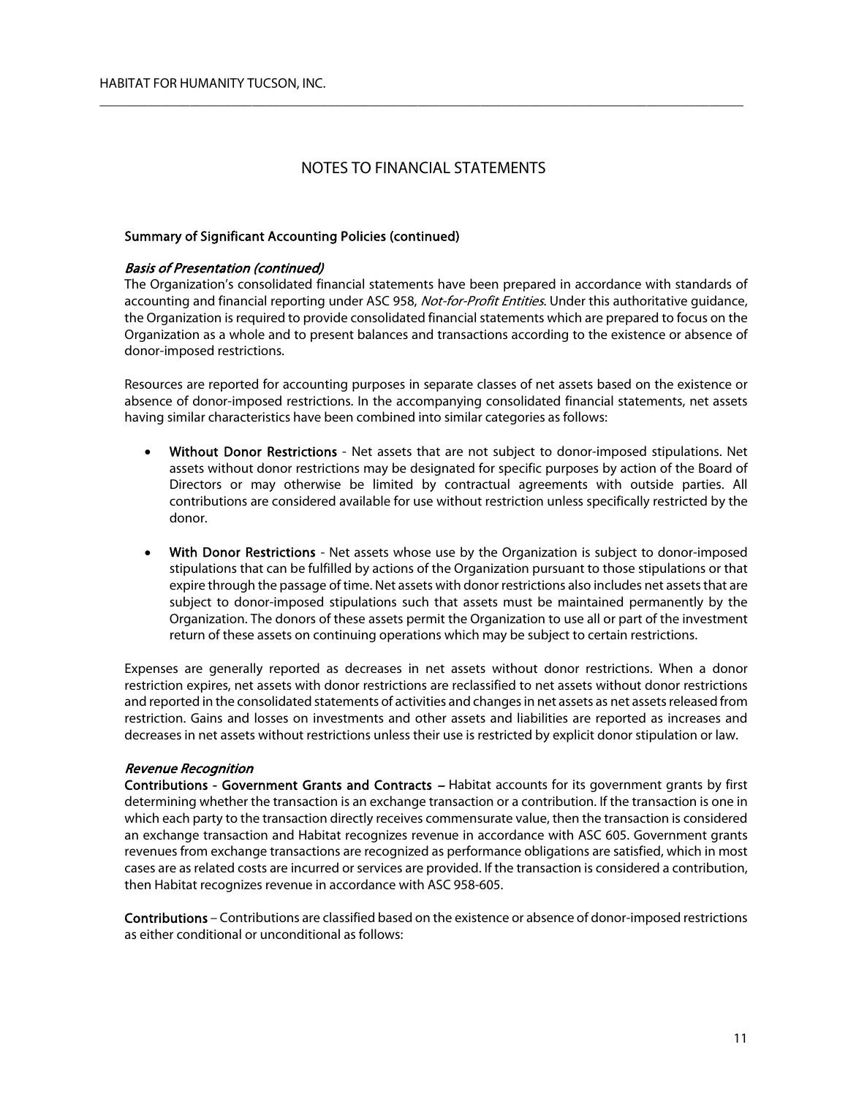$\overline{\phantom{a}}$  , and the contribution of the contribution of the contribution of the contribution of the contribution of the contribution of the contribution of the contribution of the contribution of the contribution of the

## Summary of Significant Accounting Policies (continued)

### Basis of Presentation (continued)

The Organization's consolidated financial statements have been prepared in accordance with standards of accounting and financial reporting under ASC 958, Not-for-Profit Entities. Under this authoritative quidance, the Organization is required to provide consolidated financial statements which are prepared to focus on the Organization as a whole and to present balances and transactions according to the existence or absence of donor-imposed restrictions.

Resources are reported for accounting purposes in separate classes of net assets based on the existence or absence of donor-imposed restrictions. In the accompanying consolidated financial statements, net assets having similar characteristics have been combined into similar categories as follows:

- Without Donor Restrictions Net assets that are not subject to donor-imposed stipulations. Net assets without donor restrictions may be designated for specific purposes by action of the Board of Directors or may otherwise be limited by contractual agreements with outside parties. All contributions are considered available for use without restriction unless specifically restricted by the donor.
- With Donor Restrictions Net assets whose use by the Organization is subject to donor-imposed stipulations that can be fulfilled by actions of the Organization pursuant to those stipulations or that expire through the passage of time. Net assets with donor restrictions also includes net assets that are subject to donor-imposed stipulations such that assets must be maintained permanently by the Organization. The donors of these assets permit the Organization to use all or part of the investment return of these assets on continuing operations which may be subject to certain restrictions.

Expenses are generally reported as decreases in net assets without donor restrictions. When a donor restriction expires, net assets with donor restrictions are reclassified to net assets without donor restrictions and reported in the consolidated statements of activities and changes in net assets as net assets released from restriction. Gains and losses on investments and other assets and liabilities are reported as increases and decreases in net assets without restrictions unless their use is restricted by explicit donor stipulation or law.

## Revenue Recognition

Contributions - Government Grants and Contracts – Habitat accounts for its government grants by first determining whether the transaction is an exchange transaction or a contribution. If the transaction is one in which each party to the transaction directly receives commensurate value, then the transaction is considered an exchange transaction and Habitat recognizes revenue in accordance with ASC 605. Government grants revenues from exchange transactions are recognized as performance obligations are satisfied, which in most cases are as related costs are incurred or services are provided. If the transaction is considered a contribution, then Habitat recognizes revenue in accordance with ASC 958-605.

Contributions – Contributions are classified based on the existence or absence of donor-imposed restrictions as either conditional or unconditional as follows: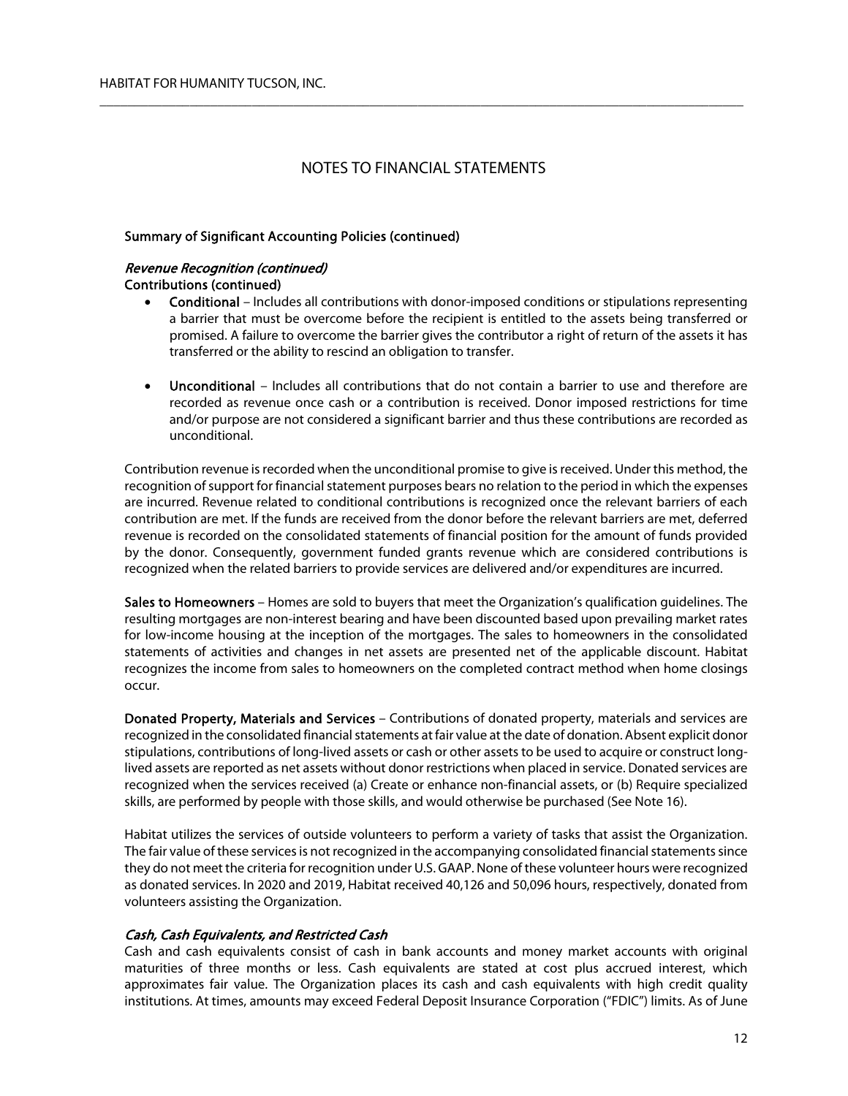$\overline{\phantom{a}}$  , and the contribution of the contribution of the contribution of the contribution of the contribution of the contribution of the contribution of the contribution of the contribution of the contribution of the

## Summary of Significant Accounting Policies (continued)

### Revenue Recognition (continued) Contributions (continued)

- Conditional Includes all contributions with donor-imposed conditions or stipulations representing a barrier that must be overcome before the recipient is entitled to the assets being transferred or promised. A failure to overcome the barrier gives the contributor a right of return of the assets it has transferred or the ability to rescind an obligation to transfer.
- Unconditional Includes all contributions that do not contain a barrier to use and therefore are recorded as revenue once cash or a contribution is received. Donor imposed restrictions for time and/or purpose are not considered a significant barrier and thus these contributions are recorded as unconditional.

Contribution revenue is recorded when the unconditional promise to give is received. Under this method, the recognition of support for financial statement purposes bears no relation to the period in which the expenses are incurred. Revenue related to conditional contributions is recognized once the relevant barriers of each contribution are met. If the funds are received from the donor before the relevant barriers are met, deferred revenue is recorded on the consolidated statements of financial position for the amount of funds provided by the donor. Consequently, government funded grants revenue which are considered contributions is recognized when the related barriers to provide services are delivered and/or expenditures are incurred.

Sales to Homeowners – Homes are sold to buyers that meet the Organization's qualification quidelines. The resulting mortgages are non-interest bearing and have been discounted based upon prevailing market rates for low-income housing at the inception of the mortgages. The sales to homeowners in the consolidated statements of activities and changes in net assets are presented net of the applicable discount. Habitat recognizes the income from sales to homeowners on the completed contract method when home closings occur.

Donated Property, Materials and Services – Contributions of donated property, materials and services are recognized in the consolidated financial statements at fair value at the date of donation. Absent explicit donor stipulations, contributions of long-lived assets or cash or other assets to be used to acquire or construct longlived assets are reported as net assets without donor restrictions when placed in service. Donated services are recognized when the services received (a) Create or enhance non-financial assets, or (b) Require specialized skills, are performed by people with those skills, and would otherwise be purchased (See Note 16).

Habitat utilizes the services of outside volunteers to perform a variety of tasks that assist the Organization. The fair value of these services is not recognized in the accompanying consolidated financial statements since they do not meet the criteria for recognition under U.S. GAAP. None of these volunteer hours were recognized as donated services. In 2020 and 2019, Habitat received 40,126 and 50,096 hours, respectively, donated from volunteers assisting the Organization.

## Cash, Cash Equivalents, and Restricted Cash

Cash and cash equivalents consist of cash in bank accounts and money market accounts with original maturities of three months or less. Cash equivalents are stated at cost plus accrued interest, which approximates fair value. The Organization places its cash and cash equivalents with high credit quality institutions. At times, amounts may exceed Federal Deposit Insurance Corporation ("FDIC") limits. As of June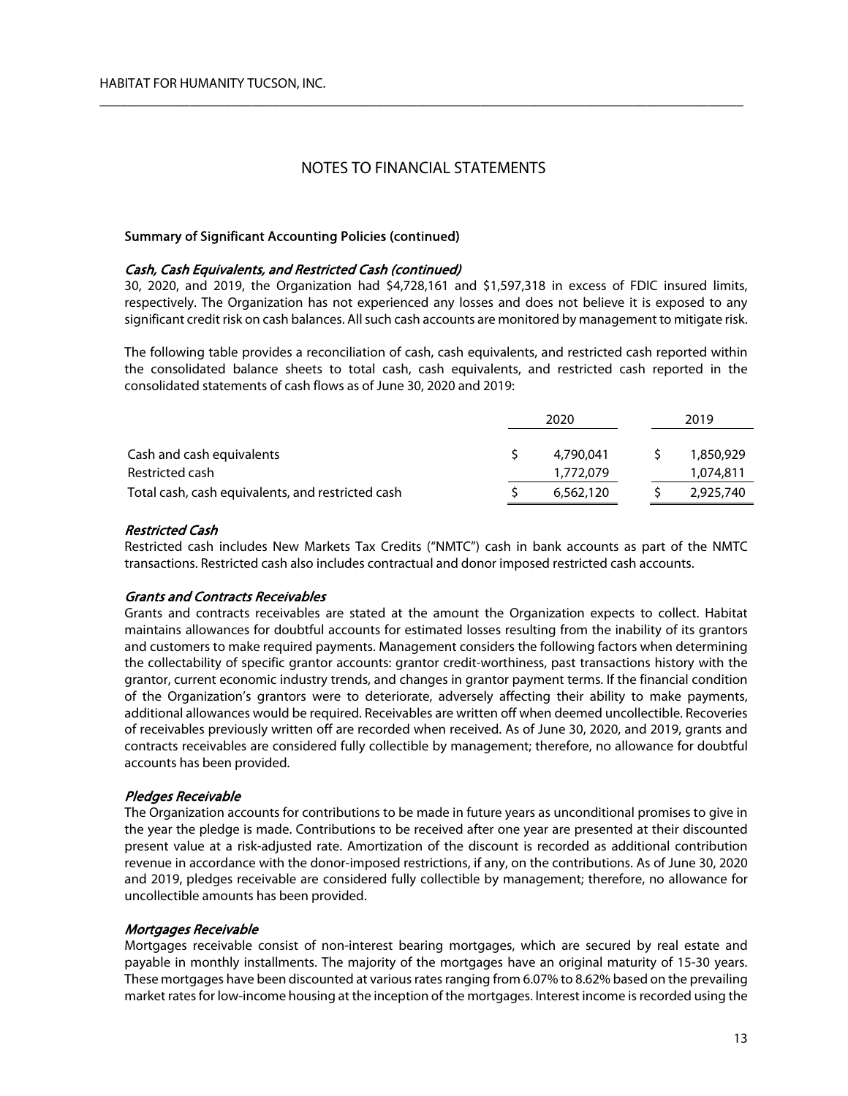$\overline{\phantom{a}}$  , and the contribution of the contribution of the contribution of the contribution of the contribution of the contribution of the contribution of the contribution of the contribution of the contribution of the

### Summary of Significant Accounting Policies (continued)

#### Cash, Cash Equivalents, and Restricted Cash (continued)

30, 2020, and 2019, the Organization had \$4,728,161 and \$1,597,318 in excess of FDIC insured limits, respectively. The Organization has not experienced any losses and does not believe it is exposed to any significant credit risk on cash balances. All such cash accounts are monitored by management to mitigate risk.

The following table provides a reconciliation of cash, cash equivalents, and restricted cash reported within the consolidated balance sheets to total cash, cash equivalents, and restricted cash reported in the consolidated statements of cash flows as of June 30, 2020 and 2019:

|                                                   | 2020 |           |  | 2019      |
|---------------------------------------------------|------|-----------|--|-----------|
| Cash and cash equivalents                         |      | 4,790,041 |  | 1,850,929 |
| Restricted cash                                   |      | 1,772,079 |  | 1,074,811 |
|                                                   |      |           |  |           |
| Total cash, cash equivalents, and restricted cash |      | 6,562,120 |  | 2,925,740 |

#### Restricted Cash

Restricted cash includes New Markets Tax Credits ("NMTC") cash in bank accounts as part of the NMTC transactions. Restricted cash also includes contractual and donor imposed restricted cash accounts.

### Grants and Contracts Receivables

Grants and contracts receivables are stated at the amount the Organization expects to collect. Habitat maintains allowances for doubtful accounts for estimated losses resulting from the inability of its grantors and customers to make required payments. Management considers the following factors when determining the collectability of specific grantor accounts: grantor credit-worthiness, past transactions history with the grantor, current economic industry trends, and changes in grantor payment terms. If the financial condition of the Organization's grantors were to deteriorate, adversely affecting their ability to make payments, additional allowances would be required. Receivables are written off when deemed uncollectible. Recoveries of receivables previously written off are recorded when received. As of June 30, 2020, and 2019, grants and contracts receivables are considered fully collectible by management; therefore, no allowance for doubtful accounts has been provided.

### Pledges Receivable

The Organization accounts for contributions to be made in future years as unconditional promises to give in the year the pledge is made. Contributions to be received after one year are presented at their discounted present value at a risk-adjusted rate. Amortization of the discount is recorded as additional contribution revenue in accordance with the donor-imposed restrictions, if any, on the contributions. As of June 30, 2020 and 2019, pledges receivable are considered fully collectible by management; therefore, no allowance for uncollectible amounts has been provided.

#### Mortgages Receivable

Mortgages receivable consist of non-interest bearing mortgages, which are secured by real estate and payable in monthly installments. The majority of the mortgages have an original maturity of 15-30 years. These mortgages have been discounted at various rates ranging from 6.07% to 8.62% based on the prevailing market rates for low-income housing at the inception of the mortgages. Interest income is recorded using the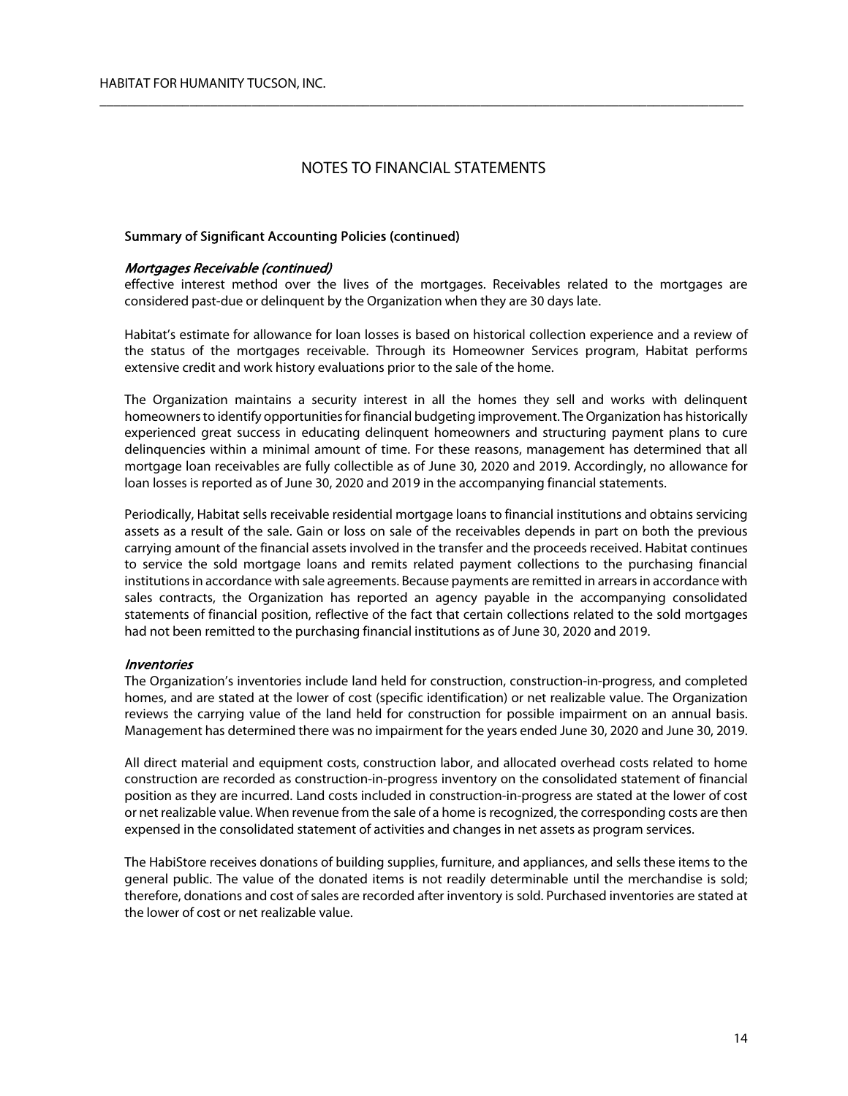$\overline{\phantom{a}}$  , and the contribution of the contribution of the contribution of the contribution of the contribution of the contribution of the contribution of the contribution of the contribution of the contribution of the

## Summary of Significant Accounting Policies (continued)

### Mortgages Receivable (continued)

effective interest method over the lives of the mortgages. Receivables related to the mortgages are considered past-due or delinquent by the Organization when they are 30 days late.

Habitat's estimate for allowance for loan losses is based on historical collection experience and a review of the status of the mortgages receivable. Through its Homeowner Services program, Habitat performs extensive credit and work history evaluations prior to the sale of the home.

The Organization maintains a security interest in all the homes they sell and works with delinquent homeowners to identify opportunities for financial budgeting improvement. The Organization has historically experienced great success in educating delinquent homeowners and structuring payment plans to cure delinquencies within a minimal amount of time. For these reasons, management has determined that all mortgage loan receivables are fully collectible as of June 30, 2020 and 2019. Accordingly, no allowance for loan losses is reported as of June 30, 2020 and 2019 in the accompanying financial statements.

Periodically, Habitat sells receivable residential mortgage loans to financial institutions and obtains servicing assets as a result of the sale. Gain or loss on sale of the receivables depends in part on both the previous carrying amount of the financial assets involved in the transfer and the proceeds received. Habitat continues to service the sold mortgage loans and remits related payment collections to the purchasing financial institutions in accordance with sale agreements. Because payments are remitted in arrears in accordance with sales contracts, the Organization has reported an agency payable in the accompanying consolidated statements of financial position, reflective of the fact that certain collections related to the sold mortgages had not been remitted to the purchasing financial institutions as of June 30, 2020 and 2019.

### Inventories

The Organization's inventories include land held for construction, construction-in-progress, and completed homes, and are stated at the lower of cost (specific identification) or net realizable value. The Organization reviews the carrying value of the land held for construction for possible impairment on an annual basis. Management has determined there was no impairment for the years ended June 30, 2020 and June 30, 2019.

All direct material and equipment costs, construction labor, and allocated overhead costs related to home construction are recorded as construction-in-progress inventory on the consolidated statement of financial position as they are incurred. Land costs included in construction-in-progress are stated at the lower of cost or net realizable value. When revenue from the sale of a home is recognized, the corresponding costs are then expensed in the consolidated statement of activities and changes in net assets as program services.

The HabiStore receives donations of building supplies, furniture, and appliances, and sells these items to the general public. The value of the donated items is not readily determinable until the merchandise is sold; therefore, donations and cost of sales are recorded after inventory is sold. Purchased inventories are stated at the lower of cost or net realizable value.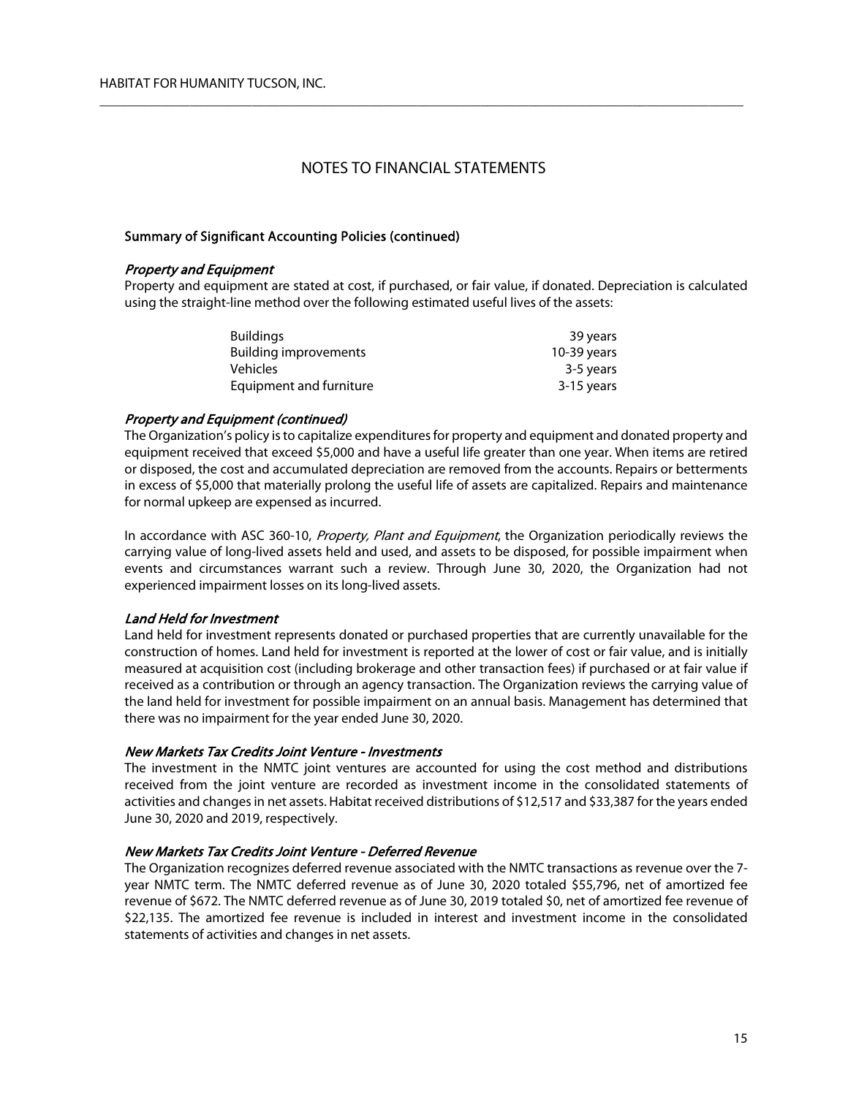$\overline{\phantom{a}}$  , and the contribution of the contribution of the contribution of the contribution of the contribution of the contribution of the contribution of the contribution of the contribution of the contribution of the

### Summary of Significant Accounting Policies (continued)

### Property and Equipment

Property and equipment are stated at cost, if purchased, or fair value, if donated. Depreciation is calculated using the straight-line method over the following estimated useful lives of the assets:

| <b>Buildings</b>             | 39 years    |
|------------------------------|-------------|
| <b>Building improvements</b> | 10-39 years |
| Vehicles                     | 3-5 years   |
| Equipment and furniture      | 3-15 years  |

### Property and Equipment (continued)

The Organization's policy is to capitalize expenditures for property and equipment and donated property and equipment received that exceed \$5,000 and have a useful life greater than one year. When items are retired or disposed, the cost and accumulated depreciation are removed from the accounts. Repairs or betterments in excess of \$5,000 that materially prolong the useful life of assets are capitalized. Repairs and maintenance for normal upkeep are expensed as incurred.

In accordance with ASC 360-10, Property, Plant and Equipment, the Organization periodically reviews the carrying value of long-lived assets held and used, and assets to be disposed, for possible impairment when events and circumstances warrant such a review. Through June 30, 2020, the Organization had not experienced impairment losses on its long-lived assets.

## Land Held for Investment

Land held for investment represents donated or purchased properties that are currently unavailable for the construction of homes. Land held for investment is reported at the lower of cost or fair value, and is initially measured at acquisition cost (including brokerage and other transaction fees) if purchased or at fair value if received as a contribution or through an agency transaction. The Organization reviews the carrying value of the land held for investment for possible impairment on an annual basis. Management has determined that there was no impairment for the year ended June 30, 2020.

### New Markets Tax Credits Joint Venture - Investments

The investment in the NMTC joint ventures are accounted for using the cost method and distributions received from the joint venture are recorded as investment income in the consolidated statements of activities and changes in net assets. Habitat received distributions of \$12,517 and \$33,387 for the years ended June 30, 2020 and 2019, respectively.

### New Markets Tax Credits Joint Venture - Deferred Revenue

The Organization recognizes deferred revenue associated with the NMTC transactions as revenue over the 7 year NMTC term. The NMTC deferred revenue as of June 30, 2020 totaled \$55,796, net of amortized fee revenue of \$672. The NMTC deferred revenue as of June 30, 2019 totaled \$0, net of amortized fee revenue of \$22,135. The amortized fee revenue is included in interest and investment income in the consolidated statements of activities and changes in net assets.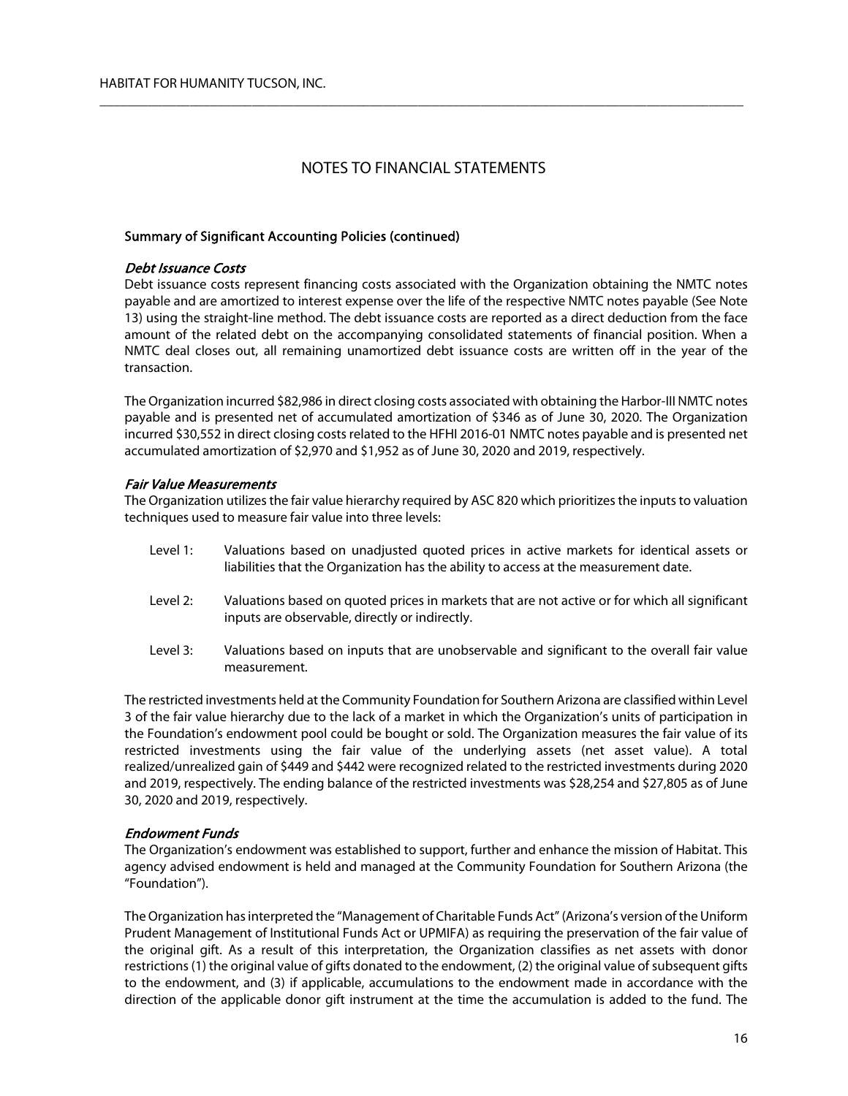$\overline{\phantom{a}}$  , and the contribution of the contribution of the contribution of the contribution of the contribution of the contribution of the contribution of the contribution of the contribution of the contribution of the

## Summary of Significant Accounting Policies (continued)

### Debt Issuance Costs

Debt issuance costs represent financing costs associated with the Organization obtaining the NMTC notes payable and are amortized to interest expense over the life of the respective NMTC notes payable (See Note 13) using the straight-line method. The debt issuance costs are reported as a direct deduction from the face amount of the related debt on the accompanying consolidated statements of financial position. When a NMTC deal closes out, all remaining unamortized debt issuance costs are written off in the year of the transaction.

The Organization incurred \$82,986 in direct closing costs associated with obtaining the Harbor-III NMTC notes payable and is presented net of accumulated amortization of \$346 as of June 30, 2020. The Organization incurred \$30,552 in direct closing costs related to the HFHI 2016-01 NMTC notes payable and is presented net accumulated amortization of \$2,970 and \$1,952 as of June 30, 2020 and 2019, respectively.

## Fair Value Measurements

The Organization utilizes the fair value hierarchy required by ASC 820 which prioritizes the inputs to valuation techniques used to measure fair value into three levels:

- Level 1: Valuations based on unadjusted quoted prices in active markets for identical assets or liabilities that the Organization has the ability to access at the measurement date.
- Level 2: Valuations based on quoted prices in markets that are not active or for which all significant inputs are observable, directly or indirectly.
- Level 3: Valuations based on inputs that are unobservable and significant to the overall fair value measurement.

The restricted investments held at the Community Foundation for Southern Arizona are classified within Level 3 of the fair value hierarchy due to the lack of a market in which the Organization's units of participation in the Foundation's endowment pool could be bought or sold. The Organization measures the fair value of its restricted investments using the fair value of the underlying assets (net asset value). A total realized/unrealized gain of \$449 and \$442 were recognized related to the restricted investments during 2020 and 2019, respectively. The ending balance of the restricted investments was \$28,254 and \$27,805 as of June 30, 2020 and 2019, respectively.

### Endowment Funds

The Organization's endowment was established to support, further and enhance the mission of Habitat. This agency advised endowment is held and managed at the Community Foundation for Southern Arizona (the "Foundation").

The Organization has interpreted the "Management of Charitable Funds Act" (Arizona's version of the Uniform Prudent Management of Institutional Funds Act or UPMIFA) as requiring the preservation of the fair value of the original gift. As a result of this interpretation, the Organization classifies as net assets with donor restrictions (1) the original value of gifts donated to the endowment, (2) the original value of subsequent gifts to the endowment, and (3) if applicable, accumulations to the endowment made in accordance with the direction of the applicable donor gift instrument at the time the accumulation is added to the fund. The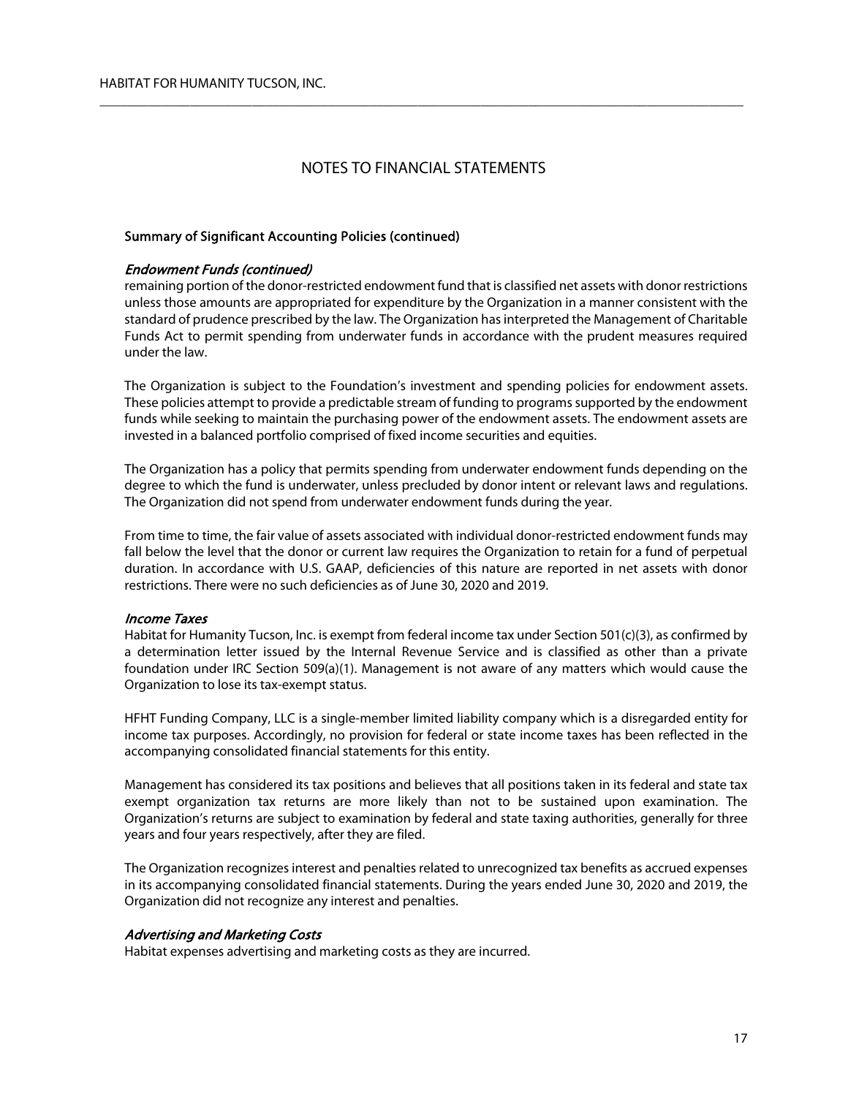$\overline{\phantom{a}}$  , and the contribution of the contribution of the contribution of the contribution of the contribution of the contribution of the contribution of the contribution of the contribution of the contribution of the

## Summary of Significant Accounting Policies (continued)

#### Endowment Funds (continued)

remaining portion of the donor-restricted endowment fund that is classified net assets with donor restrictions unless those amounts are appropriated for expenditure by the Organization in a manner consistent with the standard of prudence prescribed by the law. The Organization has interpreted the Management of Charitable Funds Act to permit spending from underwater funds in accordance with the prudent measures required under the law.

The Organization is subject to the Foundation's investment and spending policies for endowment assets. These policies attempt to provide a predictable stream of funding to programs supported by the endowment funds while seeking to maintain the purchasing power of the endowment assets. The endowment assets are invested in a balanced portfolio comprised of fixed income securities and equities.

The Organization has a policy that permits spending from underwater endowment funds depending on the degree to which the fund is underwater, unless precluded by donor intent or relevant laws and regulations. The Organization did not spend from underwater endowment funds during the year.

From time to time, the fair value of assets associated with individual donor-restricted endowment funds may fall below the level that the donor or current law requires the Organization to retain for a fund of perpetual duration. In accordance with U.S. GAAP, deficiencies of this nature are reported in net assets with donor restrictions. There were no such deficiencies as of June 30, 2020 and 2019.

#### Income Taxes

Habitat for Humanity Tucson, Inc. is exempt from federal income tax under Section 501(c)(3), as confirmed by a determination letter issued by the Internal Revenue Service and is classified as other than a private foundation under IRC Section 509(a)(1). Management is not aware of any matters which would cause the Organization to lose its tax-exempt status.

HFHT Funding Company, LLC is a single-member limited liability company which is a disregarded entity for income tax purposes. Accordingly, no provision for federal or state income taxes has been reflected in the accompanying consolidated financial statements for this entity.

Management has considered its tax positions and believes that all positions taken in its federal and state tax exempt organization tax returns are more likely than not to be sustained upon examination. The Organization's returns are subject to examination by federal and state taxing authorities, generally for three years and four years respectively, after they are filed.

The Organization recognizes interest and penalties related to unrecognized tax benefits as accrued expenses in its accompanying consolidated financial statements. During the years ended June 30, 2020 and 2019, the Organization did not recognize any interest and penalties.

#### Advertising and Marketing Costs

Habitat expenses advertising and marketing costs as they are incurred.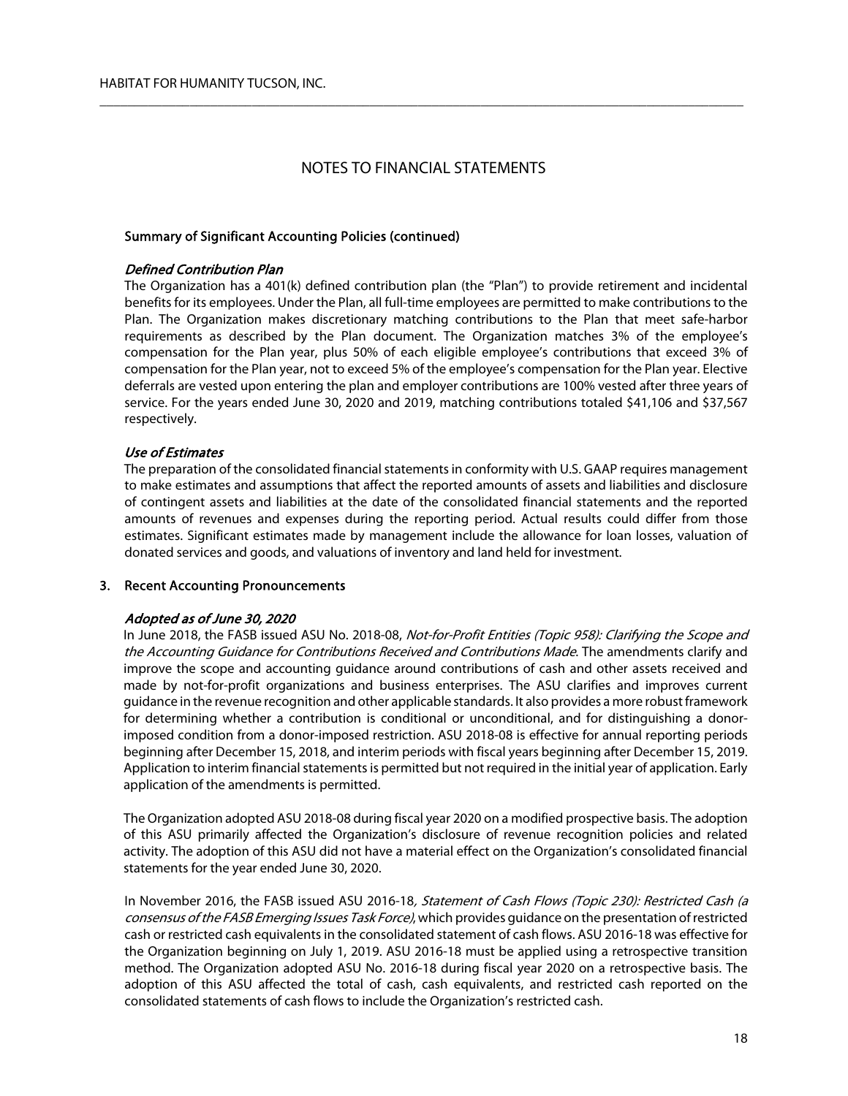$\overline{\phantom{a}}$  , and the contribution of the contribution of the contribution of the contribution of the contribution of the contribution of the contribution of the contribution of the contribution of the contribution of the

#### Summary of Significant Accounting Policies (continued)

#### Defined Contribution Plan

The Organization has a 401(k) defined contribution plan (the "Plan") to provide retirement and incidental benefits for its employees. Under the Plan, all full-time employees are permitted to make contributions to the Plan. The Organization makes discretionary matching contributions to the Plan that meet safe-harbor requirements as described by the Plan document. The Organization matches 3% of the employee's compensation for the Plan year, plus 50% of each eligible employee's contributions that exceed 3% of compensation for the Plan year, not to exceed 5% of the employee's compensation for the Plan year. Elective deferrals are vested upon entering the plan and employer contributions are 100% vested after three years of service. For the years ended June 30, 2020 and 2019, matching contributions totaled \$41,106 and \$37,567 respectively.

#### Use of Estimates

The preparation of the consolidated financial statements in conformity with U.S. GAAP requires management to make estimates and assumptions that affect the reported amounts of assets and liabilities and disclosure of contingent assets and liabilities at the date of the consolidated financial statements and the reported amounts of revenues and expenses during the reporting period. Actual results could differ from those estimates. Significant estimates made by management include the allowance for loan losses, valuation of donated services and goods, and valuations of inventory and land held for investment.

## 3. Recent Accounting Pronouncements

#### Adopted as of June 30, 2020

In June 2018, the FASB issued ASU No. 2018-08, Not-for-Profit Entities (Topic 958): Clarifying the Scope and the Accounting Guidance for Contributions Received and Contributions Made. The amendments clarify and improve the scope and accounting guidance around contributions of cash and other assets received and made by not-for-profit organizations and business enterprises. The ASU clarifies and improves current guidance in the revenue recognition and other applicable standards. It also provides a more robust framework for determining whether a contribution is conditional or unconditional, and for distinguishing a donorimposed condition from a donor-imposed restriction. ASU 2018-08 is effective for annual reporting periods beginning after December 15, 2018, and interim periods with fiscal years beginning after December 15, 2019. Application to interim financial statements is permitted but not required in the initial year of application. Early application of the amendments is permitted.

The Organization adopted ASU 2018-08 during fiscal year 2020 on a modified prospective basis. The adoption of this ASU primarily affected the Organization's disclosure of revenue recognition policies and related activity. The adoption of this ASU did not have a material effect on the Organization's consolidated financial statements for the year ended June 30, 2020.

In November 2016, the FASB issued ASU 2016-18, Statement of Cash Flows (Topic 230): Restricted Cash (a consensus of the FASB Emerging Issues Task Force), which provides guidance on the presentation of restricted cash or restricted cash equivalents in the consolidated statement of cash flows. ASU 2016-18 was effective for the Organization beginning on July 1, 2019. ASU 2016-18 must be applied using a retrospective transition method. The Organization adopted ASU No. 2016-18 during fiscal year 2020 on a retrospective basis. The adoption of this ASU affected the total of cash, cash equivalents, and restricted cash reported on the consolidated statements of cash flows to include the Organization's restricted cash.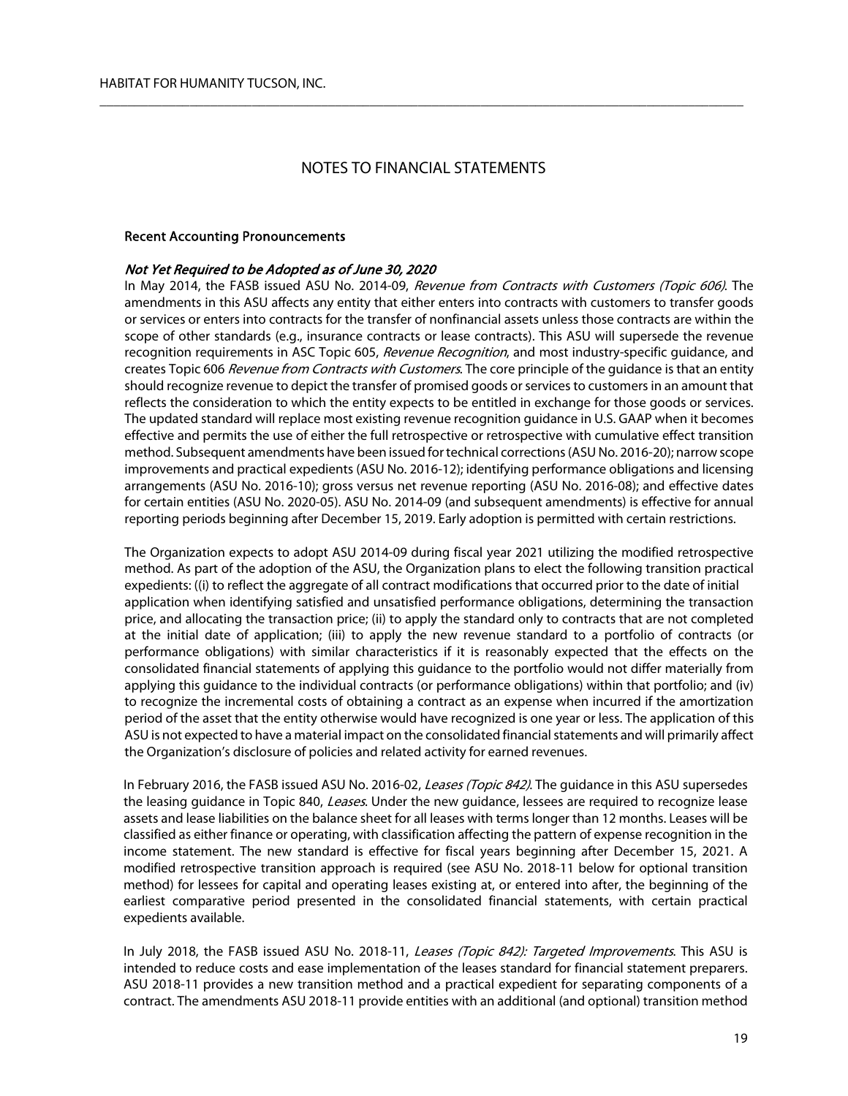$\overline{\phantom{a}}$  , and the contribution of the contribution of the contribution of the contribution of the contribution of the contribution of the contribution of the contribution of the contribution of the contribution of the

#### Recent Accounting Pronouncements

#### Not Yet Required to be Adopted as of June 30, 2020

In May 2014, the FASB issued ASU No. 2014-09, Revenue from Contracts with Customers (Topic 606). The amendments in this ASU affects any entity that either enters into contracts with customers to transfer goods or services or enters into contracts for the transfer of nonfinancial assets unless those contracts are within the scope of other standards (e.g., insurance contracts or lease contracts). This ASU will supersede the revenue recognition requirements in ASC Topic 605, Revenue Recognition, and most industry-specific guidance, and creates Topic 606 Revenue from Contracts with Customers. The core principle of the quidance is that an entity should recognize revenue to depict the transfer of promised goods or services to customers in an amount that reflects the consideration to which the entity expects to be entitled in exchange for those goods or services. The updated standard will replace most existing revenue recognition guidance in U.S. GAAP when it becomes effective and permits the use of either the full retrospective or retrospective with cumulative effect transition method. Subsequent amendments have been issued for technical corrections (ASU No. 2016-20); narrow scope improvements and practical expedients (ASU No. 2016-12); identifying performance obligations and licensing arrangements (ASU No. 2016-10); gross versus net revenue reporting (ASU No. 2016-08); and effective dates for certain entities (ASU No. 2020-05). ASU No. 2014-09 (and subsequent amendments) is effective for annual reporting periods beginning after December 15, 2019. Early adoption is permitted with certain restrictions.

The Organization expects to adopt ASU 2014-09 during fiscal year 2021 utilizing the modified retrospective method. As part of the adoption of the ASU, the Organization plans to elect the following transition practical expedients: ((i) to reflect the aggregate of all contract modifications that occurred prior to the date of initial application when identifying satisfied and unsatisfied performance obligations, determining the transaction price, and allocating the transaction price; (ii) to apply the standard only to contracts that are not completed at the initial date of application; (iii) to apply the new revenue standard to a portfolio of contracts (or performance obligations) with similar characteristics if it is reasonably expected that the effects on the consolidated financial statements of applying this guidance to the portfolio would not differ materially from applying this guidance to the individual contracts (or performance obligations) within that portfolio; and (iv) to recognize the incremental costs of obtaining a contract as an expense when incurred if the amortization period of the asset that the entity otherwise would have recognized is one year or less. The application of this ASU is not expected to have a material impact on the consolidated financial statements and will primarily affect the Organization's disclosure of policies and related activity for earned revenues.

In February 2016, the FASB issued ASU No. 2016-02, Leases (Topic 842). The quidance in this ASU supersedes the leasing guidance in Topic 840, Leases. Under the new guidance, lessees are reguired to recognize lease assets and lease liabilities on the balance sheet for all leases with terms longer than 12 months. Leases will be classified as either finance or operating, with classification affecting the pattern of expense recognition in the income statement. The new standard is effective for fiscal years beginning after December 15, 2021. A modified retrospective transition approach is required (see ASU No. 2018-11 below for optional transition method) for lessees for capital and operating leases existing at, or entered into after, the beginning of the earliest comparative period presented in the consolidated financial statements, with certain practical expedients available.

In July 2018, the FASB issued ASU No. 2018-11, Leases (Topic 842): Targeted Improvements. This ASU is intended to reduce costs and ease implementation of the leases standard for financial statement preparers. ASU 2018-11 provides a new transition method and a practical expedient for separating components of a contract. The amendments ASU 2018-11 provide entities with an additional (and optional) transition method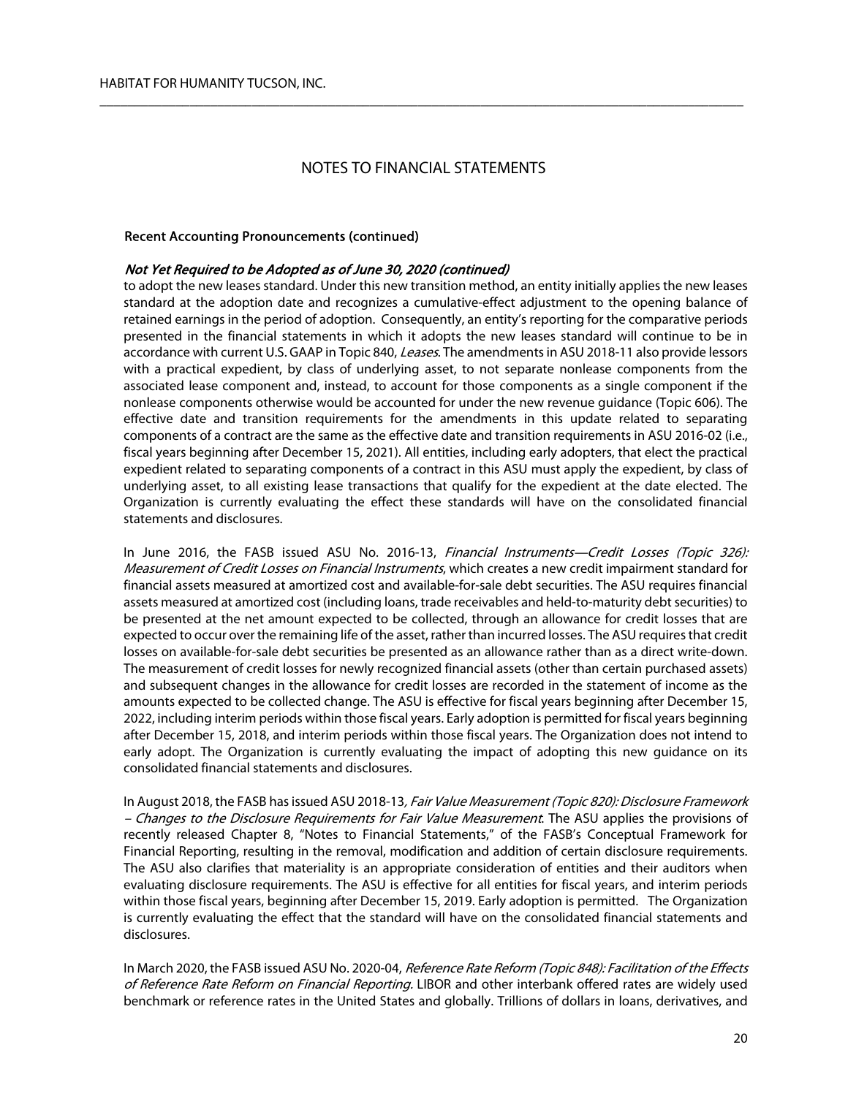$\overline{\phantom{a}}$  , and the contribution of the contribution of the contribution of the contribution of the contribution of the contribution of the contribution of the contribution of the contribution of the contribution of the

#### Recent Accounting Pronouncements (continued)

#### Not Yet Required to be Adopted as of June 30, 2020 (continued)

to adopt the new leases standard. Under this new transition method, an entity initially applies the new leases standard at the adoption date and recognizes a cumulative-effect adjustment to the opening balance of retained earnings in the period of adoption. Consequently, an entity's reporting for the comparative periods presented in the financial statements in which it adopts the new leases standard will continue to be in accordance with current U.S. GAAP in Topic 840, *Leases*. The amendments in ASU 2018-11 also provide lessors with a practical expedient, by class of underlying asset, to not separate nonlease components from the associated lease component and, instead, to account for those components as a single component if the nonlease components otherwise would be accounted for under the new revenue guidance (Topic 606). The effective date and transition requirements for the amendments in this update related to separating components of a contract are the same as the effective date and transition requirements in ASU 2016-02 (i.e., fiscal years beginning after December 15, 2021). All entities, including early adopters, that elect the practical expedient related to separating components of a contract in this ASU must apply the expedient, by class of underlying asset, to all existing lease transactions that qualify for the expedient at the date elected. The Organization is currently evaluating the effect these standards will have on the consolidated financial statements and disclosures.

In June 2016, the FASB issued ASU No. 2016-13, Financial Instruments—Credit Losses (Topic 326): Measurement of Credit Losses on Financial Instruments, which creates a new credit impairment standard for financial assets measured at amortized cost and available-for-sale debt securities. The ASU requires financial assets measured at amortized cost (including loans, trade receivables and held-to-maturity debt securities) to be presented at the net amount expected to be collected, through an allowance for credit losses that are expected to occur over the remaining life of the asset, rather than incurred losses. The ASU requires that credit losses on available-for-sale debt securities be presented as an allowance rather than as a direct write-down. The measurement of credit losses for newly recognized financial assets (other than certain purchased assets) and subsequent changes in the allowance for credit losses are recorded in the statement of income as the amounts expected to be collected change. The ASU is effective for fiscal years beginning after December 15, 2022, including interim periods within those fiscal years. Early adoption is permitted for fiscal years beginning after December 15, 2018, and interim periods within those fiscal years. The Organization does not intend to early adopt. The Organization is currently evaluating the impact of adopting this new guidance on its consolidated financial statements and disclosures.

In August 2018, the FASB has issued ASU 2018-13, Fair Value Measurement (Topic 820): Disclosure Framework – Changes to the Disclosure Requirements for Fair Value Measurement. The ASU applies the provisions of recently released Chapter 8, "Notes to Financial Statements," of the FASB's Conceptual Framework for Financial Reporting, resulting in the removal, modification and addition of certain disclosure requirements. The ASU also clarifies that materiality is an appropriate consideration of entities and their auditors when evaluating disclosure requirements. The ASU is effective for all entities for fiscal years, and interim periods within those fiscal years, beginning after December 15, 2019. Early adoption is permitted. The Organization is currently evaluating the effect that the standard will have on the consolidated financial statements and disclosures.

In March 2020, the FASB issued ASU No. 2020-04, Reference Rate Reform (Topic 848): Facilitation of the Effects of Reference Rate Reform on Financial Reporting. LIBOR and other interbank offered rates are widely used benchmark or reference rates in the United States and globally. Trillions of dollars in loans, derivatives, and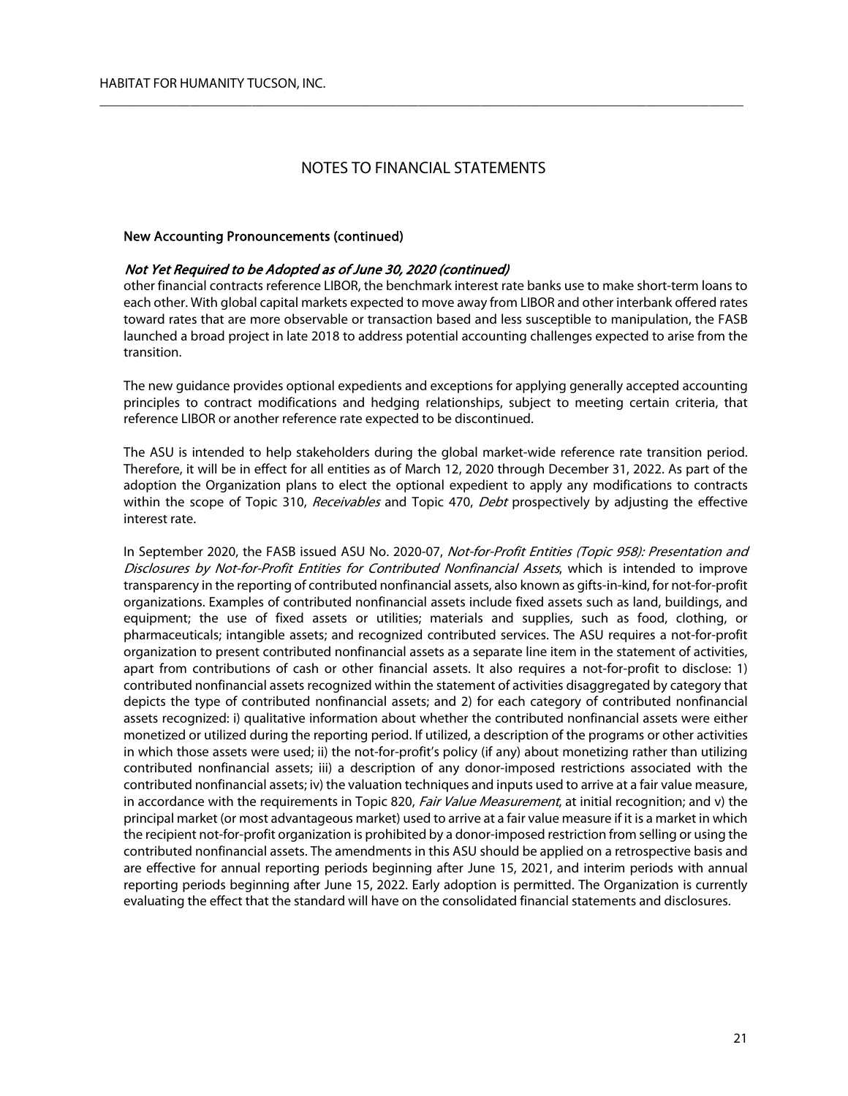$\overline{\phantom{a}}$  , and the contribution of the contribution of the contribution of the contribution of the contribution of the contribution of the contribution of the contribution of the contribution of the contribution of the

#### New Accounting Pronouncements (continued)

#### Not Yet Required to be Adopted as of June 30, 2020 (continued)

other financial contracts reference LIBOR, the benchmark interest rate banks use to make short-term loans to each other. With global capital markets expected to move away from LIBOR and other interbank offered rates toward rates that are more observable or transaction based and less susceptible to manipulation, the FASB launched a broad project in late 2018 to address potential accounting challenges expected to arise from the transition.

The new guidance provides optional expedients and exceptions for applying generally accepted accounting principles to contract modifications and hedging relationships, subject to meeting certain criteria, that reference LIBOR or another reference rate expected to be discontinued.

The ASU is intended to help stakeholders during the global market-wide reference rate transition period. Therefore, it will be in effect for all entities as of March 12, 2020 through December 31, 2022. As part of the adoption the Organization plans to elect the optional expedient to apply any modifications to contracts within the scope of Topic 310, Receivables and Topic 470, Debt prospectively by adjusting the effective interest rate.

In September 2020, the FASB issued ASU No. 2020-07, Not-for-Profit Entities (Topic 958): Presentation and Disclosures by Not-for-Profit Entities for Contributed Nonfinancial Assets, which is intended to improve transparency in the reporting of contributed nonfinancial assets, also known as gifts-in-kind, for not-for-profit organizations. Examples of contributed nonfinancial assets include fixed assets such as land, buildings, and equipment; the use of fixed assets or utilities; materials and supplies, such as food, clothing, or pharmaceuticals; intangible assets; and recognized contributed services. The ASU requires a not-for-profit organization to present contributed nonfinancial assets as a separate line item in the statement of activities, apart from contributions of cash or other financial assets. It also requires a not-for-profit to disclose: 1) contributed nonfinancial assets recognized within the statement of activities disaggregated by category that depicts the type of contributed nonfinancial assets; and 2) for each category of contributed nonfinancial assets recognized: i) qualitative information about whether the contributed nonfinancial assets were either monetized or utilized during the reporting period. If utilized, a description of the programs or other activities in which those assets were used; ii) the not-for-profit's policy (if any) about monetizing rather than utilizing contributed nonfinancial assets; iii) a description of any donor-imposed restrictions associated with the contributed nonfinancial assets; iv) the valuation techniques and inputs used to arrive at a fair value measure, in accordance with the requirements in Topic 820, Fair Value Measurement, at initial recognition; and v) the principal market (or most advantageous market) used to arrive at a fair value measure if it is a market in which the recipient not-for-profit organization is prohibited by a donor-imposed restriction from selling or using the contributed nonfinancial assets. The amendments in this ASU should be applied on a retrospective basis and are effective for annual reporting periods beginning after June 15, 2021, and interim periods with annual reporting periods beginning after June 15, 2022. Early adoption is permitted. The Organization is currently evaluating the effect that the standard will have on the consolidated financial statements and disclosures.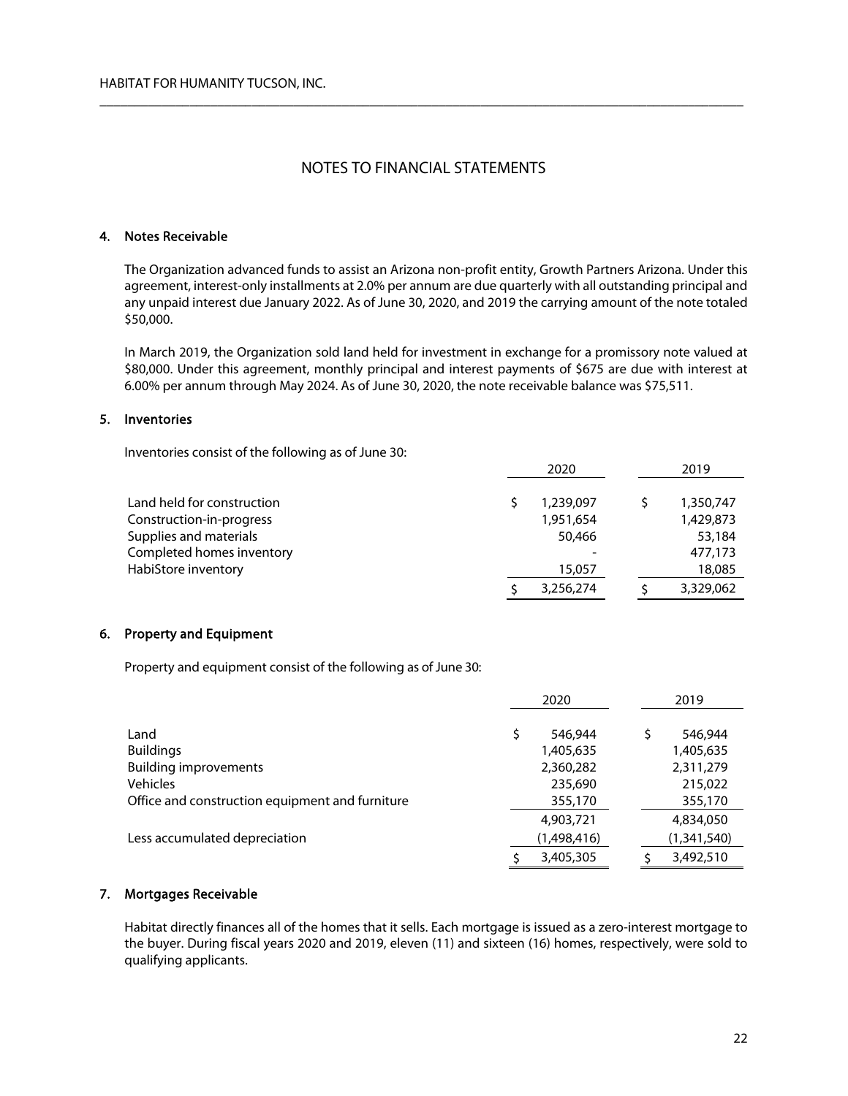$\overline{\phantom{a}}$  , and the contribution of the contribution of the contribution of the contribution of the contribution of the contribution of the contribution of the contribution of the contribution of the contribution of the

## 4. Notes Receivable

The Organization advanced funds to assist an Arizona non-profit entity, Growth Partners Arizona. Under this agreement, interest-only installments at 2.0% per annum are due quarterly with all outstanding principal and any unpaid interest due January 2022. As of June 30, 2020, and 2019 the carrying amount of the note totaled \$50,000.

In March 2019, the Organization sold land held for investment in exchange for a promissory note valued at \$80,000. Under this agreement, monthly principal and interest payments of \$675 are due with interest at 6.00% per annum through May 2024. As of June 30, 2020, the note receivable balance was \$75,511.

## 5. Inventories

Inventories consist of the following as of June 30:

|                            | 2020 |           |  | 2019      |
|----------------------------|------|-----------|--|-----------|
|                            |      |           |  |           |
| Land held for construction |      | 1,239,097 |  | 1,350,747 |
| Construction-in-progress   |      | 1,951,654 |  | 1,429,873 |
| Supplies and materials     |      | 50,466    |  | 53,184    |
| Completed homes inventory  |      |           |  | 477,173   |
| HabiStore inventory        |      | 15,057    |  | 18,085    |
|                            |      | 3,256,274 |  | 3,329,062 |

### 6. Property and Equipment

Property and equipment consist of the following as of June 30:

|                                                 | 2020        |  |  | 2019        |
|-------------------------------------------------|-------------|--|--|-------------|
|                                                 |             |  |  |             |
| Land                                            | 546,944     |  |  | 546,944     |
| <b>Buildings</b>                                | 1,405,635   |  |  | 1,405,635   |
| <b>Building improvements</b>                    | 2,360,282   |  |  | 2,311,279   |
| <b>Vehicles</b>                                 | 235,690     |  |  | 215,022     |
| Office and construction equipment and furniture | 355,170     |  |  | 355,170     |
|                                                 | 4,903,721   |  |  | 4,834,050   |
| Less accumulated depreciation                   | (1,498,416) |  |  | (1,341,540) |
|                                                 | 3,405,305   |  |  | 3,492,510   |

## 7. Mortgages Receivable

Habitat directly finances all of the homes that it sells. Each mortgage is issued as a zero-interest mortgage to the buyer. During fiscal years 2020 and 2019, eleven (11) and sixteen (16) homes, respectively, were sold to qualifying applicants.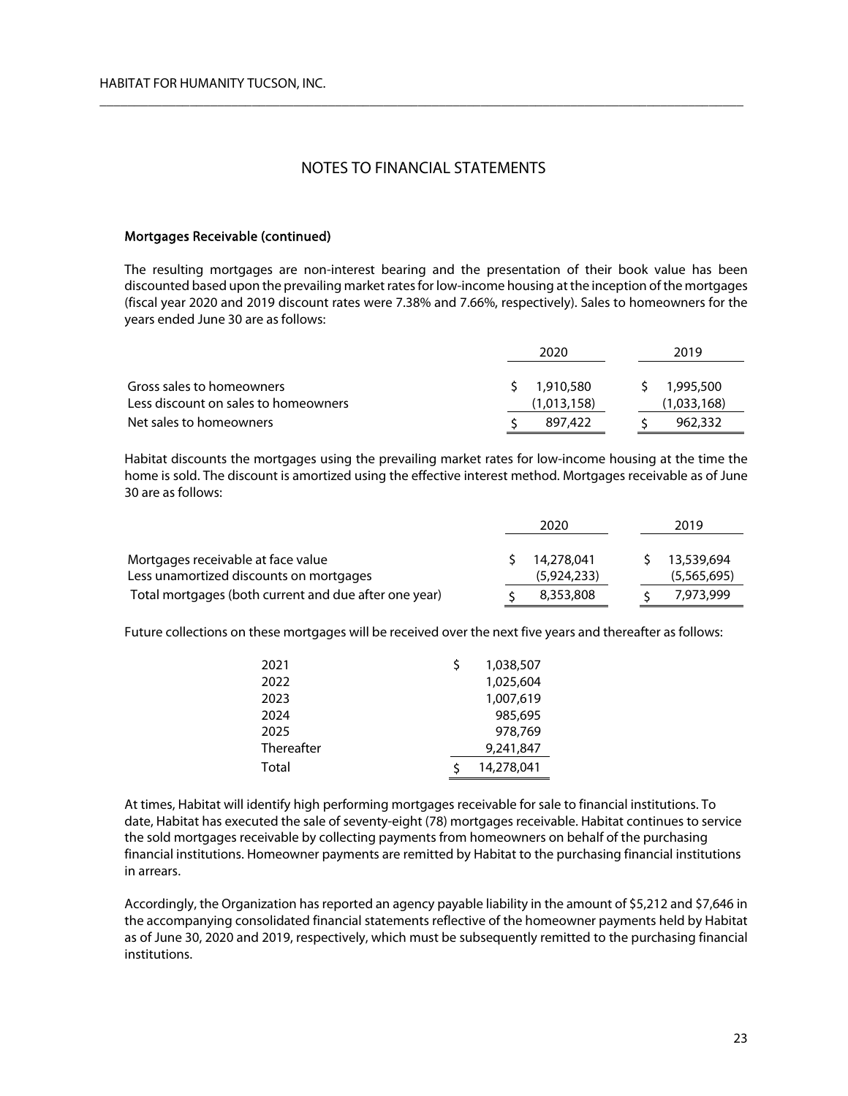$\overline{\phantom{a}}$  , and the contribution of the contribution of the contribution of the contribution of the contribution of the contribution of the contribution of the contribution of the contribution of the contribution of the

### Mortgages Receivable (continued)

The resulting mortgages are non-interest bearing and the presentation of their book value has been discounted based upon the prevailing market rates for low-income housing at the inception of the mortgages (fiscal year 2020 and 2019 discount rates were 7.38% and 7.66%, respectively). Sales to homeowners for the years ended June 30 are as follows:

|                                                                   | 2020 |                          | 2019 |                          |
|-------------------------------------------------------------------|------|--------------------------|------|--------------------------|
| Gross sales to homeowners<br>Less discount on sales to homeowners |      | 1,910,580<br>(1,013,158) |      | 1,995,500<br>(1,033,168) |
| Net sales to homeowners                                           |      | 897.422                  |      | 962,332                  |

Habitat discounts the mortgages using the prevailing market rates for low-income housing at the time the home is sold. The discount is amortized using the effective interest method. Mortgages receivable as of June 30 are as follows:

|                                                       | 2020 |             | 2019 |  |             |
|-------------------------------------------------------|------|-------------|------|--|-------------|
| Mortgages receivable at face value                    |      | 14,278,041  |      |  | 13,539,694  |
| Less unamortized discounts on mortgages               |      | (5,924,233) |      |  | (5,565,695) |
| Total mortgages (both current and due after one year) |      | 8,353,808   |      |  | 7,973,999   |

Future collections on these mortgages will be received over the next five years and thereafter as follows:

| 2021       | 1.038.507  |
|------------|------------|
| 2022       | 1,025,604  |
| 2023       | 1,007,619  |
| 2024       | 985.695    |
| 2025       | 978.769    |
| Thereafter | 9,241,847  |
| Total      | 14,278,041 |

At times, Habitat will identify high performing mortgages receivable for sale to financial institutions. To date, Habitat has executed the sale of seventy-eight (78) mortgages receivable. Habitat continues to service the sold mortgages receivable by collecting payments from homeowners on behalf of the purchasing financial institutions. Homeowner payments are remitted by Habitat to the purchasing financial institutions in arrears.

Accordingly, the Organization has reported an agency payable liability in the amount of \$5,212 and \$7,646 in the accompanying consolidated financial statements reflective of the homeowner payments held by Habitat as of June 30, 2020 and 2019, respectively, which must be subsequently remitted to the purchasing financial institutions.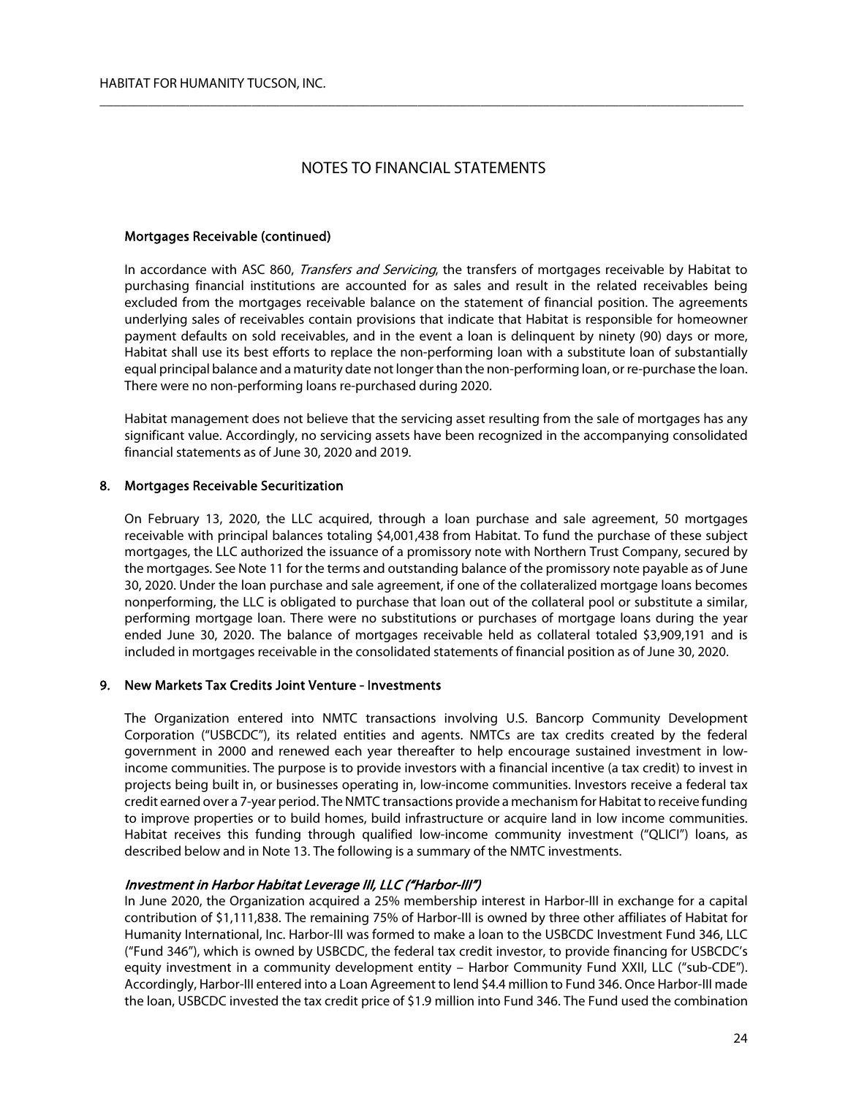$\overline{\phantom{a}}$  , and the contribution of the contribution of the contribution of the contribution of the contribution of the contribution of the contribution of the contribution of the contribution of the contribution of the

## Mortgages Receivable (continued)

In accordance with ASC 860, *Transfers and Servicing*, the transfers of mortgages receivable by Habitat to purchasing financial institutions are accounted for as sales and result in the related receivables being excluded from the mortgages receivable balance on the statement of financial position. The agreements underlying sales of receivables contain provisions that indicate that Habitat is responsible for homeowner payment defaults on sold receivables, and in the event a loan is delinquent by ninety (90) days or more, Habitat shall use its best efforts to replace the non-performing loan with a substitute loan of substantially equal principal balance and a maturity date not longer than the non-performing loan, or re-purchase the loan. There were no non-performing loans re-purchased during 2020.

Habitat management does not believe that the servicing asset resulting from the sale of mortgages has any significant value. Accordingly, no servicing assets have been recognized in the accompanying consolidated financial statements as of June 30, 2020 and 2019.

## 8. Mortgages Receivable Securitization

On February 13, 2020, the LLC acquired, through a loan purchase and sale agreement, 50 mortgages receivable with principal balances totaling \$4,001,438 from Habitat. To fund the purchase of these subject mortgages, the LLC authorized the issuance of a promissory note with Northern Trust Company, secured by the mortgages. See Note 11 for the terms and outstanding balance of the promissory note payable as of June 30, 2020. Under the loan purchase and sale agreement, if one of the collateralized mortgage loans becomes nonperforming, the LLC is obligated to purchase that loan out of the collateral pool or substitute a similar, performing mortgage loan. There were no substitutions or purchases of mortgage loans during the year ended June 30, 2020. The balance of mortgages receivable held as collateral totaled \$3,909,191 and is included in mortgages receivable in the consolidated statements of financial position as of June 30, 2020.

## 9. New Markets Tax Credits Joint Venture - Investments

The Organization entered into NMTC transactions involving U.S. Bancorp Community Development Corporation ("USBCDC"), its related entities and agents. NMTCs are tax credits created by the federal government in 2000 and renewed each year thereafter to help encourage sustained investment in lowincome communities. The purpose is to provide investors with a financial incentive (a tax credit) to invest in projects being built in, or businesses operating in, low-income communities. Investors receive a federal tax credit earned over a 7-year period. The NMTC transactions provide a mechanism for Habitat to receive funding to improve properties or to build homes, build infrastructure or acquire land in low income communities. Habitat receives this funding through qualified low-income community investment ("QLICI") loans, as described below and in Note 13. The following is a summary of the NMTC investments.

## Investment in Harbor Habitat Leverage III, LLC ("Harbor-III")

In June 2020, the Organization acquired a 25% membership interest in Harbor-III in exchange for a capital contribution of \$1,111,838. The remaining 75% of Harbor-III is owned by three other affiliates of Habitat for Humanity International, Inc. Harbor-III was formed to make a loan to the USBCDC Investment Fund 346, LLC ("Fund 346"), which is owned by USBCDC, the federal tax credit investor, to provide financing for USBCDC's equity investment in a community development entity – Harbor Community Fund XXII, LLC ("sub-CDE"). Accordingly, Harbor-III entered into a Loan Agreement to lend \$4.4 million to Fund 346. Once Harbor-III made the loan, USBCDC invested the tax credit price of \$1.9 million into Fund 346. The Fund used the combination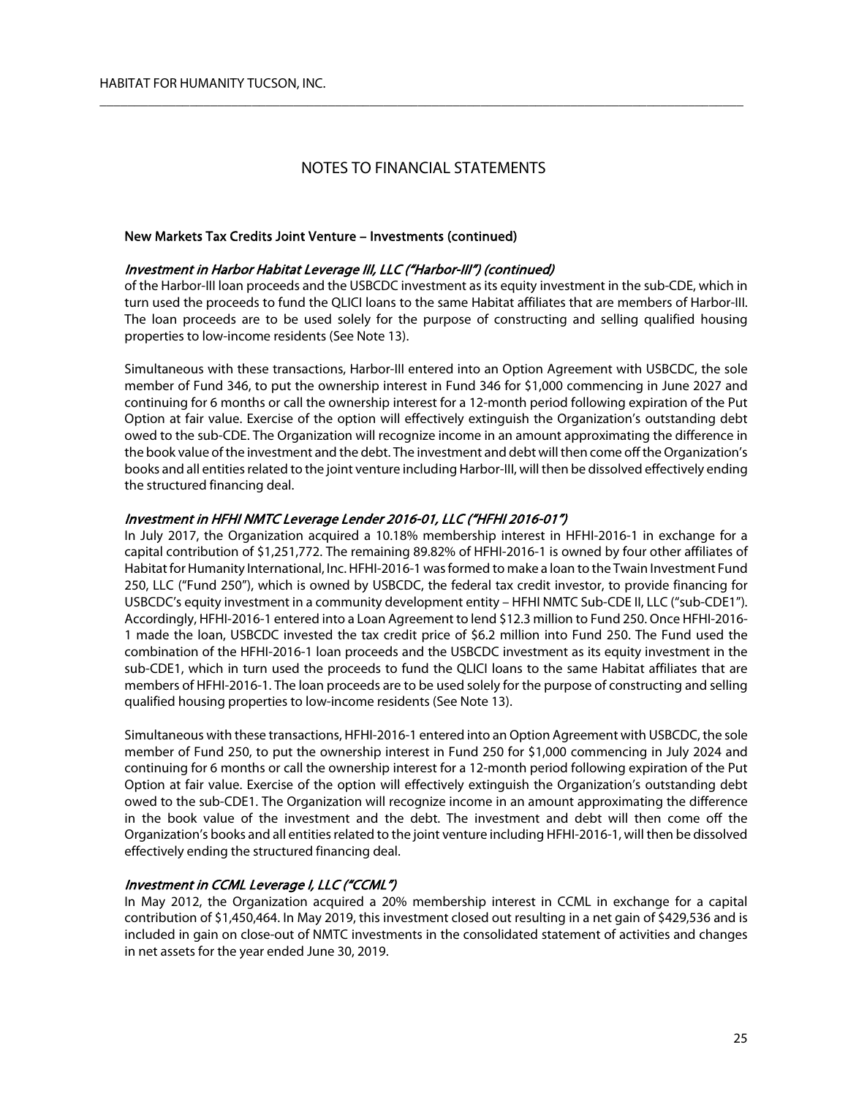$\overline{\phantom{a}}$  , and the contribution of the contribution of the contribution of the contribution of the contribution of the contribution of the contribution of the contribution of the contribution of the contribution of the

## New Markets Tax Credits Joint Venture – Investments (continued)

### Investment in Harbor Habitat Leverage III, LLC ("Harbor-III") (continued)

of the Harbor-III loan proceeds and the USBCDC investment as its equity investment in the sub-CDE, which in turn used the proceeds to fund the QLICI loans to the same Habitat affiliates that are members of Harbor-III. The loan proceeds are to be used solely for the purpose of constructing and selling qualified housing properties to low-income residents (See Note 13).

Simultaneous with these transactions, Harbor-III entered into an Option Agreement with USBCDC, the sole member of Fund 346, to put the ownership interest in Fund 346 for \$1,000 commencing in June 2027 and continuing for 6 months or call the ownership interest for a 12-month period following expiration of the Put Option at fair value. Exercise of the option will effectively extinguish the Organization's outstanding debt owed to the sub-CDE. The Organization will recognize income in an amount approximating the difference in the book value of the investment and the debt. The investment and debt will then come off the Organization's books and all entities related to the joint venture including Harbor-III, will then be dissolved effectively ending the structured financing deal.

## Investment in HFHI NMTC Leverage Lender 2016-01, LLC ("HFHI 2016-01")

In July 2017, the Organization acquired a 10.18% membership interest in HFHI-2016-1 in exchange for a capital contribution of \$1,251,772. The remaining 89.82% of HFHI-2016-1 is owned by four other affiliates of Habitat for Humanity International, Inc. HFHI-2016-1 was formed to make a loan to the Twain Investment Fund 250, LLC ("Fund 250"), which is owned by USBCDC, the federal tax credit investor, to provide financing for USBCDC's equity investment in a community development entity – HFHI NMTC Sub-CDE II, LLC ("sub-CDE1"). Accordingly, HFHI-2016-1 entered into a Loan Agreement to lend \$12.3 million to Fund 250. Once HFHI-2016- 1 made the loan, USBCDC invested the tax credit price of \$6.2 million into Fund 250. The Fund used the combination of the HFHI-2016-1 loan proceeds and the USBCDC investment as its equity investment in the sub-CDE1, which in turn used the proceeds to fund the QLICI loans to the same Habitat affiliates that are members of HFHI-2016-1. The loan proceeds are to be used solely for the purpose of constructing and selling qualified housing properties to low-income residents (See Note 13).

Simultaneous with these transactions, HFHI-2016-1 entered into an Option Agreement with USBCDC, the sole member of Fund 250, to put the ownership interest in Fund 250 for \$1,000 commencing in July 2024 and continuing for 6 months or call the ownership interest for a 12-month period following expiration of the Put Option at fair value. Exercise of the option will effectively extinguish the Organization's outstanding debt owed to the sub-CDE1. The Organization will recognize income in an amount approximating the difference in the book value of the investment and the debt. The investment and debt will then come off the Organization's books and all entities related to the joint venture including HFHI-2016-1, will then be dissolved effectively ending the structured financing deal.

## Investment in CCML Leverage I, LLC ("CCML")

In May 2012, the Organization acquired a 20% membership interest in CCML in exchange for a capital contribution of \$1,450,464. In May 2019, this investment closed out resulting in a net gain of \$429,536 and is included in gain on close-out of NMTC investments in the consolidated statement of activities and changes in net assets for the year ended June 30, 2019.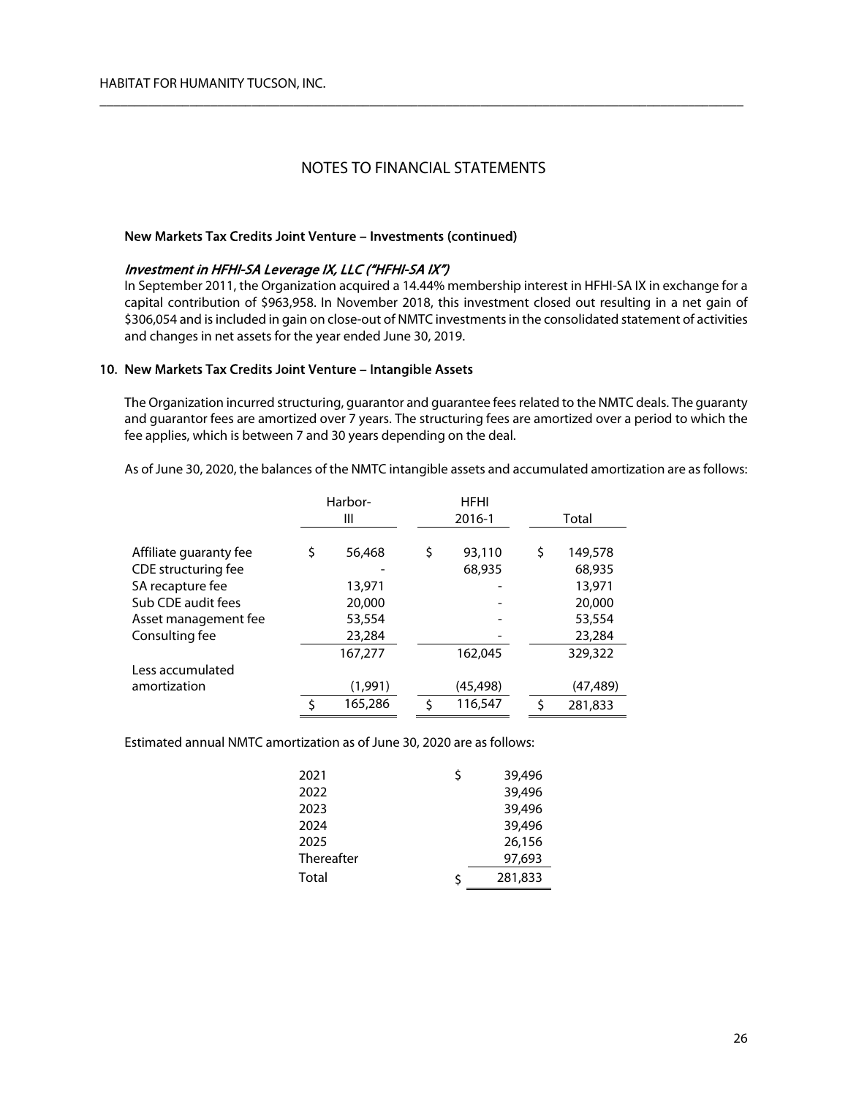$\overline{\phantom{a}}$  , and the contribution of the contribution of the contribution of the contribution of the contribution of the contribution of the contribution of the contribution of the contribution of the contribution of the

## New Markets Tax Credits Joint Venture – Investments (continued)

## Investment in HFHI-SA Leverage IX, LLC ("HFHI-SA IX")

In September 2011, the Organization acquired a 14.44% membership interest in HFHI-SA IX in exchange for a capital contribution of \$963,958. In November 2018, this investment closed out resulting in a net gain of \$306,054 and is included in gain on close-out of NMTC investments in the consolidated statement of activities and changes in net assets for the year ended June 30, 2019.

### 10. New Markets Tax Credits Joint Venture – Intangible Assets

The Organization incurred structuring, guarantor and guarantee fees related to the NMTC deals. The guaranty and guarantor fees are amortized over 7 years. The structuring fees are amortized over a period to which the fee applies, which is between 7 and 30 years depending on the deal.

As of June 30, 2020, the balances of the NMTC intangible assets and accumulated amortization are as follows:

|                        | Harbor- |         |  |    |           | <b>HFHI</b> |          |  |  |  |  |
|------------------------|---------|---------|--|----|-----------|-------------|----------|--|--|--|--|
|                        |         | Ш       |  |    | 2016-1    |             | Total    |  |  |  |  |
|                        |         |         |  |    |           |             |          |  |  |  |  |
| Affiliate guaranty fee | \$      | 56,468  |  | \$ | 93,110    | \$          | 149,578  |  |  |  |  |
| CDE structuring fee    |         |         |  |    | 68,935    |             | 68,935   |  |  |  |  |
| SA recapture fee       |         | 13,971  |  |    |           |             | 13,971   |  |  |  |  |
| Sub CDE audit fees     |         | 20,000  |  |    |           |             | 20,000   |  |  |  |  |
| Asset management fee   |         | 53,554  |  |    |           |             | 53,554   |  |  |  |  |
| Consulting fee         |         | 23,284  |  |    |           |             | 23,284   |  |  |  |  |
|                        |         | 167,277 |  |    | 162,045   |             | 329,322  |  |  |  |  |
| Less accumulated       |         |         |  |    |           |             |          |  |  |  |  |
| amortization           |         | (1,991) |  |    | (45, 498) |             | (47,489) |  |  |  |  |
|                        | Ś       | 165,286 |  |    | 116,547   | Ś           | 281,833  |  |  |  |  |

Estimated annual NMTC amortization as of June 30, 2020 are as follows:

| 2021       | Ś  | 39,496  |
|------------|----|---------|
| 2022       |    | 39,496  |
| 2023       |    | 39,496  |
| 2024       |    | 39,496  |
| 2025       |    | 26,156  |
| Thereafter |    | 97,693  |
| Total      | \$ | 281,833 |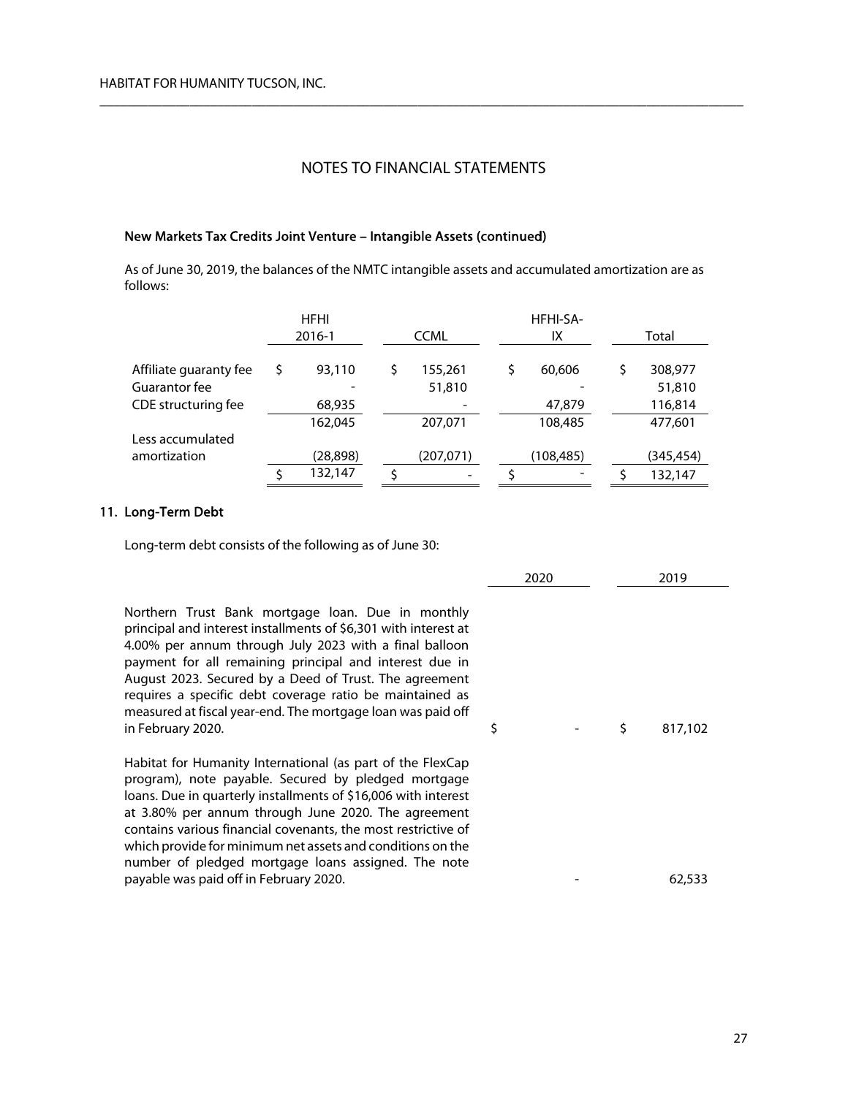$\overline{\phantom{a}}$  , and the contribution of the contribution of the contribution of the contribution of the contribution of the contribution of the contribution of the contribution of the contribution of the contribution of the

## New Markets Tax Credits Joint Venture – Intangible Assets (continued)

As of June 30, 2019, the balances of the NMTC intangible assets and accumulated amortization are as follows:

|                        | <b>HFHI</b> | HFHI-SA- |             |  |           |  |  |           |
|------------------------|-------------|----------|-------------|--|-----------|--|--|-----------|
|                        | 2016-1      |          | <b>CCML</b> |  | IΧ        |  |  | Total     |
| Affiliate guaranty fee | 93,110      | \$       | 155,261     |  | 60,606    |  |  | 308,977   |
| Guarantor fee          |             |          | 51,810      |  |           |  |  | 51,810    |
| CDE structuring fee    | 68,935      |          |             |  | 47,879    |  |  | 116,814   |
|                        | 162,045     |          | 207,071     |  | 108,485   |  |  | 477,601   |
| Less accumulated       |             |          |             |  |           |  |  |           |
| amortization           | (28, 898)   |          | (207, 071)  |  | (108,485) |  |  | (345,454) |
|                        | 132,147     |          |             |  |           |  |  | 132,147   |

## 11. Long-Term Debt

Long-term debt consists of the following as of June 30:

|                                                                                                                                                                                                                                                                                                                                                                                                                                                                            | 2020 | 2019          |
|----------------------------------------------------------------------------------------------------------------------------------------------------------------------------------------------------------------------------------------------------------------------------------------------------------------------------------------------------------------------------------------------------------------------------------------------------------------------------|------|---------------|
| Northern Trust Bank mortgage loan. Due in monthly<br>principal and interest installments of \$6,301 with interest at<br>4.00% per annum through July 2023 with a final balloon<br>payment for all remaining principal and interest due in<br>August 2023. Secured by a Deed of Trust. The agreement<br>requires a specific debt coverage ratio be maintained as<br>measured at fiscal year-end. The mortgage loan was paid off<br>in February 2020.                        | \$   | \$<br>817.102 |
| Habitat for Humanity International (as part of the FlexCap<br>program), note payable. Secured by pledged mortgage<br>loans. Due in quarterly installments of \$16,006 with interest<br>at 3.80% per annum through June 2020. The agreement<br>contains various financial covenants, the most restrictive of<br>which provide for minimum net assets and conditions on the<br>number of pledged mortgage loans assigned. The note<br>payable was paid off in February 2020. |      | 62,533        |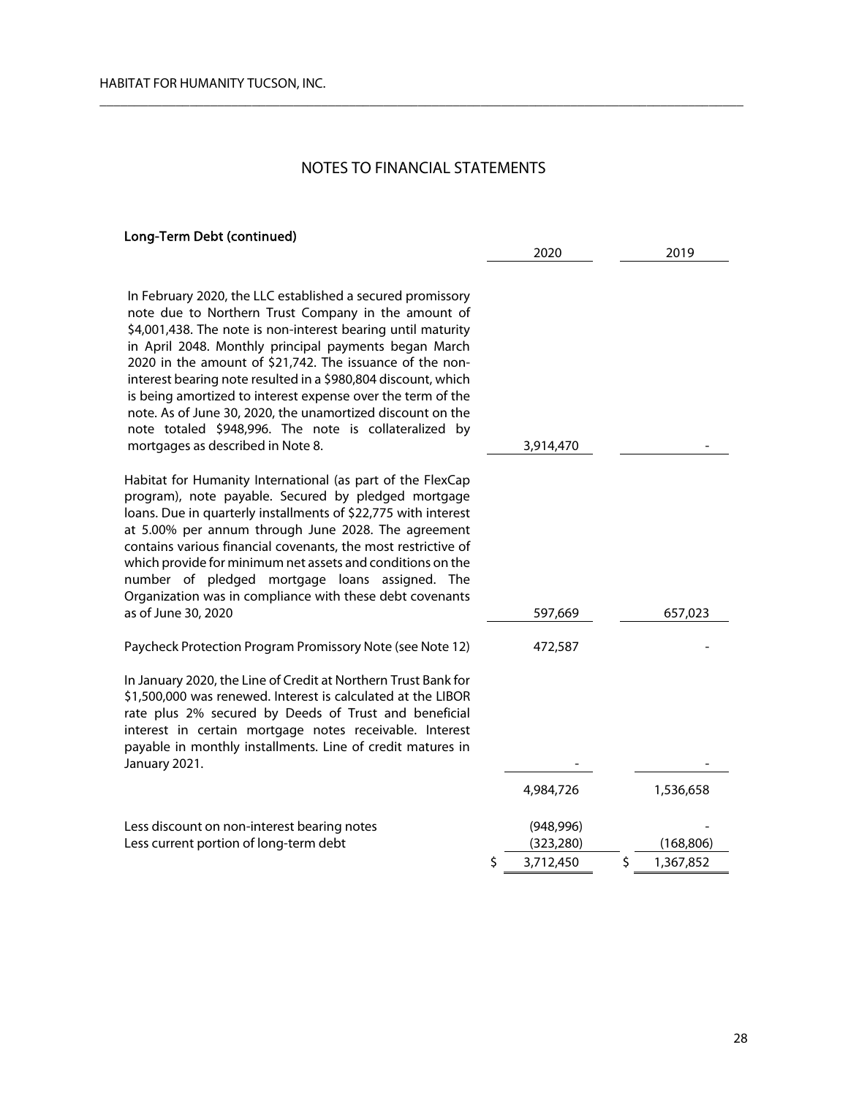$\overline{\phantom{a}}$  , and the contribution of the contribution of the contribution of the contribution of the contribution of the contribution of the contribution of the contribution of the contribution of the contribution of the

#### Long-Term Debt (continued)

| n February 2020, the LLC established a secured promissory<br>note due to Northern Trust Company in the amount of<br>\$4,001,438. The note is non-interest bearing until maturity<br>n April 2048. Monthly principal payments began March<br>2020 in the amount of \$21,742. The issuance of the non-<br>nterest bearing note resulted in a \$980,804 discount, which<br>s being amortized to interest expense over the term of the<br>note. As of June 30, 2020, the unamortized discount on the<br>note totaled \$948,996. The note is collateralized by<br>mortgages as described in Note 8. | 3,914,470                |   |            |
|------------------------------------------------------------------------------------------------------------------------------------------------------------------------------------------------------------------------------------------------------------------------------------------------------------------------------------------------------------------------------------------------------------------------------------------------------------------------------------------------------------------------------------------------------------------------------------------------|--------------------------|---|------------|
| labitat for Humanity International (as part of the FlexCap<br>rogram), note payable. Secured by pledged mortgage<br>bans. Due in quarterly installments of \$22,775 with interest<br>t 5.00% per annum through June 2028. The agreement<br>ontains various financial covenants, the most restrictive of<br>hich provide for minimum net assets and conditions on the<br>umber of pledged mortgage loans assigned. The<br>Irganization was in compliance with these debt covenants                                                                                                              |                          |   |            |
| s of June 30, 2020                                                                                                                                                                                                                                                                                                                                                                                                                                                                                                                                                                             | 597,669                  |   | 657,023    |
| aycheck Protection Program Promissory Note (see Note 12)                                                                                                                                                                                                                                                                                                                                                                                                                                                                                                                                       | 472,587                  |   |            |
| ו January 2020, the Line of Credit at Northern Trust Bank for<br>1,500,000 was renewed. Interest is calculated at the LIBOR<br>ate plus 2% secured by Deeds of Trust and beneficial<br>nterest in certain mortgage notes receivable. Interest<br>ayable in monthly installments. Line of credit matures in<br>anuary 2021.                                                                                                                                                                                                                                                                     |                          |   |            |
|                                                                                                                                                                                                                                                                                                                                                                                                                                                                                                                                                                                                | 4,984,726                |   | 1,536,658  |
| ess discount on non-interest bearing notes<br>ess current portion of long-term debt                                                                                                                                                                                                                                                                                                                                                                                                                                                                                                            | (948, 996)<br>(323, 280) |   | (168, 806) |
|                                                                                                                                                                                                                                                                                                                                                                                                                                                                                                                                                                                                | \$<br>3,712,450          | Ś | 1,367,852  |

2020 2019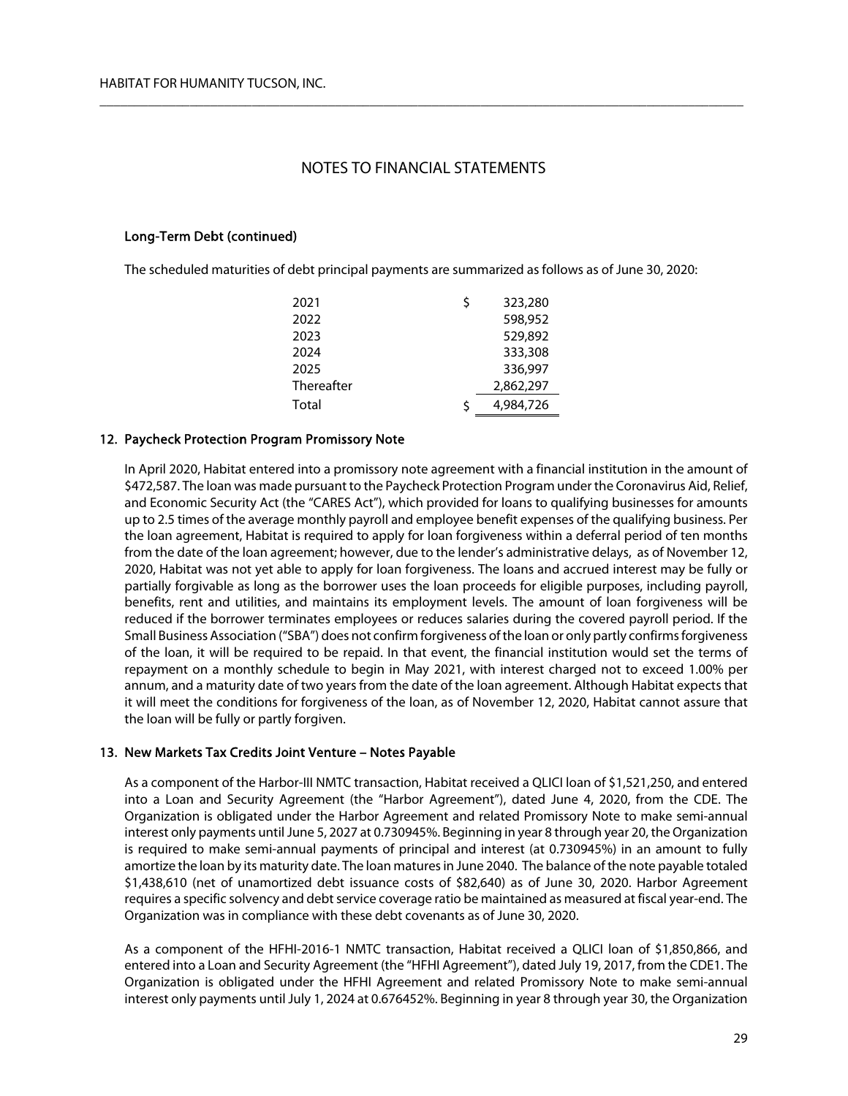$\overline{\phantom{a}}$  , and the contribution of the contribution of the contribution of the contribution of the contribution of the contribution of the contribution of the contribution of the contribution of the contribution of the

## Long-Term Debt (continued)

The scheduled maturities of debt principal payments are summarized as follows as of June 30, 2020:

| 2021       | Ś  | 323,280   |
|------------|----|-----------|
| 2022       |    | 598,952   |
| 2023       |    | 529,892   |
| 2024       |    | 333,308   |
| 2025       |    | 336.997   |
| Thereafter |    | 2,862,297 |
| Total      | \$ | 4,984,726 |

## 12. Paycheck Protection Program Promissory Note

In April 2020, Habitat entered into a promissory note agreement with a financial institution in the amount of \$472,587. The loan was made pursuant to the Paycheck Protection Program under the Coronavirus Aid, Relief, and Economic Security Act (the "CARES Act"), which provided for loans to qualifying businesses for amounts up to 2.5 times of the average monthly payroll and employee benefit expenses of the qualifying business. Per the loan agreement, Habitat is required to apply for loan forgiveness within a deferral period of ten months from the date of the loan agreement; however, due to the lender's administrative delays, as of November 12, 2020, Habitat was not yet able to apply for loan forgiveness. The loans and accrued interest may be fully or partially forgivable as long as the borrower uses the loan proceeds for eligible purposes, including payroll, benefits, rent and utilities, and maintains its employment levels. The amount of loan forgiveness will be reduced if the borrower terminates employees or reduces salaries during the covered payroll period. If the Small Business Association ("SBA") does not confirm forgiveness of the loan or only partly confirms forgiveness of the loan, it will be required to be repaid. In that event, the financial institution would set the terms of repayment on a monthly schedule to begin in May 2021, with interest charged not to exceed 1.00% per annum, and a maturity date of two years from the date of the loan agreement. Although Habitat expects that it will meet the conditions for forgiveness of the loan, as of November 12, 2020, Habitat cannot assure that the loan will be fully or partly forgiven.

## 13. New Markets Tax Credits Joint Venture – Notes Payable

As a component of the Harbor-III NMTC transaction, Habitat received a QLICI loan of \$1,521,250, and entered into a Loan and Security Agreement (the "Harbor Agreement"), dated June 4, 2020, from the CDE. The Organization is obligated under the Harbor Agreement and related Promissory Note to make semi-annual interest only payments until June 5, 2027 at 0.730945%. Beginning in year 8 through year 20, the Organization is required to make semi-annual payments of principal and interest (at 0.730945%) in an amount to fully amortize the loan by its maturity date. The loan matures in June 2040. The balance of the note payable totaled \$1,438,610 (net of unamortized debt issuance costs of \$82,640) as of June 30, 2020. Harbor Agreement requires a specific solvency and debt service coverage ratio be maintained as measured at fiscal year-end. The Organization was in compliance with these debt covenants as of June 30, 2020.

As a component of the HFHI-2016-1 NMTC transaction, Habitat received a QLICI loan of \$1,850,866, and entered into a Loan and Security Agreement (the "HFHI Agreement"), dated July 19, 2017, from the CDE1. The Organization is obligated under the HFHI Agreement and related Promissory Note to make semi-annual interest only payments until July 1, 2024 at 0.676452%. Beginning in year 8 through year 30, the Organization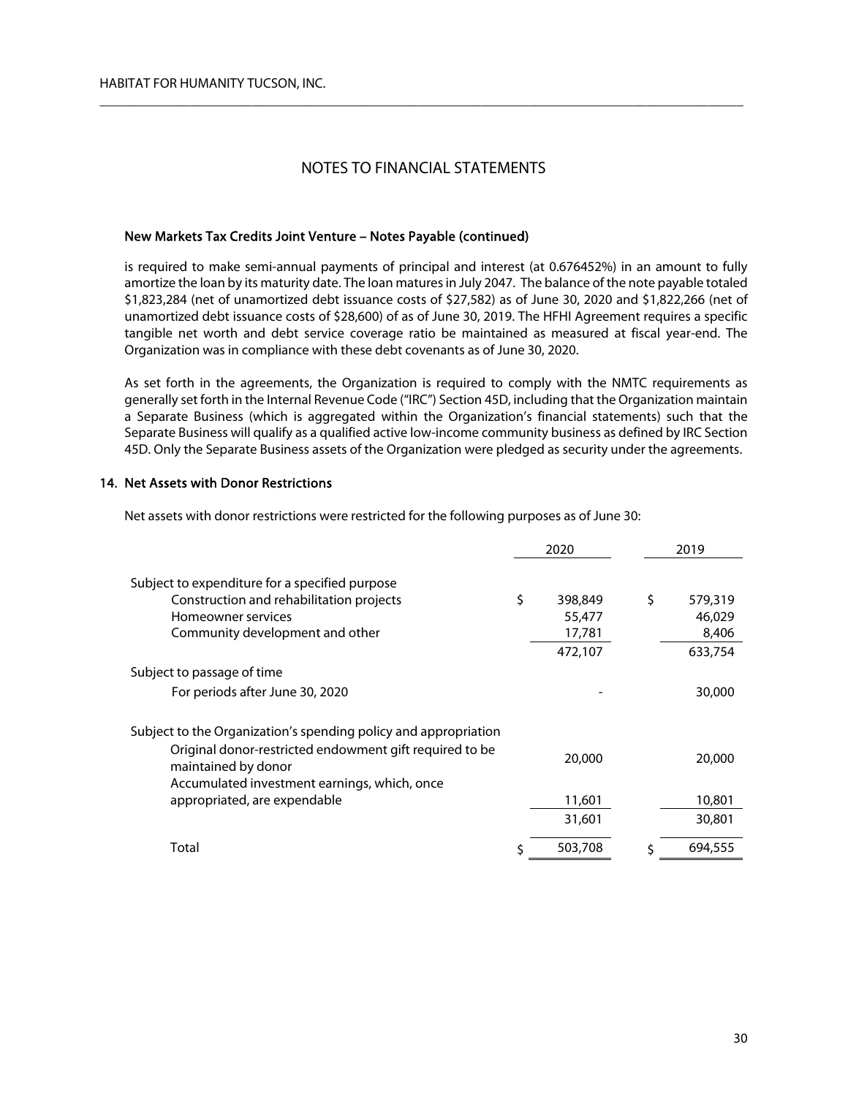$\overline{\phantom{a}}$  , and the contribution of the contribution of the contribution of the contribution of the contribution of the contribution of the contribution of the contribution of the contribution of the contribution of the

## New Markets Tax Credits Joint Venture – Notes Payable (continued)

is required to make semi-annual payments of principal and interest (at 0.676452%) in an amount to fully amortize the loan by its maturity date. The loan matures in July 2047. The balance of the note payable totaled \$1,823,284 (net of unamortized debt issuance costs of \$27,582) as of June 30, 2020 and \$1,822,266 (net of unamortized debt issuance costs of \$28,600) of as of June 30, 2019. The HFHI Agreement requires a specific tangible net worth and debt service coverage ratio be maintained as measured at fiscal year-end. The Organization was in compliance with these debt covenants as of June 30, 2020.

As set forth in the agreements, the Organization is required to comply with the NMTC requirements as generally set forth in the Internal Revenue Code ("IRC") Section 45D, including that the Organization maintain a Separate Business (which is aggregated within the Organization's financial statements) such that the Separate Business will qualify as a qualified active low-income community business as defined by IRC Section 45D. Only the Separate Business assets of the Organization were pledged as security under the agreements.

## 14. Net Assets with Donor Restrictions

Net assets with donor restrictions were restricted for the following purposes as of June 30:

|                                                                                                                                | 2020 |         | 2019          |
|--------------------------------------------------------------------------------------------------------------------------------|------|---------|---------------|
| Subject to expenditure for a specified purpose                                                                                 |      |         |               |
| Construction and rehabilitation projects                                                                                       | \$   | 398,849 | \$<br>579,319 |
| Homeowner services                                                                                                             |      | 55,477  | 46,029        |
| Community development and other                                                                                                |      | 17,781  | 8,406         |
|                                                                                                                                |      | 472,107 | 633,754       |
| Subject to passage of time                                                                                                     |      |         |               |
| For periods after June 30, 2020                                                                                                |      |         | 30,000        |
| Subject to the Organization's spending policy and appropriation                                                                |      |         |               |
| Original donor-restricted endowment gift required to be<br>maintained by donor<br>Accumulated investment earnings, which, once |      | 20,000  | 20,000        |
| appropriated, are expendable                                                                                                   |      | 11,601  | 10,801        |
|                                                                                                                                |      | 31,601  | 30,801        |
| Total                                                                                                                          | Ś    | 503,708 | 694,555       |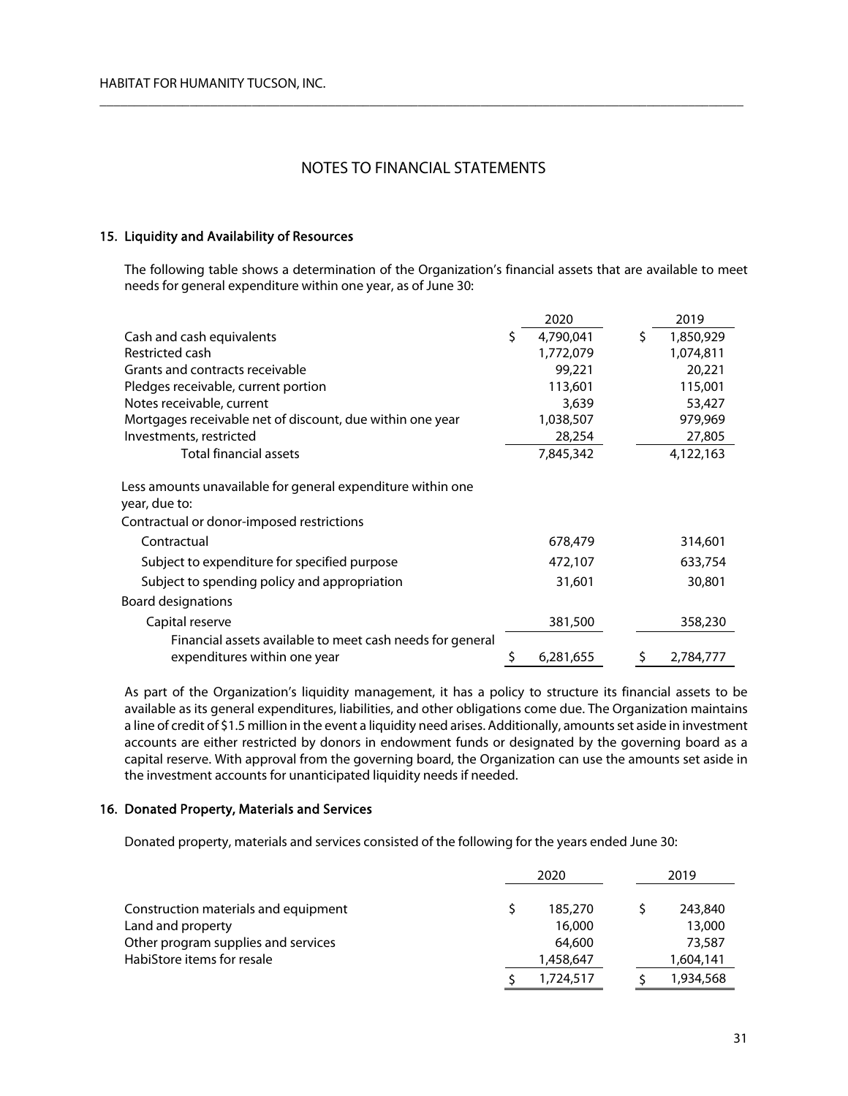$\overline{\phantom{a}}$  , and the contribution of the contribution of the contribution of the contribution of the contribution of the contribution of the contribution of the contribution of the contribution of the contribution of the

## 15. Liquidity and Availability of Resources

The following table shows a determination of the Organization's financial assets that are available to meet needs for general expenditure within one year, as of June 30:

|                                                                                                                           |   | 2020      |    | 2019      |
|---------------------------------------------------------------------------------------------------------------------------|---|-----------|----|-----------|
| Cash and cash equivalents                                                                                                 | S | 4,790,041 | \$ | 1,850,929 |
| Restricted cash                                                                                                           |   | 1,772,079 |    | 1,074,811 |
| Grants and contracts receivable                                                                                           |   | 99,221    |    | 20,221    |
| Pledges receivable, current portion                                                                                       |   | 113,601   |    | 115,001   |
| Notes receivable, current                                                                                                 |   | 3,639     |    | 53,427    |
| Mortgages receivable net of discount, due within one year                                                                 |   | 1,038,507 |    | 979,969   |
| Investments, restricted                                                                                                   |   | 28,254    |    | 27,805    |
| <b>Total financial assets</b>                                                                                             |   | 7,845,342 |    | 4,122,163 |
| Less amounts unavailable for general expenditure within one<br>year, due to:<br>Contractual or donor-imposed restrictions |   |           |    |           |
| Contractual                                                                                                               |   | 678,479   |    | 314,601   |
| Subject to expenditure for specified purpose                                                                              |   | 472,107   |    | 633,754   |
| Subject to spending policy and appropriation                                                                              |   | 31,601    |    | 30,801    |
| Board designations                                                                                                        |   |           |    |           |
| Capital reserve                                                                                                           |   | 381,500   |    | 358,230   |
| Financial assets available to meet cash needs for general                                                                 |   |           |    |           |
| expenditures within one year                                                                                              | S | 6,281,655 | S  | 2,784,777 |

As part of the Organization's liquidity management, it has a policy to structure its financial assets to be available as its general expenditures, liabilities, and other obligations come due. The Organization maintains a line of credit of \$1.5 million in the event a liquidity need arises. Additionally, amounts set aside in investment accounts are either restricted by donors in endowment funds or designated by the governing board as a capital reserve. With approval from the governing board, the Organization can use the amounts set aside in the investment accounts for unanticipated liquidity needs if needed.

## 16. Donated Property, Materials and Services

Donated property, materials and services consisted of the following for the years ended June 30:

|                                      | 2020      | 2019 |           |  |
|--------------------------------------|-----------|------|-----------|--|
| Construction materials and equipment | 185,270   |      | 243,840   |  |
| Land and property                    | 16,000    |      | 13,000    |  |
| Other program supplies and services  | 64,600    |      | 73,587    |  |
| HabiStore items for resale           | 1,458,647 |      | 1,604,141 |  |
|                                      | 1,724,517 |      | 1,934,568 |  |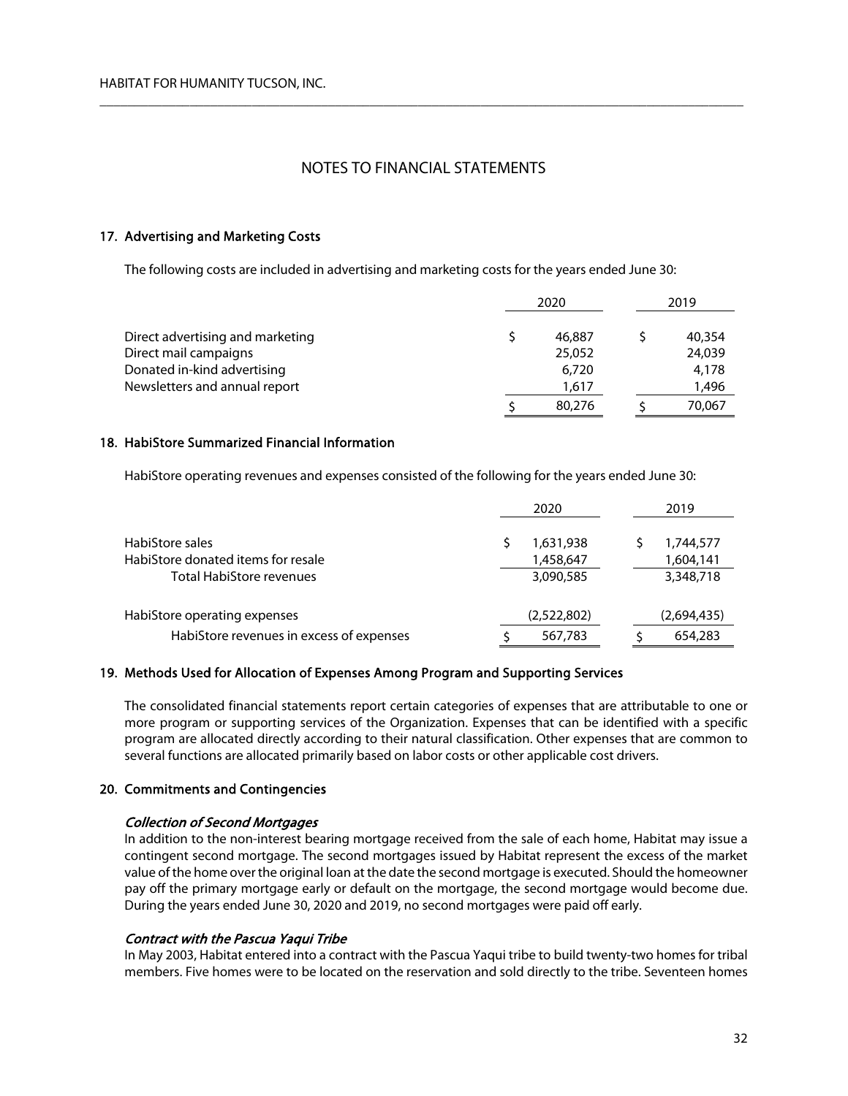$\overline{\phantom{a}}$  , and the contribution of the contribution of the contribution of the contribution of the contribution of the contribution of the contribution of the contribution of the contribution of the contribution of the

## 17. Advertising and Marketing Costs

The following costs are included in advertising and marketing costs for the years ended June 30:

|                                  |  | 2020   |  | 2019   |  |
|----------------------------------|--|--------|--|--------|--|
| Direct advertising and marketing |  | 46,887 |  | 40,354 |  |
| Direct mail campaigns            |  | 25,052 |  | 24,039 |  |
| Donated in-kind advertising      |  | 6,720  |  | 4,178  |  |
| Newsletters and annual report    |  | 1,617  |  | 1,496  |  |
|                                  |  | 80,276 |  | 70,067 |  |

## 18. HabiStore Summarized Financial Information

HabiStore operating revenues and expenses consisted of the following for the years ended June 30:

|                                                       | 2020      |                        |  | 2019      |                        |  |
|-------------------------------------------------------|-----------|------------------------|--|-----------|------------------------|--|
| HabiStore sales<br>HabiStore donated items for resale |           | 1,631,938<br>1,458,647 |  |           | 1,744,577<br>1,604,141 |  |
| <b>Total HabiStore revenues</b>                       | 3,090,585 |                        |  | 3,348,718 |                        |  |
| HabiStore operating expenses                          |           | (2,522,802)            |  |           | (2,694,435)            |  |
| HabiStore revenues in excess of expenses              |           | 567,783                |  |           | 654,283                |  |

### 19. Methods Used for Allocation of Expenses Among Program and Supporting Services

The consolidated financial statements report certain categories of expenses that are attributable to one or more program or supporting services of the Organization. Expenses that can be identified with a specific program are allocated directly according to their natural classification. Other expenses that are common to several functions are allocated primarily based on labor costs or other applicable cost drivers.

### 20. Commitments and Contingencies

### Collection of Second Mortgages

In addition to the non-interest bearing mortgage received from the sale of each home, Habitat may issue a contingent second mortgage. The second mortgages issued by Habitat represent the excess of the market value of the home over the original loan at the date the second mortgage is executed. Should the homeowner pay off the primary mortgage early or default on the mortgage, the second mortgage would become due. During the years ended June 30, 2020 and 2019, no second mortgages were paid off early.

### Contract with the Pascua Yaqui Tribe

In May 2003, Habitat entered into a contract with the Pascua Yaqui tribe to build twenty-two homes for tribal members. Five homes were to be located on the reservation and sold directly to the tribe. Seventeen homes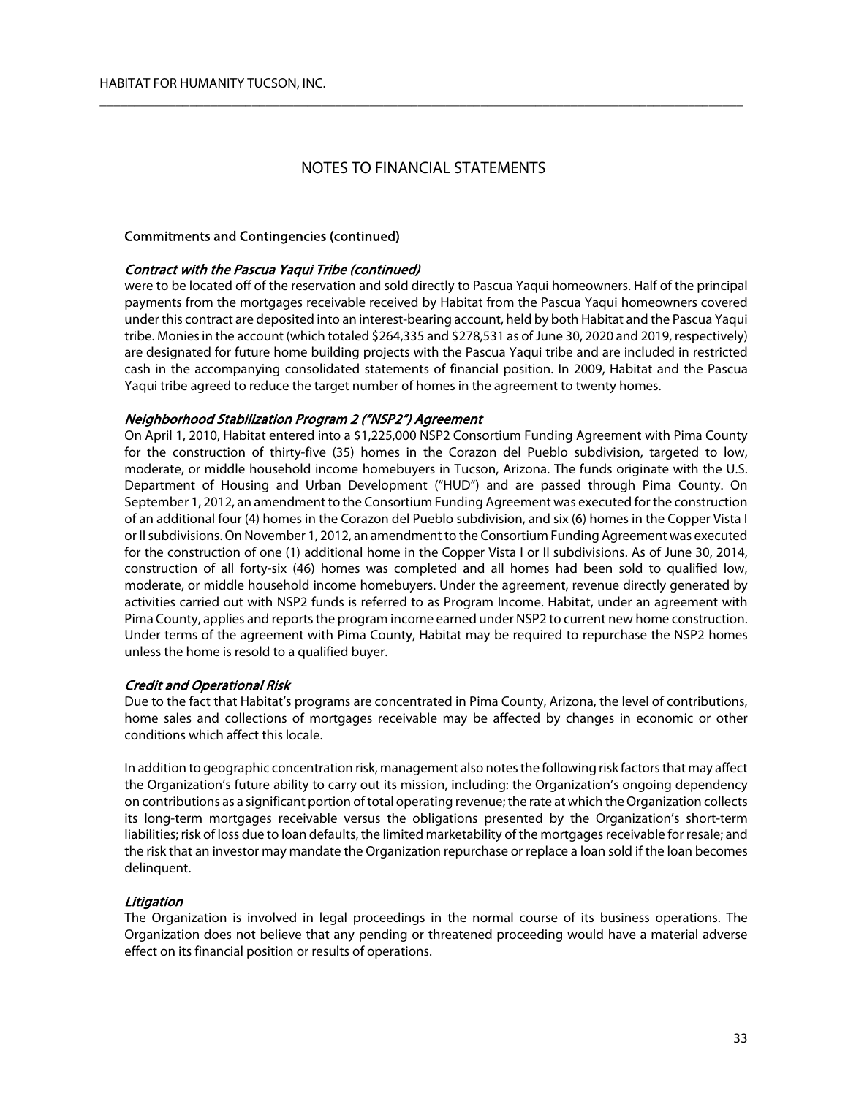$\overline{\phantom{a}}$  , and the contribution of the contribution of the contribution of the contribution of the contribution of the contribution of the contribution of the contribution of the contribution of the contribution of the

### Commitments and Contingencies (continued)

#### Contract with the Pascua Yaqui Tribe (continued)

were to be located off of the reservation and sold directly to Pascua Yaqui homeowners. Half of the principal payments from the mortgages receivable received by Habitat from the Pascua Yaqui homeowners covered under this contract are deposited into an interest-bearing account, held by both Habitat and the Pascua Yaqui tribe. Monies in the account (which totaled \$264,335 and \$278,531 as of June 30, 2020 and 2019, respectively) are designated for future home building projects with the Pascua Yaqui tribe and are included in restricted cash in the accompanying consolidated statements of financial position. In 2009, Habitat and the Pascua Yaqui tribe agreed to reduce the target number of homes in the agreement to twenty homes.

#### Neighborhood Stabilization Program 2 ("NSP2") Agreement

On April 1, 2010, Habitat entered into a \$1,225,000 NSP2 Consortium Funding Agreement with Pima County for the construction of thirty-five (35) homes in the Corazon del Pueblo subdivision, targeted to low, moderate, or middle household income homebuyers in Tucson, Arizona. The funds originate with the U.S. Department of Housing and Urban Development ("HUD") and are passed through Pima County. On September 1, 2012, an amendment to the Consortium Funding Agreement was executed for the construction of an additional four (4) homes in the Corazon del Pueblo subdivision, and six (6) homes in the Copper Vista I or II subdivisions. On November 1, 2012, an amendment to the Consortium Funding Agreement was executed for the construction of one (1) additional home in the Copper Vista I or II subdivisions. As of June 30, 2014, construction of all forty-six (46) homes was completed and all homes had been sold to qualified low, moderate, or middle household income homebuyers. Under the agreement, revenue directly generated by activities carried out with NSP2 funds is referred to as Program Income. Habitat, under an agreement with Pima County, applies and reports the program income earned under NSP2 to current new home construction. Under terms of the agreement with Pima County, Habitat may be required to repurchase the NSP2 homes unless the home is resold to a qualified buyer.

#### Credit and Operational Risk

Due to the fact that Habitat's programs are concentrated in Pima County, Arizona, the level of contributions, home sales and collections of mortgages receivable may be affected by changes in economic or other conditions which affect this locale.

In addition to geographic concentration risk, management also notes the following risk factors that may affect the Organization's future ability to carry out its mission, including: the Organization's ongoing dependency on contributions as a significant portion of total operating revenue; the rate at which the Organization collects its long-term mortgages receivable versus the obligations presented by the Organization's short-term liabilities; risk of loss due to loan defaults, the limited marketability of the mortgages receivable for resale; and the risk that an investor may mandate the Organization repurchase or replace a loan sold if the loan becomes delinquent.

#### **Litigation**

The Organization is involved in legal proceedings in the normal course of its business operations. The Organization does not believe that any pending or threatened proceeding would have a material adverse effect on its financial position or results of operations.